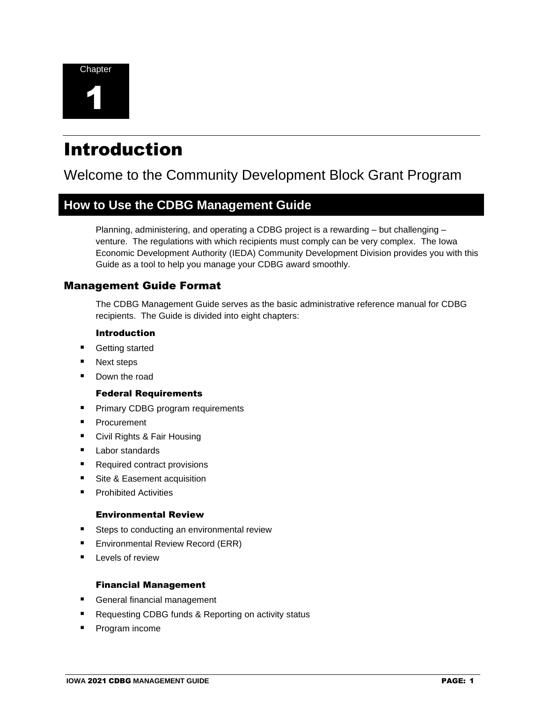

# Introduction

# Welcome to the Community Development Block Grant Program

# **How to Use the CDBG Management Guide**

Planning, administering, and operating a CDBG project is a rewarding – but challenging – venture. The regulations with which recipients must comply can be very complex. The Iowa Economic Development Authority (IEDA) Community Development Division provides you with this Guide as a tool to help you manage your CDBG award smoothly.

#### Management Guide Format

The CDBG Management Guide serves as the basic administrative reference manual for CDBG recipients. The Guide is divided into eight chapters:

#### Introduction

- Getting started
- Next steps
- Down the road

#### Federal Requirements

- Primary CDBG program requirements
- Procurement
- Civil Rights & Fair Housing
- Labor standards
- Required contract provisions
- Site & Easement acquisition
- Prohibited Activities

#### Environmental Review

- Steps to conducting an environmental review
- Environmental Review Record (ERR)
- Levels of review

#### Financial Management

- General financial management
- Requesting CDBG funds & Reporting on activity status
- Program income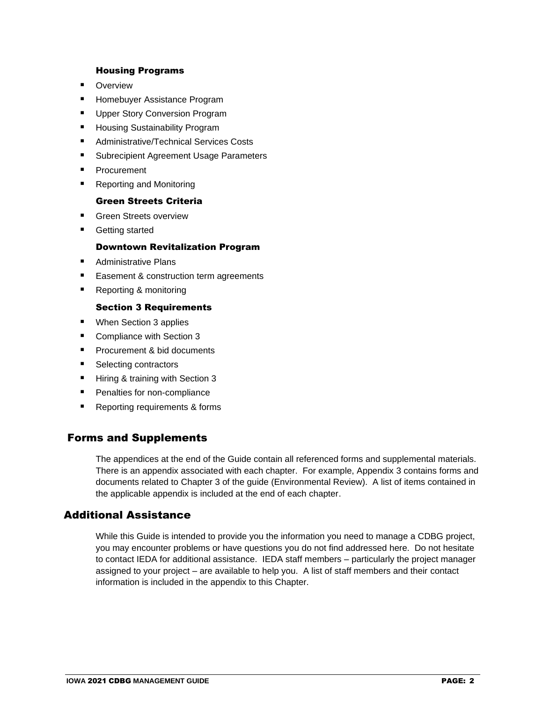#### Housing Programs

- Overview
- Homebuyer Assistance Program
- Upper Story Conversion Program
- Housing Sustainability Program
- Administrative/Technical Services Costs
- Subrecipient Agreement Usage Parameters
- Procurement
- Reporting and Monitoring

#### Green Streets Criteria

- Green Streets overview
- Getting started

#### Downtown Revitalization Program

- Administrative Plans
- Easement & construction term agreements
- Reporting & monitoring

#### Section 3 Requirements

- When Section 3 applies
- Compliance with Section 3
- Procurement & bid documents
- Selecting contractors
- Hiring & training with Section 3
- Penalties for non-compliance
- Reporting requirements & forms

## Forms and Supplements

The appendices at the end of the Guide contain all referenced forms and supplemental materials. There is an appendix associated with each chapter. For example, Appendix 3 contains forms and documents related to Chapter 3 of the guide (Environmental Review). A list of items contained in the applicable appendix is included at the end of each chapter.

### Additional Assistance

While this Guide is intended to provide you the information you need to manage a CDBG project, you may encounter problems or have questions you do not find addressed here. Do not hesitate to contact IEDA for additional assistance. IEDA staff members – particularly the project manager assigned to your project – are available to help you. A list of staff members and their contact information is included in the appendix to this Chapter.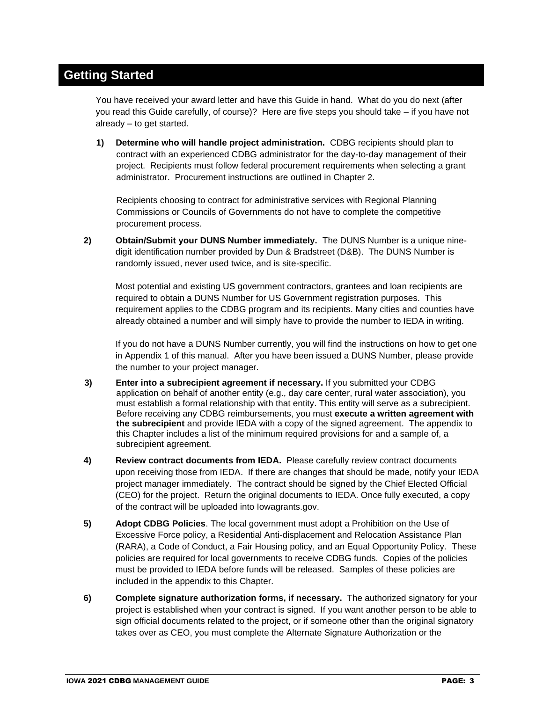# **Getting Started**

You have received your award letter and have this Guide in hand. What do you do next (after you read this Guide carefully, of course)? Here are five steps you should take – if you have not already – to get started.

**1) Determine who will handle project administration.** CDBG recipients should plan to contract with an experienced CDBG administrator for the day-to-day management of their project. Recipients must follow federal procurement requirements when selecting a grant administrator. Procurement instructions are outlined in Chapter 2.

Recipients choosing to contract for administrative services with Regional Planning Commissions or Councils of Governments do not have to complete the competitive procurement process.

**2) Obtain/Submit your DUNS Number immediately.** The DUNS Number is a unique ninedigit identification number provided by Dun & Bradstreet (D&B). The DUNS Number is randomly issued, never used twice, and is site-specific.

Most potential and existing US government contractors, grantees and loan recipients are required to obtain a DUNS Number for US Government registration purposes. This requirement applies to the CDBG program and its recipients. Many cities and counties have already obtained a number and will simply have to provide the number to IEDA in writing.

If you do not have a DUNS Number currently, you will find the instructions on how to get one in Appendix 1 of this manual. After you have been issued a DUNS Number, please provide the number to your project manager.

- **3) Enter into a subrecipient agreement if necessary.** If you submitted your CDBG application on behalf of another entity (e.g., day care center, rural water association), you must establish a formal relationship with that entity. This entity will serve as a subrecipient. Before receiving any CDBG reimbursements, you must **execute a written agreement with the subrecipient** and provide IEDA with a copy of the signed agreement. The appendix to this Chapter includes a list of the minimum required provisions for and a sample of, a subrecipient agreement.
- **4) Review contract documents from IEDA.** Please carefully review contract documents upon receiving those from IEDA. If there are changes that should be made, notify your IEDA project manager immediately. The contract should be signed by the Chief Elected Official (CEO) for the project. Return the original documents to IEDA. Once fully executed, a copy of the contract will be uploaded into Iowagrants.gov.
- **5) Adopt CDBG Policies**. The local government must adopt a Prohibition on the Use of Excessive Force policy, a Residential Anti-displacement and Relocation Assistance Plan (RARA), a Code of Conduct, a Fair Housing policy, and an Equal Opportunity Policy. These policies are required for local governments to receive CDBG funds. Copies of the policies must be provided to IEDA before funds will be released. Samples of these policies are included in the appendix to this Chapter.
- **6) Complete signature authorization forms, if necessary.** The authorized signatory for your project is established when your contract is signed. If you want another person to be able to sign official documents related to the project, or if someone other than the original signatory takes over as CEO, you must complete the Alternate Signature Authorization or the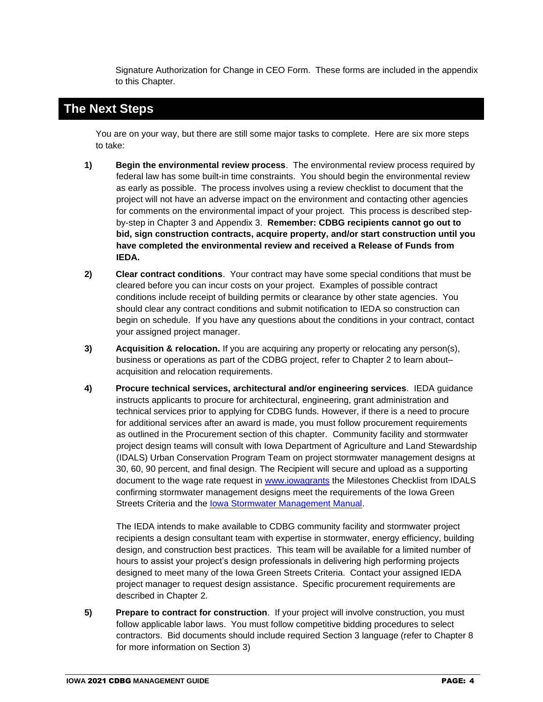Signature Authorization for Change in CEO Form. These forms are included in the appendix to this Chapter.

# **The Next Steps**

You are on your way, but there are still some major tasks to complete. Here are six more steps to take:

- **1) Begin the environmental review process**. The environmental review process required by federal law has some built-in time constraints. You should begin the environmental review as early as possible. The process involves using a review checklist to document that the project will not have an adverse impact on the environment and contacting other agencies for comments on the environmental impact of your project. This process is described stepby-step in Chapter 3 and Appendix 3. **Remember: CDBG recipients cannot go out to bid, sign construction contracts, acquire property, and/or start construction until you have completed the environmental review and received a Release of Funds from IEDA.**
- **2) Clear contract conditions**. Your contract may have some special conditions that must be cleared before you can incur costs on your project. Examples of possible contract conditions include receipt of building permits or clearance by other state agencies. You should clear any contract conditions and submit notification to IEDA so construction can begin on schedule. If you have any questions about the conditions in your contract, contact your assigned project manager.
- **3) Acquisition & relocation.** If you are acquiring any property or relocating any person(s), business or operations as part of the CDBG project, refer to Chapter 2 to learn about– acquisition and relocation requirements.
- **4) Procure technical services, architectural and/or engineering services**. IEDA guidance instructs applicants to procure for architectural, engineering, grant administration and technical services prior to applying for CDBG funds. However, if there is a need to procure for additional services after an award is made, you must follow procurement requirements as outlined in the Procurement section of this chapter. Community facility and stormwater project design teams will consult with Iowa Department of Agriculture and Land Stewardship (IDALS) Urban Conservation Program Team on project stormwater management designs at 30, 60, 90 percent, and final design. The Recipient will secure and upload as a supporting document to the wage rate request in [www.iowagrants](http://www.iowagrants/) the Milestones Checklist from IDALS confirming stormwater management designs meet the requirements of the Iowa Green Streets Criteria and the [Iowa Stormwater Management Manual.](http://www.iowadnr.gov/Environmental-Protection/Water-Quality/NPDES-Storm-Water/Storm-Water-Manual)

The IEDA intends to make available to CDBG community facility and stormwater project recipients a design consultant team with expertise in stormwater, energy efficiency, building design, and construction best practices. This team will be available for a limited number of hours to assist your project's design professionals in delivering high performing projects designed to meet many of the Iowa Green Streets Criteria. Contact your assigned IEDA project manager to request design assistance. Specific procurement requirements are described in Chapter 2.

**5) Prepare to contract for construction**. If your project will involve construction, you must follow applicable labor laws. You must follow competitive bidding procedures to select contractors. Bid documents should include required Section 3 language (refer to Chapter 8 for more information on Section 3)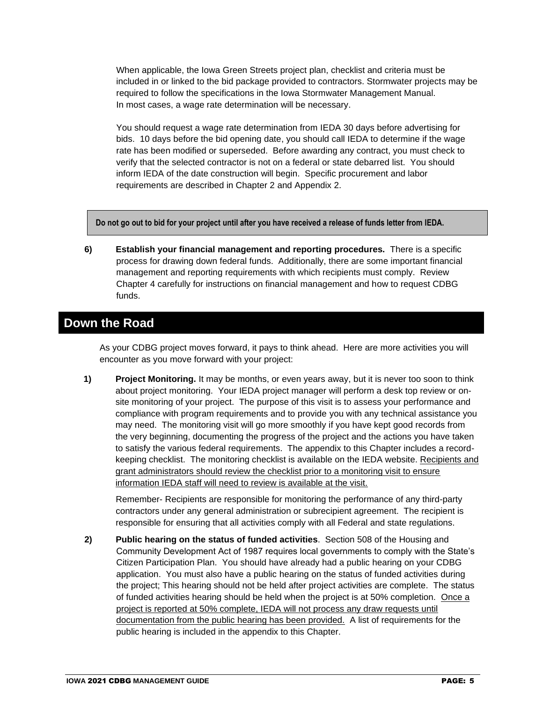When applicable, the Iowa Green Streets project plan, checklist and criteria must be included in or linked to the bid package provided to contractors. Stormwater projects may be required to follow the specifications in the Iowa Stormwater Management Manual. In most cases, a wage rate determination will be necessary.

You should request a wage rate determination from IEDA 30 days before advertising for bids. 10 days before the bid opening date, you should call IEDA to determine if the wage rate has been modified or superseded. Before awarding any contract, you must check to verify that the selected contractor is not on a federal or state debarred list. You should inform IEDA of the date construction will begin. Specific procurement and labor requirements are described in Chapter 2 and Appendix 2.

**Do not go out to bid for your project until after you have received a release of funds letter from IEDA.**

**6) Establish your financial management and reporting procedures.** There is a specific process for drawing down federal funds. Additionally, there are some important financial management and reporting requirements with which recipients must comply. Review Chapter 4 carefully for instructions on financial management and how to request CDBG funds.

# **Down the Road**

As your CDBG project moves forward, it pays to think ahead. Here are more activities you will encounter as you move forward with your project:

**1) Project Monitoring.** It may be months, or even years away, but it is never too soon to think about project monitoring. Your IEDA project manager will perform a desk top review or onsite monitoring of your project. The purpose of this visit is to assess your performance and compliance with program requirements and to provide you with any technical assistance you may need. The monitoring visit will go more smoothly if you have kept good records from the very beginning, documenting the progress of the project and the actions you have taken to satisfy the various federal requirements. The appendix to this Chapter includes a recordkeeping checklist. The monitoring checklist is available on the IEDA website. Recipients and grant administrators should review the checklist prior to a monitoring visit to ensure information IEDA staff will need to review is available at the visit.

 Remember- Recipients are responsible for monitoring the performance of any third-party contractors under any general administration or subrecipient agreement. The recipient is responsible for ensuring that all activities comply with all Federal and state regulations.

**2) Public hearing on the status of funded activities**. Section 508 of the Housing and Community Development Act of 1987 requires local governments to comply with the State's Citizen Participation Plan. You should have already had a public hearing on your CDBG application. You must also have a public hearing on the status of funded activities during the project; This hearing should not be held after project activities are complete. The status of funded activities hearing should be held when the project is at 50% completion. Once a project is reported at 50% complete, IEDA will not process any draw requests until documentation from the public hearing has been provided. A list of requirements for the public hearing is included in the appendix to this Chapter.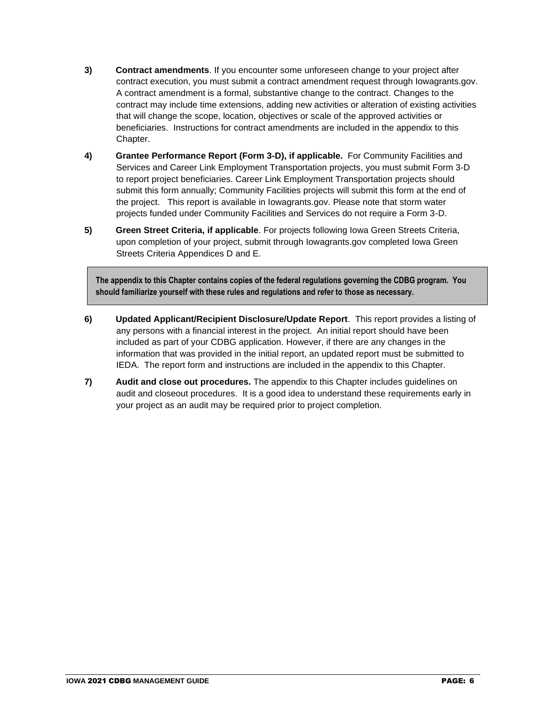- **3) Contract amendments**. If you encounter some unforeseen change to your project after contract execution, you must submit a contract amendment request through Iowagrants.gov. A contract amendment is a formal, substantive change to the contract. Changes to the contract may include time extensions, adding new activities or alteration of existing activities that will change the scope, location, objectives or scale of the approved activities or beneficiaries. Instructions for contract amendments are included in the appendix to this Chapter.
- **4) Grantee Performance Report (Form 3-D), if applicable.** For Community Facilities and Services and Career Link Employment Transportation projects, you must submit Form 3-D to report project beneficiaries. Career Link Employment Transportation projects should submit this form annually; Community Facilities projects will submit this form at the end of the project. This report is available in Iowagrants.gov. Please note that storm water projects funded under Community Facilities and Services do not require a Form 3-D.
- **5) Green Street Criteria, if applicable**. For projects following Iowa Green Streets Criteria, upon completion of your project, submit through Iowagrants.gov completed Iowa Green Streets Criteria Appendices D and E.

**The appendix to this Chapter contains copies of the federal regulations governing the CDBG program. You should familiarize yourself with these rules and regulations and refer to those as necessary.** 

- **6) Updated Applicant/Recipient Disclosure/Update Report**. This report provides a listing of any persons with a financial interest in the project. An initial report should have been included as part of your CDBG application. However, if there are any changes in the information that was provided in the initial report, an updated report must be submitted to IEDA. The report form and instructions are included in the appendix to this Chapter.
- **7) Audit and close out procedures.** The appendix to this Chapter includes guidelines on audit and closeout procedures. It is a good idea to understand these requirements early in your project as an audit may be required prior to project completion.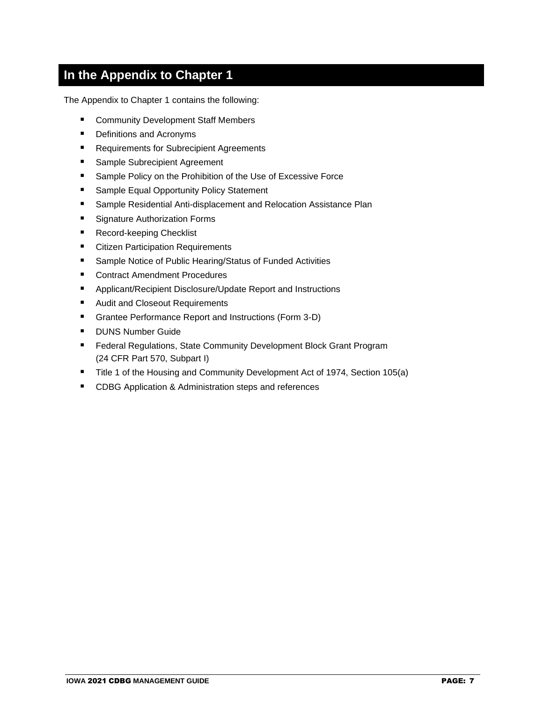# **In the Appendix to Chapter 1**

The Appendix to Chapter 1 contains the following:

- Community Development Staff Members
- Definitions and Acronyms
- Requirements for Subrecipient Agreements
- Sample Subrecipient Agreement
- Sample Policy on the Prohibition of the Use of Excessive Force
- Sample Equal Opportunity Policy Statement
- Sample Residential Anti-displacement and Relocation Assistance Plan
- Signature Authorization Forms
- Record-keeping Checklist
- Citizen Participation Requirements
- Sample Notice of Public Hearing/Status of Funded Activities
- Contract Amendment Procedures
- Applicant/Recipient Disclosure/Update Report and Instructions
- Audit and Closeout Requirements
- Grantee Performance Report and Instructions (Form 3-D)
- DUNS Number Guide
- Federal Regulations, State Community Development Block Grant Program (24 CFR Part 570, Subpart I)
- Title 1 of the Housing and Community Development Act of 1974, Section 105(a)
- CDBG Application & Administration steps and references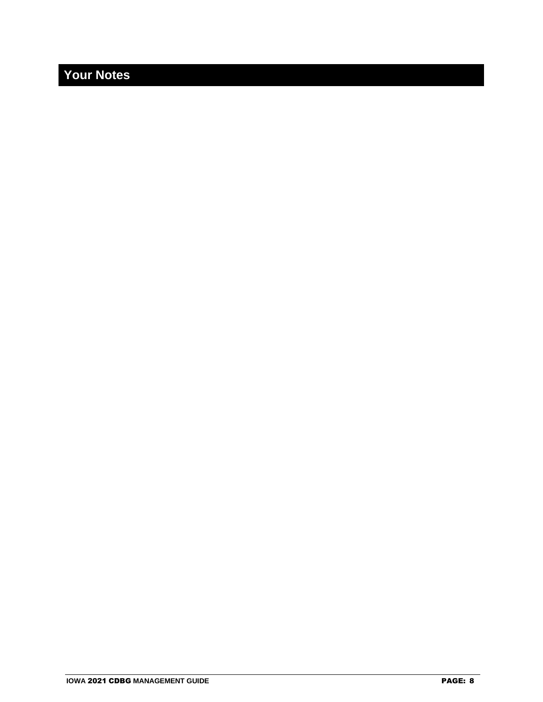# **Your Notes**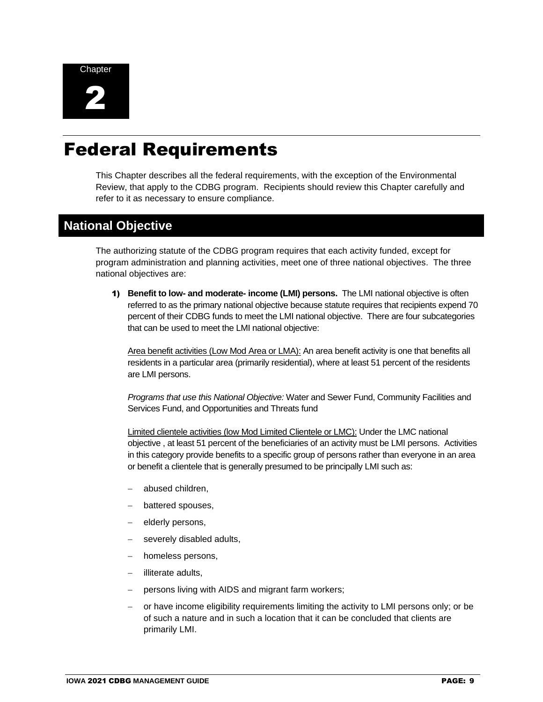



# Federal Requirements

This Chapter describes all the federal requirements, with the exception of the Environmental Review, that apply to the CDBG program. Recipients should review this Chapter carefully and refer to it as necessary to ensure compliance.

# **National Objective**

The authorizing statute of the CDBG program requires that each activity funded, except for program administration and planning activities, meet one of three national objectives. The three national objectives are:

1) **Benefit to low- and moderate- income (LMI) persons.** The LMI national objective is often referred to as the primary national objective because statute requires that recipients expend 70 percent of their CDBG funds to meet the LMI national objective. There are four subcategories that can be used to meet the LMI national objective:

Area benefit activities (Low Mod Area or LMA): An area benefit activity is one that benefits all residents in a particular area (primarily residential), where at least 51 percent of the residents are LMI persons.

*Programs that use this National Objective:* Water and Sewer Fund, Community Facilities and Services Fund, and Opportunities and Threats fund

Limited clientele activities (low Mod Limited Clientele or LMC): Under the LMC national objective , at least 51 percent of the beneficiaries of an activity must be LMI persons. Activities in this category provide benefits to a specific group of persons rather than everyone in an area or benefit a clientele that is generally presumed to be principally LMI such as:

- − abused children,
- − battered spouses,
- − elderly persons,
- severely disabled adults,
- homeless persons,
- − illiterate adults,
- persons living with AIDS and migrant farm workers;
- − or have income eligibility requirements limiting the activity to LMI persons only; or be of such a nature and in such a location that it can be concluded that clients are primarily LMI.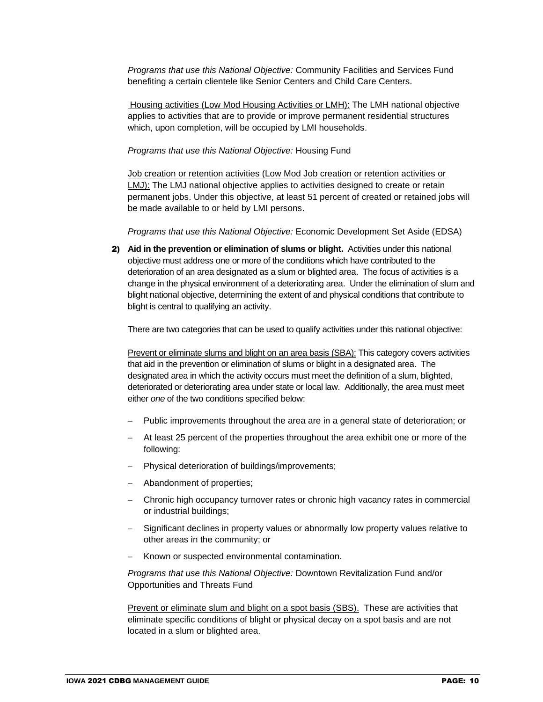*Programs that use this National Objective:* Community Facilities and Services Fund benefiting a certain clientele like Senior Centers and Child Care Centers.

Housing activities (Low Mod Housing Activities or LMH): The LMH national objective applies to activities that are to provide or improve permanent residential structures which, upon completion, will be occupied by LMI households.

*Programs that use this National Objective:* Housing Fund

Job creation or retention activities (Low Mod Job creation or retention activities or LMJ): The LMJ national objective applies to activities designed to create or retain permanent jobs. Under this objective, at least 51 percent of created or retained jobs will be made available to or held by LMI persons.

*Programs that use this National Objective:* Economic Development Set Aside (EDSA)

2) **Aid in the prevention or elimination of slums or blight.** Activities under this national objective must address one or more of the conditions which have contributed to the deterioration of an area designated as a slum or blighted area. The focus of activities is a change in the physical environment of a deteriorating area. Under the elimination of slum and blight national objective, determining the extent of and physical conditions that contribute to blight is central to qualifying an activity.

There are two categories that can be used to qualify activities under this national objective:

Prevent or eliminate slums and blight on an area basis (SBA): This category covers activities that aid in the prevention or elimination of slums or blight in a designated area. The designated area in which the activity occurs must meet the definition of a slum, blighted, deteriorated or deteriorating area under state or local law. Additionally, the area must meet either *one* of the two conditions specified below:

- − Public improvements throughout the area are in a general state of deterioration; or
- At least 25 percent of the properties throughout the area exhibit one or more of the following:
- − Physical deterioration of buildings/improvements;
- − Abandonment of properties;
- − Chronic high occupancy turnover rates or chronic high vacancy rates in commercial or industrial buildings;
- Significant declines in property values or abnormally low property values relative to other areas in the community; or
- Known or suspected environmental contamination.

*Programs that use this National Objective:* Downtown Revitalization Fund and/or Opportunities and Threats Fund

Prevent or eliminate slum and blight on a spot basis (SBS). These are activities that eliminate specific conditions of blight or physical decay on a spot basis and are not located in a slum or blighted area.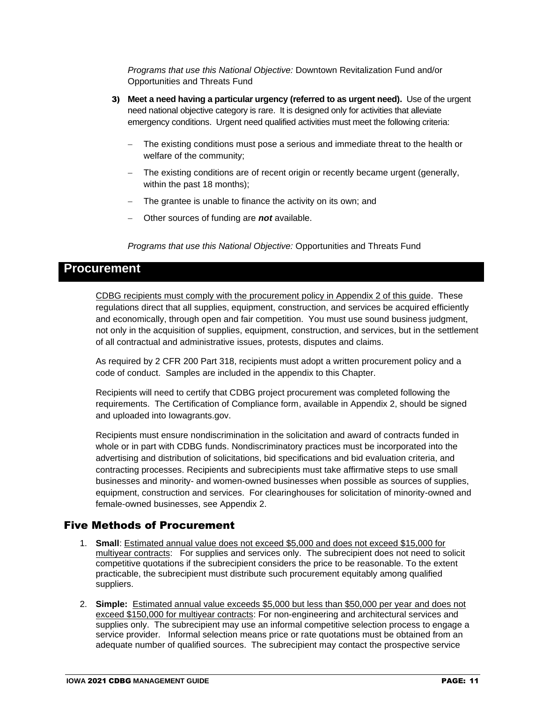*Programs that use this National Objective:* Downtown Revitalization Fund and/or Opportunities and Threats Fund

- 3) **Meet a need having a particular urgency (referred to as urgent need).** Use of the urgent need national objective category is rare. It is designed only for activities that alleviate emergency conditions. Urgent need qualified activities must meet the following criteria:
	- The existing conditions must pose a serious and immediate threat to the health or welfare of the community;
	- The existing conditions are of recent origin or recently became urgent (generally, within the past 18 months);
	- The grantee is unable to finance the activity on its own; and
	- − Other sources of funding are *not* available.

*Programs that use this National Objective:* Opportunities and Threats Fund

### **Procurement**

CDBG recipients must comply with the procurement policy in Appendix 2 of this guide. These regulations direct that all supplies, equipment, construction, and services be acquired efficiently and economically, through open and fair competition. You must use sound business judgment, not only in the acquisition of supplies, equipment, construction, and services, but in the settlement of all contractual and administrative issues, protests, disputes and claims.

As required by 2 CFR 200 Part 318, recipients must adopt a written procurement policy and a code of conduct. Samples are included in the appendix to this Chapter.

Recipients will need to certify that CDBG project procurement was completed following the requirements. The Certification of Compliance form, available in Appendix 2, should be signed and uploaded into Iowagrants.gov.

Recipients must ensure nondiscrimination in the solicitation and award of contracts funded in whole or in part with CDBG funds. Nondiscriminatory practices must be incorporated into the advertising and distribution of solicitations, bid specifications and bid evaluation criteria, and contracting processes. Recipients and subrecipients must take affirmative steps to use small businesses and minority- and women-owned businesses when possible as sources of supplies, equipment, construction and services. For clearinghouses for solicitation of minority-owned and female-owned businesses, see Appendix 2.

#### Five Methods of Procurement

- 1. **Small**: Estimated annual value does not exceed \$5,000 and does not exceed \$15,000 for multiyear contracts: For supplies and services only. The subrecipient does not need to solicit competitive quotations if the subrecipient considers the price to be reasonable. To the extent practicable, the subrecipient must distribute such procurement equitably among qualified suppliers.
- 2. **Simple:** Estimated annual value exceeds \$5,000 but less than \$50,000 per year and does not exceed \$150,000 for multiyear contracts: For non-engineering and architectural services and supplies only. The subrecipient may use an informal competitive selection process to engage a service provider. Informal selection means price or rate quotations must be obtained from an adequate number of qualified sources. The subrecipient may contact the prospective service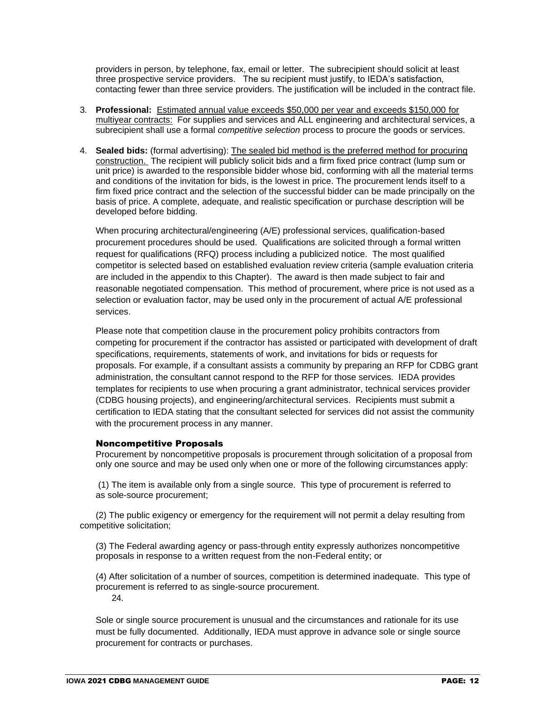providers in person, by telephone, fax, email or letter. The subrecipient should solicit at least three prospective service providers. The su recipient must justify, to IEDA's satisfaction, contacting fewer than three service providers. The justification will be included in the contract file.

- 3. **Professional:** Estimated annual value exceeds \$50,000 per year and exceeds \$150,000 for multiyear contracts: For supplies and services and ALL engineering and architectural services, a subrecipient shall use a formal *competitive selection* process to procure the goods or services.
- 4. **Sealed bids:** (formal advertising): The sealed bid method is the preferred method for procuring construction. The recipient will publicly solicit bids and a firm fixed price contract (lump sum or unit price) is awarded to the responsible bidder whose bid, conforming with all the material terms and conditions of the invitation for bids, is the lowest in price. The procurement lends itself to a firm fixed price contract and the selection of the successful bidder can be made principally on the basis of price. A complete, adequate, and realistic specification or purchase description will be developed before bidding.

When procuring architectural/engineering (A/E) professional services, qualification-based procurement procedures should be used. Qualifications are solicited through a formal written request for qualifications (RFQ) process including a publicized notice. The most qualified competitor is selected based on established evaluation review criteria (sample evaluation criteria are included in the appendix to this Chapter). The award is then made subject to fair and reasonable negotiated compensation. This method of procurement, where price is not used as a selection or evaluation factor, may be used only in the procurement of actual A/E professional services.

Please note that competition clause in the procurement policy prohibits contractors from competing for procurement if the contractor has assisted or participated with development of draft specifications, requirements, statements of work, and invitations for bids or requests for proposals. For example, if a consultant assists a community by preparing an RFP for CDBG grant administration, the consultant cannot respond to the RFP for those services. IEDA provides templates for recipients to use when procuring a grant administrator, technical services provider (CDBG housing projects), and engineering/architectural services. Recipients must submit a certification to IEDA stating that the consultant selected for services did not assist the community with the procurement process in any manner.

#### Noncompetitive Proposals

Procurement by noncompetitive proposals is procurement through solicitation of a proposal from only one source and may be used only when one or more of the following circumstances apply:

(1) The item is available only from a single source. This type of procurement is referred to as sole-source procurement;

(2) The public exigency or emergency for the requirement will not permit a delay resulting from competitive solicitation;

(3) The Federal awarding agency or pass-through entity expressly authorizes noncompetitive proposals in response to a written request from the non-Federal entity; or

(4) After solicitation of a number of sources, competition is determined inadequate. This type of procurement is referred to as single-source procurement.

24.

Sole or single source procurement is unusual and the circumstances and rationale for its use must be fully documented. Additionally, IEDA must approve in advance sole or single source procurement for contracts or purchases.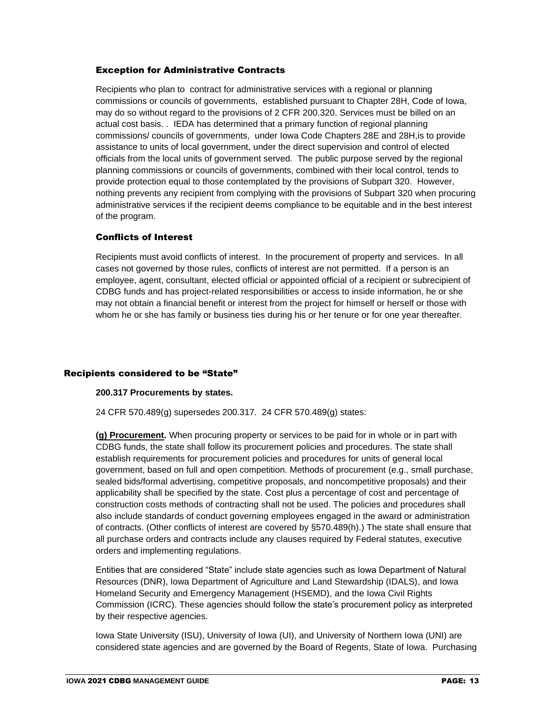#### Exception for Administrative Contracts

Recipients who plan to contract for administrative services with a regional or planning commissions or councils of governments, established pursuant to Chapter 28H, Code of Iowa, may do so without regard to the provisions of 2 CFR 200.320. Services must be billed on an actual cost basis. . IEDA has determined that a primary function of regional planning commissions/ councils of governments, under Iowa Code Chapters 28E and 28H,is to provide assistance to units of local government, under the direct supervision and control of elected officials from the local units of government served. The public purpose served by the regional planning commissions or councils of governments, combined with their local control, tends to provide protection equal to those contemplated by the provisions of Subpart 320. However, nothing prevents any recipient from complying with the provisions of Subpart 320 when procuring administrative services if the recipient deems compliance to be equitable and in the best interest of the program.

#### Conflicts of Interest

Recipients must avoid conflicts of interest. In the procurement of property and services. In all cases not governed by those rules, conflicts of interest are not permitted. If a person is an employee, agent, consultant, elected official or appointed official of a recipient or subrecipient of CDBG funds and has project-related responsibilities or access to inside information, he or she may not obtain a financial benefit or interest from the project for himself or herself or those with whom he or she has family or business ties during his or her tenure or for one year thereafter.

#### Recipients considered to be "State"

#### **200.317 Procurements by states.**

24 CFR 570.489(g) supersedes 200.317. 24 CFR 570.489(g) states:

**(g) Procurement.** When procuring property or services to be paid for in whole or in part with CDBG funds, the state shall follow its procurement policies and procedures. The state shall establish requirements for procurement policies and procedures for units of general local government, based on full and open competition. Methods of procurement (e.g., small purchase, sealed bids/formal advertising, competitive proposals, and noncompetitive proposals) and their applicability shall be specified by the state. Cost plus a percentage of cost and percentage of construction costs methods of contracting shall not be used. The policies and procedures shall also include standards of conduct governing employees engaged in the award or administration of contracts. (Other conflicts of interest are covered by §570.489(h).) The state shall ensure that all purchase orders and contracts include any clauses required by Federal statutes, executive orders and implementing regulations.

Entities that are considered "State" include state agencies such as Iowa Department of Natural Resources (DNR), Iowa Department of Agriculture and Land Stewardship (IDALS), and Iowa Homeland Security and Emergency Management (HSEMD), and the Iowa Civil Rights Commission (ICRC). These agencies should follow the state's procurement policy as interpreted by their respective agencies.

Iowa State University (ISU), University of Iowa (UI), and University of Northern Iowa (UNI) are considered state agencies and are governed by the Board of Regents, State of Iowa. Purchasing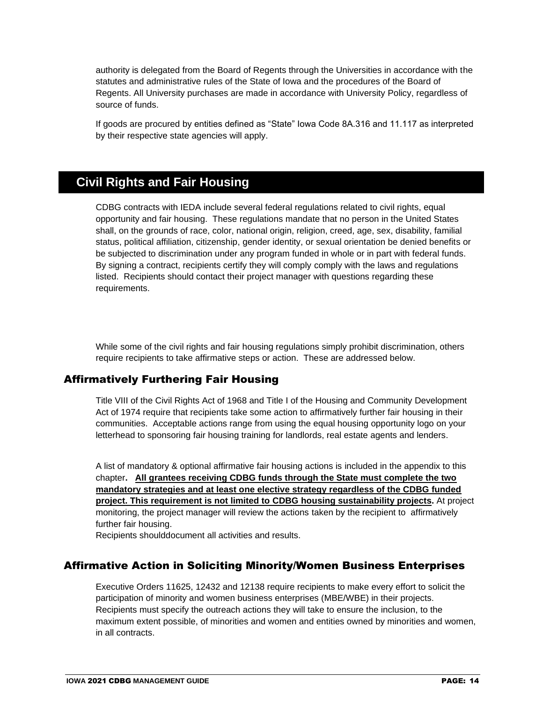authority is delegated from the Board of Regents through the Universities in accordance with the statutes and administrative rules of the State of Iowa and the procedures of the Board of Regents. All University purchases are made in accordance with University Policy, regardless of source of funds.

If goods are procured by entities defined as "State" Iowa Code 8A.316 and 11.117 as interpreted by their respective state agencies will apply.

# **Civil Rights and Fair Housing**

CDBG contracts with IEDA include several federal regulations related to civil rights, equal opportunity and fair housing. These regulations mandate that no person in the United States shall, on the grounds of race, color, national origin, religion, creed, age, sex, disability, familial status, political affiliation, citizenship, gender identity, or sexual orientation be denied benefits or be subjected to discrimination under any program funded in whole or in part with federal funds. By signing a contract, recipients certify they will comply comply with the laws and regulations listed. Recipients should contact their project manager with questions regarding these requirements.

While some of the civil rights and fair housing regulations simply prohibit discrimination, others require recipients to take affirmative steps or action. These are addressed below.

### Affirmatively Furthering Fair Housing

Title VIII of the Civil Rights Act of 1968 and Title I of the Housing and Community Development Act of 1974 require that recipients take some action to affirmatively further fair housing in their communities. Acceptable actions range from using the equal housing opportunity logo on your letterhead to sponsoring fair housing training for landlords, real estate agents and lenders.

A list of mandatory & optional affirmative fair housing actions is included in the appendix to this chapter**. All grantees receiving CDBG funds through the State must complete the two mandatory strategies and at least one elective strategy regardless of the CDBG funded project. This requirement is not limited to CDBG housing sustainability projects.** At project monitoring, the project manager will review the actions taken by the recipient to affirmatively further fair housing.

Recipients shoulddocument all activities and results.

### Affirmative Action in Soliciting Minority/Women Business Enterprises

Executive Orders 11625, 12432 and 12138 require recipients to make every effort to solicit the participation of minority and women business enterprises (MBE/WBE) in their projects. Recipients must specify the outreach actions they will take to ensure the inclusion, to the maximum extent possible, of minorities and women and entities owned by minorities and women, in all contracts.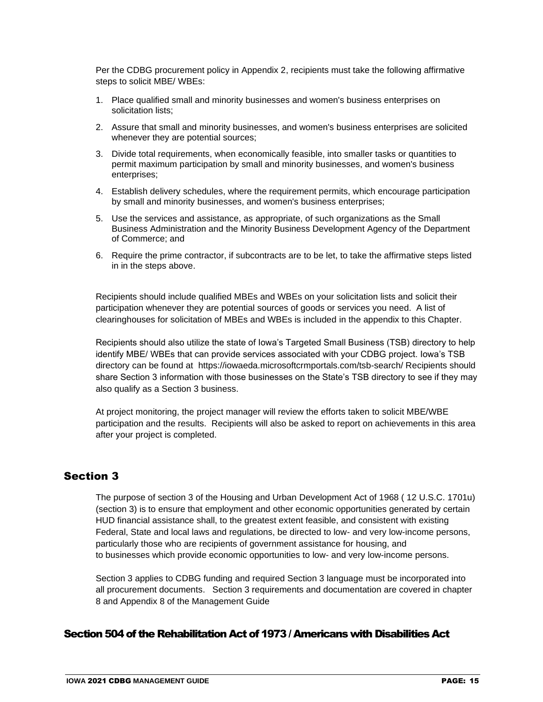Per the CDBG procurement policy in Appendix 2, recipients must take the following affirmative steps to solicit MBE/ WBEs:

- 1. Place qualified small and minority businesses and women's business enterprises on solicitation lists;
- 2. Assure that small and minority businesses, and women's business enterprises are solicited whenever they are potential sources;
- 3. Divide total requirements, when economically feasible, into smaller tasks or quantities to permit maximum participation by small and minority businesses, and women's business enterprises;
- 4. Establish delivery schedules, where the requirement permits, which encourage participation by small and minority businesses, and women's business enterprises;
- 5. Use the services and assistance, as appropriate, of such organizations as the Small Business Administration and the Minority Business Development Agency of the Department of Commerce; and
- 6. Require the prime [contractor,](https://www.law.cornell.edu/definitions/index.php?width=840&height=800&iframe=true&def_id=74f8c247fb5c2e5672df209600833d51&term_occur=1&term_src=Title:2:Subtitle:A:Chapter:II:Part:200:Subpart:D:Subjgrp:31:200.321) if subcontracts are to be let, to take the affirmative steps listed in in the steps above.

Recipients should include qualified MBEs and WBEs on your solicitation lists and solicit their participation whenever they are potential sources of goods or services you need. A list of clearinghouses for solicitation of MBEs and WBEs is included in the appendix to this Chapter.

Recipients should also utilize the state of Iowa's Targeted Small Business (TSB) directory to help identify MBE/ WBEs that can provide services associated with your CDBG project. Iowa's TSB directory can be found at https://iowaeda.microsoftcrmportals.com/tsb-search/ Recipients should share Section 3 information with those businesses on the State's TSB directory to see if they may also qualify as a Section 3 business.

At project monitoring, the project manager will review the efforts taken to solicit MBE/WBE participation and the results. Recipients will also be asked to report on achievements in this area after your project is completed.

### Section 3

The purpose of section 3 of the Housing and Urban Development [Act](https://www.law.cornell.edu/definitions/index.php?width=840&height=800&iframe=true&def_id=5b93c604f1f17967087eac820a6d3ba3&term_occur=1&term_src=Title:24:Subtitle:B:Chapter:I:Subchapter:B:Part:135:Subpart:A:135.1) of 1968 ( [12 U.S.C. 1701u\)](https://www.law.cornell.edu/uscode/text/12/1701u) (section 3) is to ensure that employment and other economic opportunities generated by certain HUD financial assistance shall, to the greatest extent feasible, and consistent with existing Federal, [State](https://www.law.cornell.edu/definitions/index.php?width=840&height=800&iframe=true&def_id=b53c4a715f555ddaf4130860d7e71119&term_occur=1&term_src=Title:24:Subtitle:B:Chapter:I:Subchapter:B:Part:135:Subpart:A:135.1) and local laws and regulations, be directed to low- and very low-income persons, particularly those who are [recipients](https://www.law.cornell.edu/definitions/index.php?width=840&height=800&iframe=true&def_id=5aee72c6cc23ba8dd9abbd1a7d08a45d&term_occur=1&term_src=Title:24:Subtitle:B:Chapter:I:Subchapter:B:Part:135:Subpart:A:135.1) of government assistance for housing, and to [businesses](https://www.law.cornell.edu/definitions/index.php?width=840&height=800&iframe=true&def_id=bea258cd28a425ab5cd326b7daa383e8&term_occur=1&term_src=Title:24:Subtitle:B:Chapter:I:Subchapter:B:Part:135:Subpart:A:135.1) which provide economic opportunities to low- and very low-income persons.

Section 3 applies to CDBG funding and required Section 3 language must be incorporated into all procurement documents. Section 3 requirements and documentation are covered in chapter 8 and Appendix 8 of the Management Guide

#### Section 504 of the Rehabilitation Act of 1973 / Americans with Disabilities Act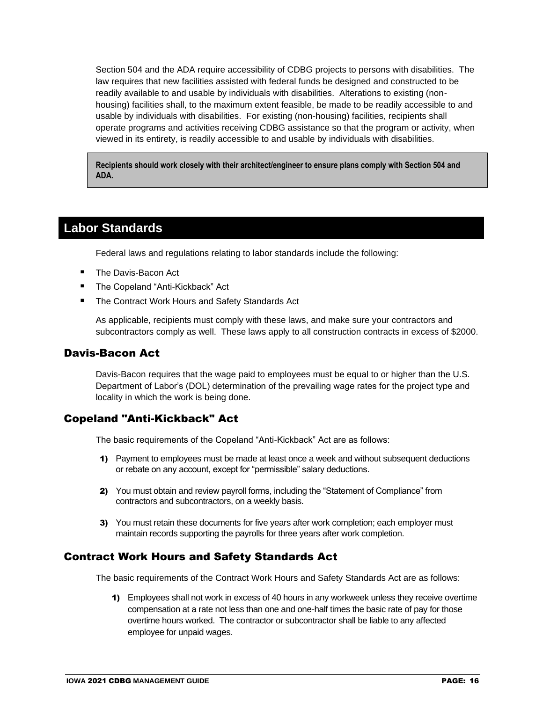Section 504 and the ADA require accessibility of CDBG projects to persons with disabilities. The law requires that new facilities assisted with federal funds be designed and constructed to be readily available to and usable by individuals with disabilities. Alterations to existing (nonhousing) facilities shall, to the maximum extent feasible, be made to be readily accessible to and usable by individuals with disabilities. For existing (non-housing) facilities, recipients shall operate programs and activities receiving CDBG assistance so that the program or activity, when viewed in its entirety, is readily accessible to and usable by individuals with disabilities.

**Recipients should work closely with their architect/engineer to ensure plans comply with Section 504 and ADA.**

## **Labor Standards**

Federal laws and regulations relating to labor standards include the following:

- The Davis-Bacon Act
- The Copeland "Anti-Kickback" Act
- The Contract Work Hours and Safety Standards Act

As applicable, recipients must comply with these laws, and make sure your contractors and subcontractors comply as well. These laws apply to all construction contracts in excess of \$2000.

#### Davis-Bacon Act

Davis-Bacon requires that the wage paid to employees must be equal to or higher than the U.S. Department of Labor's (DOL) determination of the prevailing wage rates for the project type and locality in which the work is being done.

### Copeland "Anti-Kickback" Act

The basic requirements of the Copeland "Anti-Kickback" Act are as follows:

- 1) Payment to employees must be made at least once a week and without subsequent deductions or rebate on any account, except for "permissible" salary deductions.
- 2) You must obtain and review payroll forms, including the "Statement of Compliance" from contractors and subcontractors, on a weekly basis.
- 3) You must retain these documents for five years after work completion; each employer must maintain records supporting the payrolls for three years after work completion.

#### Contract Work Hours and Safety Standards Act

The basic requirements of the Contract Work Hours and Safety Standards Act are as follows:

1) Employees shall not work in excess of 40 hours in any workweek unless they receive overtime compensation at a rate not less than one and one-half times the basic rate of pay for those overtime hours worked. The contractor or subcontractor shall be liable to any affected employee for unpaid wages.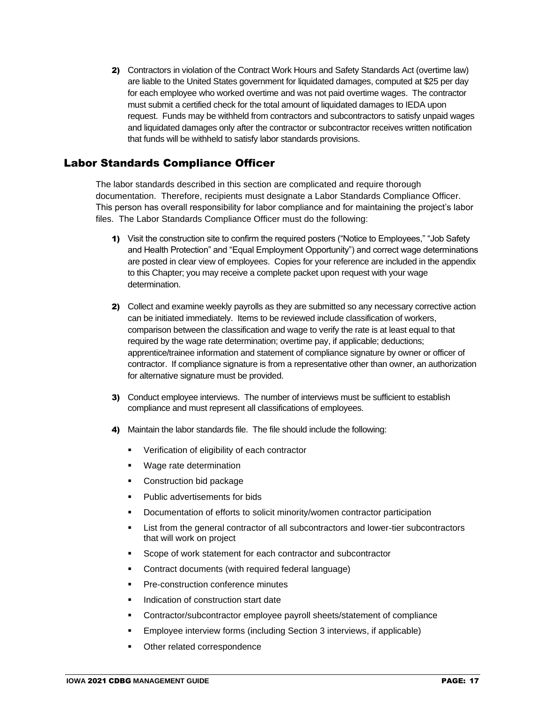2) Contractors in violation of the Contract Work Hours and Safety Standards Act (overtime law) are liable to the United States government for liquidated damages, computed at \$25 per day for each employee who worked overtime and was not paid overtime wages. The contractor must submit a certified check for the total amount of liquidated damages to IEDA upon request. Funds may be withheld from contractors and subcontractors to satisfy unpaid wages and liquidated damages only after the contractor or subcontractor receives written notification that funds will be withheld to satisfy labor standards provisions.

### Labor Standards Compliance Officer

The labor standards described in this section are complicated and require thorough documentation. Therefore, recipients must designate a Labor Standards Compliance Officer. This person has overall responsibility for labor compliance and for maintaining the project's labor files. The Labor Standards Compliance Officer must do the following:

- 1) Visit the construction site to confirm the required posters ("Notice to Employees," "Job Safety and Health Protection" and "Equal Employment Opportunity") and correct wage determinations are posted in clear view of employees. Copies for your reference are included in the appendix to this Chapter; you may receive a complete packet upon request with your wage determination.
- 2) Collect and examine weekly payrolls as they are submitted so any necessary corrective action can be initiated immediately. Items to be reviewed include classification of workers, comparison between the classification and wage to verify the rate is at least equal to that required by the wage rate determination; overtime pay, if applicable; deductions; apprentice/trainee information and statement of compliance signature by owner or officer of contractor. If compliance signature is from a representative other than owner, an authorization for alternative signature must be provided.
- 3) Conduct employee interviews. The number of interviews must be sufficient to establish compliance and must represent all classifications of employees.
- 4) Maintain the labor standards file. The file should include the following:
	- Verification of eligibility of each contractor
	- Wage rate determination
	- Construction bid package
	- Public advertisements for bids
	- Documentation of efforts to solicit minority/women contractor participation
	- List from the general contractor of all subcontractors and lower-tier subcontractors that will work on project
	- Scope of work statement for each contractor and subcontractor
	- Contract documents (with required federal language)
	- Pre-construction conference minutes
	- Indication of construction start date
	- Contractor/subcontractor employee payroll sheets/statement of compliance
	- Employee interview forms (including Section 3 interviews, if applicable)
	- Other related correspondence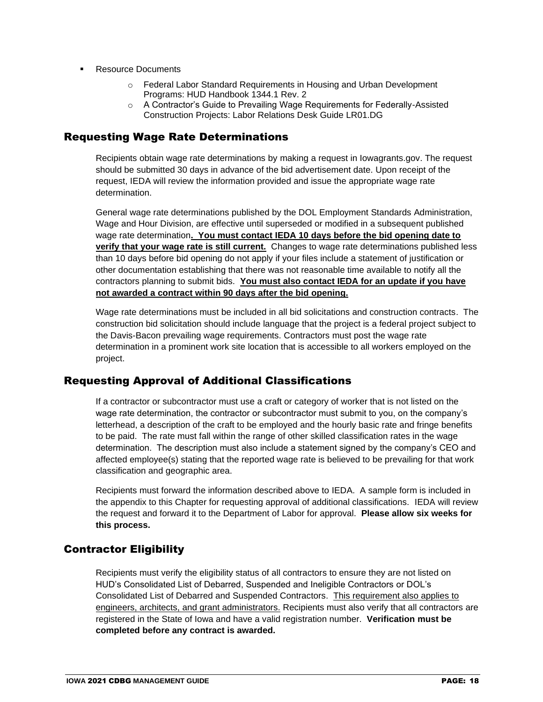- **Resource Documents** 
	- o Federal Labor Standard Requirements in Housing and Urban Development Programs: HUD Handbook 1344.1 Rev. 2
	- o A Contractor's Guide to Prevailing Wage Requirements for Federally-Assisted Construction Projects: Labor Relations Desk Guide LR01.DG

### Requesting Wage Rate Determinations

Recipients obtain wage rate determinations by making a request in Iowagrants.gov. The request should be submitted 30 days in advance of the bid advertisement date. Upon receipt of the request, IEDA will review the information provided and issue the appropriate wage rate determination.

General wage rate determinations published by the DOL Employment Standards Administration, Wage and Hour Division, are effective until superseded or modified in a subsequent published wage rate determination**. You must contact IEDA 10 days before the bid opening date to verify that your wage rate is still current.** Changes to wage rate determinations published less than 10 days before bid opening do not apply if your files include a statement of justification or other documentation establishing that there was not reasonable time available to notify all the contractors planning to submit bids. **You must also contact IEDA for an update if you have not awarded a contract within 90 days after the bid opening.**

Wage rate determinations must be included in all bid solicitations and construction contracts. The construction bid solicitation should include language that the project is a federal project subject to the Davis-Bacon prevailing wage requirements. Contractors must post the wage rate determination in a prominent work site location that is accessible to all workers employed on the project.

### Requesting Approval of Additional Classifications

If a contractor or subcontractor must use a craft or category of worker that is not listed on the wage rate determination, the contractor or subcontractor must submit to you, on the company's letterhead, a description of the craft to be employed and the hourly basic rate and fringe benefits to be paid. The rate must fall within the range of other skilled classification rates in the wage determination. The description must also include a statement signed by the company's CEO and affected employee(s) stating that the reported wage rate is believed to be prevailing for that work classification and geographic area.

Recipients must forward the information described above to IEDA. A sample form is included in the appendix to this Chapter for requesting approval of additional classifications. IEDA will review the request and forward it to the Department of Labor for approval. **Please allow six weeks for this process.**

### Contractor Eligibility

Recipients must verify the eligibility status of all contractors to ensure they are not listed on HUD's Consolidated List of Debarred, Suspended and Ineligible Contractors or DOL's Consolidated List of Debarred and Suspended Contractors. This requirement also applies to engineers, architects, and grant administrators. Recipients must also verify that all contractors are registered in the State of Iowa and have a valid registration number. **Verification must be completed before any contract is awarded.**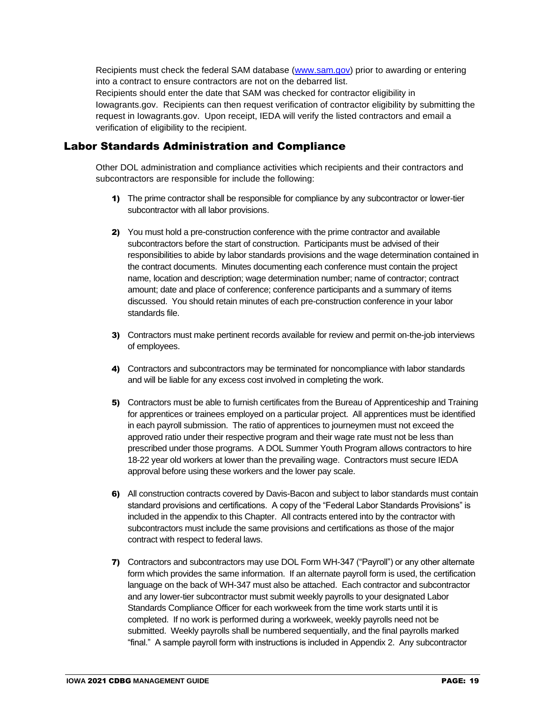Recipients must check the federal SAM database [\(www.sam.gov\)](http://www.sam.gov/) prior to awarding or entering into a contract to ensure contractors are not on the debarred list. Recipients should enter the date that SAM was checked for contractor eligibility in Iowagrants.gov. Recipients can then request verification of contractor eligibility by submitting the request in Iowagrants.gov. Upon receipt, IEDA will verify the listed contractors and email a verification of eligibility to the recipient.

### Labor Standards Administration and Compliance

Other DOL administration and compliance activities which recipients and their contractors and subcontractors are responsible for include the following:

- 1) The prime contractor shall be responsible for compliance by any subcontractor or lower-tier subcontractor with all labor provisions.
- 2) You must hold a pre-construction conference with the prime contractor and available subcontractors before the start of construction. Participants must be advised of their responsibilities to abide by labor standards provisions and the wage determination contained in the contract documents. Minutes documenting each conference must contain the project name, location and description; wage determination number; name of contractor; contract amount; date and place of conference; conference participants and a summary of items discussed. You should retain minutes of each pre-construction conference in your labor standards file.
- 3) Contractors must make pertinent records available for review and permit on-the-job interviews of employees.
- 4) Contractors and subcontractors may be terminated for noncompliance with labor standards and will be liable for any excess cost involved in completing the work.
- 5) Contractors must be able to furnish certificates from the Bureau of Apprenticeship and Training for apprentices or trainees employed on a particular project. All apprentices must be identified in each payroll submission. The ratio of apprentices to journeymen must not exceed the approved ratio under their respective program and their wage rate must not be less than prescribed under those programs. A DOL Summer Youth Program allows contractors to hire 18-22 year old workers at lower than the prevailing wage. Contractors must secure IEDA approval before using these workers and the lower pay scale.
- 6) All construction contracts covered by Davis-Bacon and subject to labor standards must contain standard provisions and certifications. A copy of the "Federal Labor Standards Provisions" is included in the appendix to this Chapter. All contracts entered into by the contractor with subcontractors must include the same provisions and certifications as those of the major contract with respect to federal laws.
- 7) Contractors and subcontractors may use DOL Form WH-347 ("Payroll") or any other alternate form which provides the same information. If an alternate payroll form is used, the certification language on the back of WH-347 must also be attached. Each contractor and subcontractor and any lower-tier subcontractor must submit weekly payrolls to your designated Labor Standards Compliance Officer for each workweek from the time work starts until it is completed. If no work is performed during a workweek, weekly payrolls need not be submitted. Weekly payrolls shall be numbered sequentially, and the final payrolls marked "final." A sample payroll form with instructions is included in Appendix 2. Any subcontractor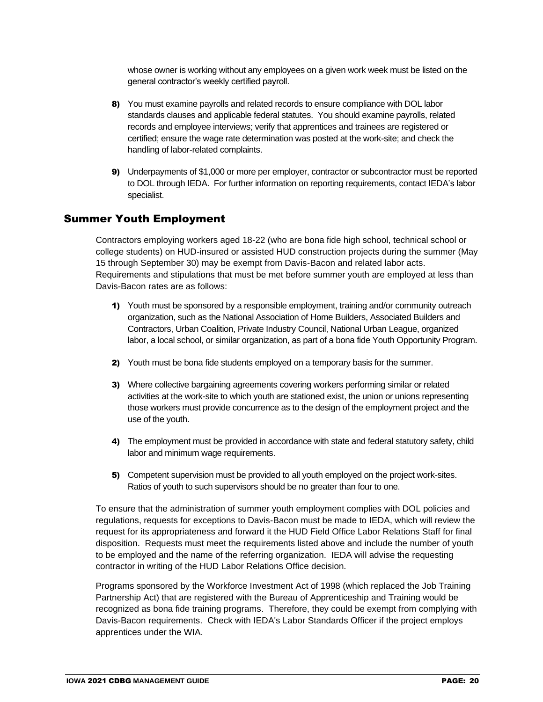whose owner is working without any employees on a given work week must be listed on the general contractor's weekly certified payroll.

- 8) You must examine payrolls and related records to ensure compliance with DOL labor standards clauses and applicable federal statutes. You should examine payrolls, related records and employee interviews; verify that apprentices and trainees are registered or certified; ensure the wage rate determination was posted at the work-site; and check the handling of labor-related complaints.
- 9) Underpayments of \$1,000 or more per employer, contractor or subcontractor must be reported to DOL through IEDA. For further information on reporting requirements, contact IEDA's labor specialist.

#### Summer Youth Employment

Contractors employing workers aged 18-22 (who are bona fide high school, technical school or college students) on HUD-insured or assisted HUD construction projects during the summer (May 15 through September 30) may be exempt from Davis-Bacon and related labor acts. Requirements and stipulations that must be met before summer youth are employed at less than Davis-Bacon rates are as follows:

- 1) Youth must be sponsored by a responsible employment, training and/or community outreach organization, such as the National Association of Home Builders, Associated Builders and Contractors, Urban Coalition, Private Industry Council, National Urban League, organized labor, a local school, or similar organization, as part of a bona fide Youth Opportunity Program.
- 2) Youth must be bona fide students employed on a temporary basis for the summer.
- 3) Where collective bargaining agreements covering workers performing similar or related activities at the work-site to which youth are stationed exist, the union or unions representing those workers must provide concurrence as to the design of the employment project and the use of the youth.
- 4) The employment must be provided in accordance with state and federal statutory safety, child labor and minimum wage requirements.
- 5) Competent supervision must be provided to all youth employed on the project work-sites. Ratios of youth to such supervisors should be no greater than four to one.

To ensure that the administration of summer youth employment complies with DOL policies and regulations, requests for exceptions to Davis-Bacon must be made to IEDA, which will review the request for its appropriateness and forward it the HUD Field Office Labor Relations Staff for final disposition. Requests must meet the requirements listed above and include the number of youth to be employed and the name of the referring organization. IEDA will advise the requesting contractor in writing of the HUD Labor Relations Office decision.

Programs sponsored by the Workforce Investment Act of 1998 (which replaced the Job Training Partnership Act) that are registered with the Bureau of Apprenticeship and Training would be recognized as bona fide training programs. Therefore, they could be exempt from complying with Davis-Bacon requirements. Check with IEDA's Labor Standards Officer if the project employs apprentices under the WIA.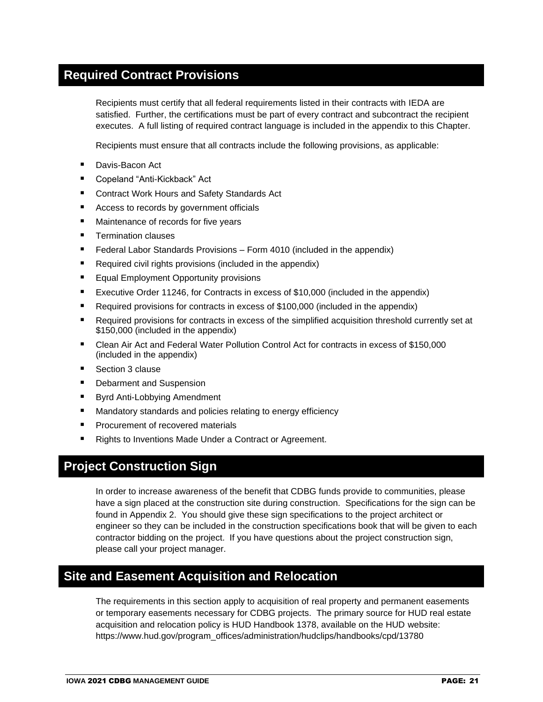# **Required Contract Provisions**

Recipients must certify that all federal requirements listed in their contracts with IEDA are satisfied. Further, the certifications must be part of every contract and subcontract the recipient executes. A full listing of required contract language is included in the appendix to this Chapter.

Recipients must ensure that all contracts include the following provisions, as applicable:

- Davis-Bacon Act
- Copeland "Anti-Kickback" Act
- Contract Work Hours and Safety Standards Act
- Access to records by government officials
- Maintenance of records for five years
- Termination clauses
- Federal Labor Standards Provisions Form 4010 (included in the appendix)
- Required civil rights provisions (included in the appendix)
- Equal Employment Opportunity provisions
- Executive Order 11246, for Contracts in excess of \$10,000 (included in the appendix)
- Required provisions for contracts in excess of \$100,000 (included in the appendix)
- Required provisions for contracts in excess of the simplified acquisition threshold currently set at \$150,000 (included in the appendix)
- Clean Air Act and Federal Water Pollution Control Act for contracts in excess of \$150,000 (included in the appendix)
- Section 3 clause
- Debarment and Suspension
- Byrd Anti-Lobbying Amendment
- Mandatory standards and policies relating to energy efficiency
- Procurement of recovered materials
- Rights to Inventions Made Under a Contract or Agreement.

# **Project Construction Sign**

In order to increase awareness of the benefit that CDBG funds provide to communities, please have a sign placed at the construction site during construction. Specifications for the sign can be found in Appendix 2. You should give these sign specifications to the project architect or engineer so they can be included in the construction specifications book that will be given to each contractor bidding on the project. If you have questions about the project construction sign, please call your project manager.

# **Site and Easement Acquisition and Relocation**

The requirements in this section apply to acquisition of real property and permanent easements or temporary easements necessary for CDBG projects. The primary source for HUD real estate acquisition and relocation policy is HUD Handbook 1378, available on the HUD website: https://www.hud.gov/program\_offices/administration/hudclips/handbooks/cpd/13780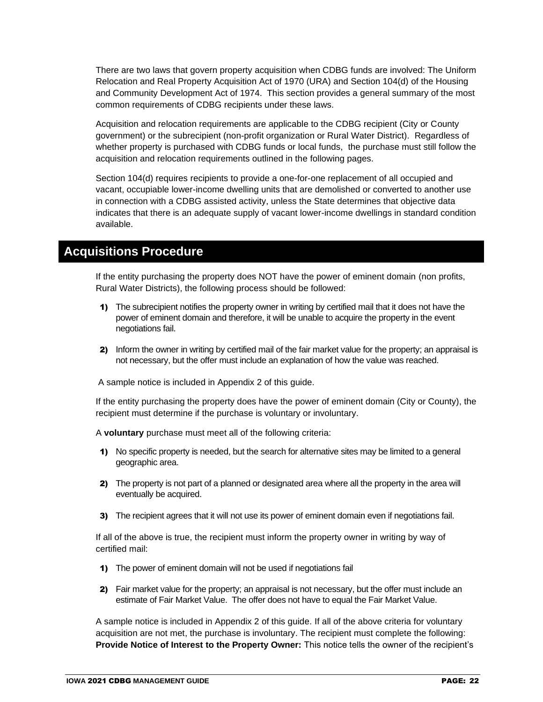There are two laws that govern property acquisition when CDBG funds are involved: The Uniform Relocation and Real Property Acquisition Act of 1970 (URA) and Section 104(d) of the Housing and Community Development Act of 1974. This section provides a general summary of the most common requirements of CDBG recipients under these laws.

Acquisition and relocation requirements are applicable to the CDBG recipient (City or County government) or the subrecipient (non-profit organization or Rural Water District). Regardless of whether property is purchased with CDBG funds or local funds, the purchase must still follow the acquisition and relocation requirements outlined in the following pages.

Section 104(d) requires recipients to provide a one-for-one replacement of all occupied and vacant, occupiable lower-income dwelling units that are demolished or converted to another use in connection with a CDBG assisted activity, unless the State determines that objective data indicates that there is an adequate supply of vacant lower-income dwellings in standard condition available.

# **Acquisitions Procedure**

If the entity purchasing the property does NOT have the power of eminent domain (non profits, Rural Water Districts), the following process should be followed:

- 1) The subrecipient notifies the property owner in writing by certified mail that it does not have the power of eminent domain and therefore, it will be unable to acquire the property in the event negotiations fail.
- 2) Inform the owner in writing by certified mail of the fair market value for the property; an appraisal is not necessary, but the offer must include an explanation of how the value was reached.

A sample notice is included in Appendix 2 of this guide.

If the entity purchasing the property does have the power of eminent domain (City or County), the recipient must determine if the purchase is voluntary or involuntary.

A **voluntary** purchase must meet all of the following criteria:

- 1) No specific property is needed, but the search for alternative sites may be limited to a general geographic area.
- 2) The property is not part of a planned or designated area where all the property in the area will eventually be acquired.
- 3) The recipient agrees that it will not use its power of eminent domain even if negotiations fail.

If all of the above is true, the recipient must inform the property owner in writing by way of certified mail:

- 1) The power of eminent domain will not be used if negotiations fail
- 2) Fair market value for the property; an appraisal is not necessary, but the offer must include an estimate of Fair Market Value. The offer does not have to equal the Fair Market Value.

A sample notice is included in Appendix 2 of this guide. If all of the above criteria for voluntary acquisition are not met, the purchase is involuntary. The recipient must complete the following: **Provide Notice of Interest to the Property Owner:** This notice tells the owner of the recipient's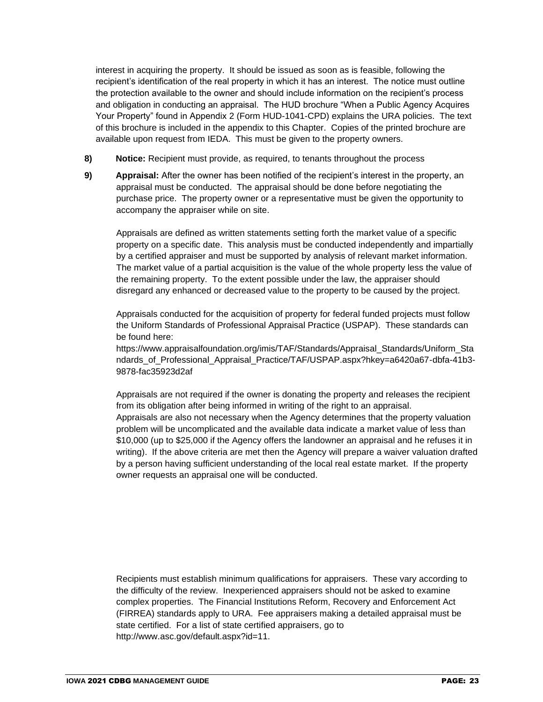interest in acquiring the property. It should be issued as soon as is feasible, following the recipient's identification of the real property in which it has an interest. The notice must outline the protection available to the owner and should include information on the recipient's process and obligation in conducting an appraisal. The HUD brochure "When a Public Agency Acquires Your Property" found in Appendix 2 (Form HUD-1041-CPD) explains the URA policies. The text of this brochure is included in the appendix to this Chapter. Copies of the printed brochure are available upon request from IEDA. This must be given to the property owners.

- **8) Notice:** Recipient must provide, as required, to tenants throughout the process
- **9) Appraisal:** After the owner has been notified of the recipient's interest in the property, an appraisal must be conducted. The appraisal should be done before negotiating the purchase price. The property owner or a representative must be given the opportunity to accompany the appraiser while on site.

Appraisals are defined as written statements setting forth the market value of a specific property on a specific date. This analysis must be conducted independently and impartially by a certified appraiser and must be supported by analysis of relevant market information. The market value of a partial acquisition is the value of the whole property less the value of the remaining property. To the extent possible under the law, the appraiser should disregard any enhanced or decreased value to the property to be caused by the project.

Appraisals conducted for the acquisition of property for federal funded projects must follow the Uniform Standards of Professional Appraisal Practice (USPAP). These standards can be found here:

https://www.appraisalfoundation.org/imis/TAF/Standards/Appraisal\_Standards/Uniform\_Sta ndards of Professional Appraisal Practice/TAF/USPAP.aspx?hkey=a6420a67-dbfa-41b3-9878-fac35923d2af

Appraisals are not required if the owner is donating the property and releases the recipient from its obligation after being informed in writing of the right to an appraisal. Appraisals are also not necessary when the Agency determines that the property valuation problem will be uncomplicated and the available data indicate a market value of less than \$10,000 (up to \$25,000 if the Agency offers the landowner an appraisal and he refuses it in writing). If the above criteria are met then the Agency will prepare a waiver valuation drafted by a person having sufficient understanding of the local real estate market. If the property owner requests an appraisal one will be conducted.

Recipients must establish minimum qualifications for appraisers. These vary according to the difficulty of the review. Inexperienced appraisers should not be asked to examine complex properties. The Financial Institutions Reform, Recovery and Enforcement Act (FIRREA) standards apply to URA. Fee appraisers making a detailed appraisal must be state certified. For a list of state certified appraisers, go to http://www.asc.gov/default.aspx?id=11.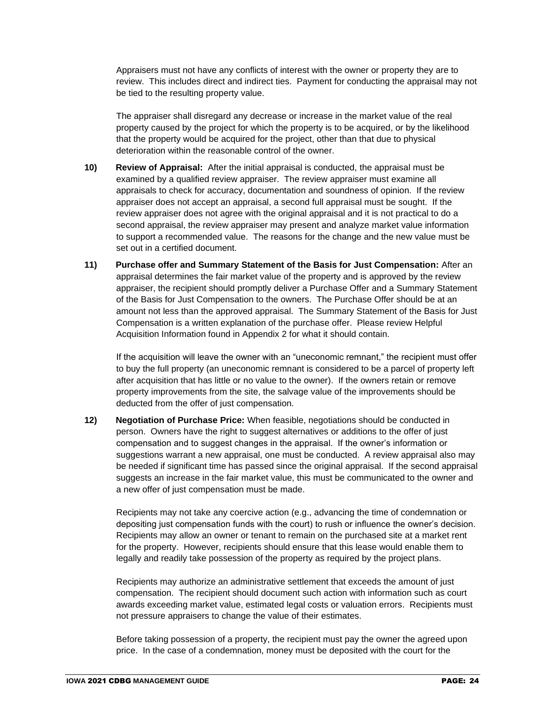Appraisers must not have any conflicts of interest with the owner or property they are to review. This includes direct and indirect ties. Payment for conducting the appraisal may not be tied to the resulting property value.

The appraiser shall disregard any decrease or increase in the market value of the real property caused by the project for which the property is to be acquired, or by the likelihood that the property would be acquired for the project, other than that due to physical deterioration within the reasonable control of the owner.

- **10) Review of Appraisal:** After the initial appraisal is conducted, the appraisal must be examined by a qualified review appraiser. The review appraiser must examine all appraisals to check for accuracy, documentation and soundness of opinion. If the review appraiser does not accept an appraisal, a second full appraisal must be sought. If the review appraiser does not agree with the original appraisal and it is not practical to do a second appraisal, the review appraiser may present and analyze market value information to support a recommended value. The reasons for the change and the new value must be set out in a certified document.
- **11) Purchase offer and Summary Statement of the Basis for Just Compensation:** After an appraisal determines the fair market value of the property and is approved by the review appraiser, the recipient should promptly deliver a Purchase Offer and a Summary Statement of the Basis for Just Compensation to the owners. The Purchase Offer should be at an amount not less than the approved appraisal. The Summary Statement of the Basis for Just Compensation is a written explanation of the purchase offer. Please review Helpful Acquisition Information found in Appendix 2 for what it should contain.

If the acquisition will leave the owner with an "uneconomic remnant," the recipient must offer to buy the full property (an uneconomic remnant is considered to be a parcel of property left after acquisition that has little or no value to the owner). If the owners retain or remove property improvements from the site, the salvage value of the improvements should be deducted from the offer of just compensation.

**12) Negotiation of Purchase Price:** When feasible, negotiations should be conducted in person. Owners have the right to suggest alternatives or additions to the offer of just compensation and to suggest changes in the appraisal. If the owner's information or suggestions warrant a new appraisal, one must be conducted. A review appraisal also may be needed if significant time has passed since the original appraisal. If the second appraisal suggests an increase in the fair market value, this must be communicated to the owner and a new offer of just compensation must be made.

Recipients may not take any coercive action (e.g., advancing the time of condemnation or depositing just compensation funds with the court) to rush or influence the owner's decision. Recipients may allow an owner or tenant to remain on the purchased site at a market rent for the property. However, recipients should ensure that this lease would enable them to legally and readily take possession of the property as required by the project plans.

Recipients may authorize an administrative settlement that exceeds the amount of just compensation. The recipient should document such action with information such as court awards exceeding market value, estimated legal costs or valuation errors. Recipients must not pressure appraisers to change the value of their estimates.

Before taking possession of a property, the recipient must pay the owner the agreed upon price. In the case of a condemnation, money must be deposited with the court for the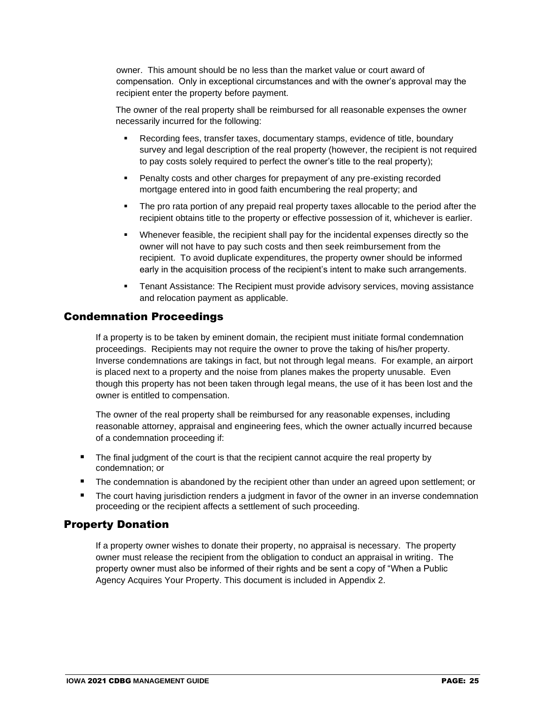owner. This amount should be no less than the market value or court award of compensation. Only in exceptional circumstances and with the owner's approval may the recipient enter the property before payment.

The owner of the real property shall be reimbursed for all reasonable expenses the owner necessarily incurred for the following:

- Recording fees, transfer taxes, documentary stamps, evidence of title, boundary survey and legal description of the real property (however, the recipient is not required to pay costs solely required to perfect the owner's title to the real property);
- Penalty costs and other charges for prepayment of any pre-existing recorded mortgage entered into in good faith encumbering the real property; and
- The pro rata portion of any prepaid real property taxes allocable to the period after the recipient obtains title to the property or effective possession of it, whichever is earlier.
- Whenever feasible, the recipient shall pay for the incidental expenses directly so the owner will not have to pay such costs and then seek reimbursement from the recipient. To avoid duplicate expenditures, the property owner should be informed early in the acquisition process of the recipient's intent to make such arrangements.
- Tenant Assistance: The Recipient must provide advisory services, moving assistance and relocation payment as applicable.

#### Condemnation Proceedings

If a property is to be taken by eminent domain, the recipient must initiate formal condemnation proceedings. Recipients may not require the owner to prove the taking of his/her property. Inverse condemnations are takings in fact, but not through legal means. For example, an airport is placed next to a property and the noise from planes makes the property unusable. Even though this property has not been taken through legal means, the use of it has been lost and the owner is entitled to compensation.

The owner of the real property shall be reimbursed for any reasonable expenses, including reasonable attorney, appraisal and engineering fees, which the owner actually incurred because of a condemnation proceeding if:

- The final judgment of the court is that the recipient cannot acquire the real property by condemnation; or
- The condemnation is abandoned by the recipient other than under an agreed upon settlement; or
- The court having jurisdiction renders a judgment in favor of the owner in an inverse condemnation proceeding or the recipient affects a settlement of such proceeding.

### Property Donation

If a property owner wishes to donate their property, no appraisal is necessary. The property owner must release the recipient from the obligation to conduct an appraisal in writing. The property owner must also be informed of their rights and be sent a copy of "When a Public Agency Acquires Your Property. This document is included in Appendix 2.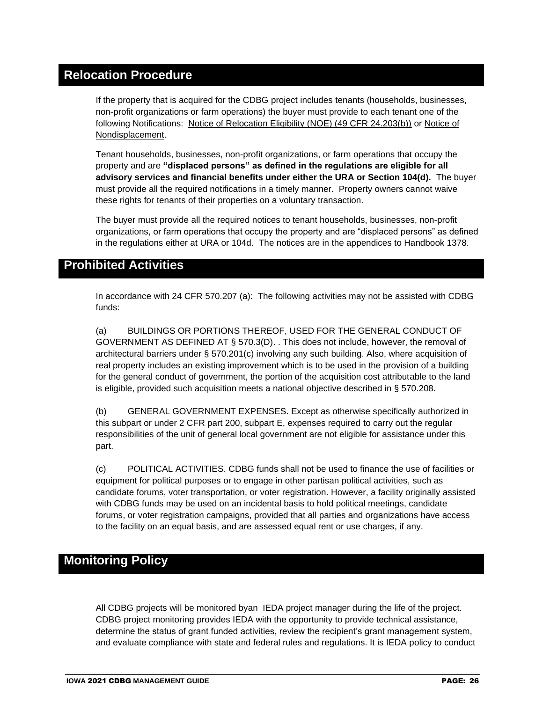# **Relocation Procedure**

If the property that is acquired for the CDBG project includes tenants (households, businesses, non-profit organizations or farm operations) the buyer must provide to each tenant one of the following Notifications: Notice of Relocation Eligibility (NOE) (49 CFR 24.203(b)) or Notice of Nondisplacement.

Tenant households, businesses, non-profit organizations, or farm operations that occupy the property and are **"displaced persons" as defined in the regulations are eligible for all advisory services and financial benefits under either the URA or Section 104(d).** The buyer must provide all the required notifications in a timely manner. Property owners cannot waive these rights for tenants of their properties on a voluntary transaction.

The buyer must provide all the required notices to tenant households, businesses, non-profit organizations, or farm operations that occupy the property and are "displaced persons" as defined in the regulations either at URA or 104d. The notices are in the appendices to Handbook 1378.

## **Prohibited Activities**

In accordance with 24 CFR 570.207 (a): The following activities may not be assisted with CDBG funds:

(a) BUILDINGS OR PORTIONS THEREOF, USED FOR THE GENERAL CONDUCT OF GOVERNMENT AS DEFINED AT § 570.3(D). . This does not include, however, the removal of architectural barriers under § 570.201(c) involving any such building. Also, where acquisition of real property includes an existing improvement which is to be used in the provision of a building for the general conduct of government, the portion of the acquisition cost attributable to the land is eligible, provided such acquisition meets a national objective described in § 570.208.

(b) GENERAL GOVERNMENT EXPENSES. Except as otherwise specifically authorized in this subpart or under 2 CFR part 200, subpart E, expenses required to carry out the regular responsibilities of the unit of general local government are not eligible for assistance under this part.

(c) POLITICAL ACTIVITIES. CDBG funds shall not be used to finance the use of facilities or equipment for political purposes or to engage in other partisan political activities, such as candidate forums, voter transportation, or voter registration. However, a facility originally assisted with CDBG funds may be used on an incidental basis to hold political meetings, candidate forums, or voter registration campaigns, provided that all parties and organizations have access to the facility on an equal basis, and are assessed equal rent or use charges, if any.

# **Monitoring Policy**

All CDBG projects will be monitored byan IEDA project manager during the life of the project. CDBG project monitoring provides IEDA with the opportunity to provide technical assistance, determine the status of grant funded activities, review the recipient's grant management system, and evaluate compliance with state and federal rules and regulations. It is IEDA policy to conduct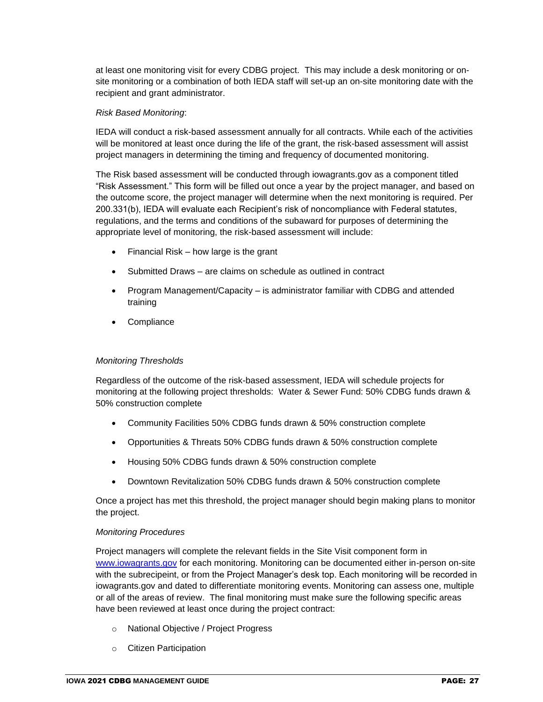at least one monitoring visit for every CDBG project. This may include a desk monitoring or onsite monitoring or a combination of both IEDA staff will set-up an on-site monitoring date with the recipient and grant administrator.

#### *Risk Based Monitoring*:

IEDA will conduct a risk-based assessment annually for all contracts. While each of the activities will be monitored at least once during the life of the grant, the risk-based assessment will assist project managers in determining the timing and frequency of documented monitoring.

The Risk based assessment will be conducted through iowagrants.gov as a component titled "Risk Assessment." This form will be filled out once a year by the project manager, and based on the outcome score, the project manager will determine when the next monitoring is required. Per 200.331(b), IEDA will evaluate each Recipient's risk of noncompliance with Federal statutes, regulations, and the terms and conditions of the subaward for purposes of determining the appropriate level of monitoring, the risk-based assessment will include:

- Financial Risk how large is the grant
- Submitted Draws are claims on schedule as outlined in contract
- Program Management/Capacity is administrator familiar with CDBG and attended training
- Compliance

#### *Monitoring Thresholds*

Regardless of the outcome of the risk-based assessment, IEDA will schedule projects for monitoring at the following project thresholds: Water & Sewer Fund: 50% CDBG funds drawn & 50% construction complete

- Community Facilities 50% CDBG funds drawn & 50% construction complete
- Opportunities & Threats 50% CDBG funds drawn & 50% construction complete
- Housing 50% CDBG funds drawn & 50% construction complete
- Downtown Revitalization 50% CDBG funds drawn & 50% construction complete

Once a project has met this threshold, the project manager should begin making plans to monitor the project.

#### *Monitoring Procedures*

Project managers will complete the relevant fields in the Site Visit component form in [www.iowagrants.gov](http://www.iowagrants.gov/) for each monitoring. Monitoring can be documented either in-person on-site with the subrecipeint, or from the Project Manager's desk top. Each monitoring will be recorded in iowagrants.gov and dated to differentiate monitoring events. Monitoring can assess one, multiple or all of the areas of review. The final monitoring must make sure the following specific areas have been reviewed at least once during the project contract:

- o National Objective / Project Progress
- o Citizen Participation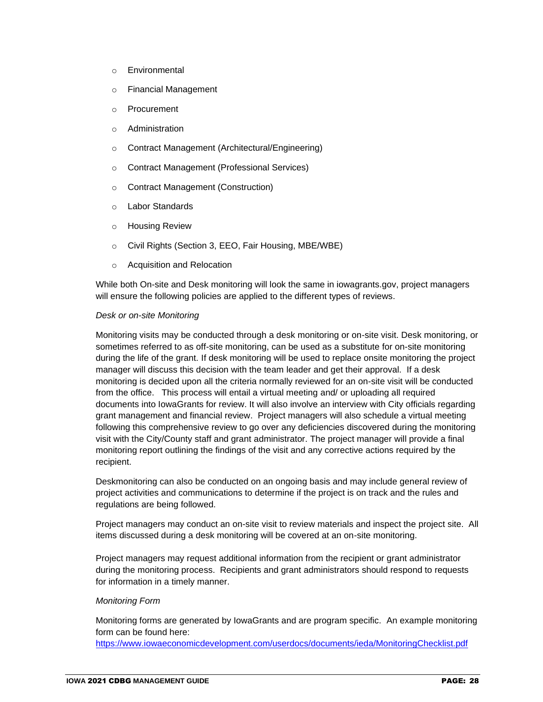- o Environmental
- o Financial Management
- o Procurement
- o Administration
- o Contract Management (Architectural/Engineering)
- o Contract Management (Professional Services)
- o Contract Management (Construction)
- o Labor Standards
- o Housing Review
- o Civil Rights (Section 3, EEO, Fair Housing, MBE/WBE)
- o Acquisition and Relocation

While both On-site and Desk monitoring will look the same in iowagrants.gov, project managers will ensure the following policies are applied to the different types of reviews.

#### *Desk or on-site Monitoring*

Monitoring visits may be conducted through a desk monitoring or on-site visit. Desk monitoring, or sometimes referred to as off-site monitoring, can be used as a substitute for on-site monitoring during the life of the grant. If desk monitoring will be used to replace onsite monitoring the project manager will discuss this decision with the team leader and get their approval. If a desk monitoring is decided upon all the criteria normally reviewed for an on-site visit will be conducted from the office. This process will entail a virtual meeting and/ or uploading all required documents into IowaGrants for review. It will also involve an interview with City officials regarding grant management and financial review. Project managers will also schedule a virtual meeting following this comprehensive review to go over any deficiencies discovered during the monitoring visit with the City/County staff and grant administrator. The project manager will provide a final monitoring report outlining the findings of the visit and any corrective actions required by the recipient.

Deskmonitoring can also be conducted on an ongoing basis and may include general review of project activities and communications to determine if the project is on track and the rules and regulations are being followed.

Project managers may conduct an on-site visit to review materials and inspect the project site. All items discussed during a desk monitoring will be covered at an on-site monitoring.

Project managers may request additional information from the recipient or grant administrator during the monitoring process. Recipients and grant administrators should respond to requests for information in a timely manner.

#### *Monitoring Form*

Monitoring forms are generated by IowaGrants and are program specific. An example monitoring form can be found here:

<https://www.iowaeconomicdevelopment.com/userdocs/documents/ieda/MonitoringChecklist.pdf>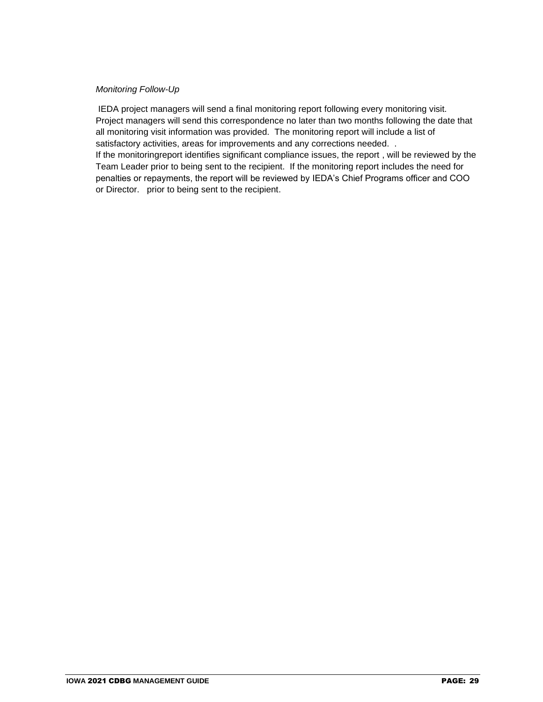#### *Monitoring Follow-Up*

IEDA project managers will send a final monitoring report following every monitoring visit. Project managers will send this correspondence no later than two months following the date that all monitoring visit information was provided. The monitoring report will include a list of satisfactory activities, areas for improvements and any corrections needed. . If the monitoringreport identifies significant compliance issues, the report , will be reviewed by the Team Leader prior to being sent to the recipient. If the monitoring report includes the need for penalties or repayments, the report will be reviewed by IEDA's Chief Programs officer and COO or Director. prior to being sent to the recipient.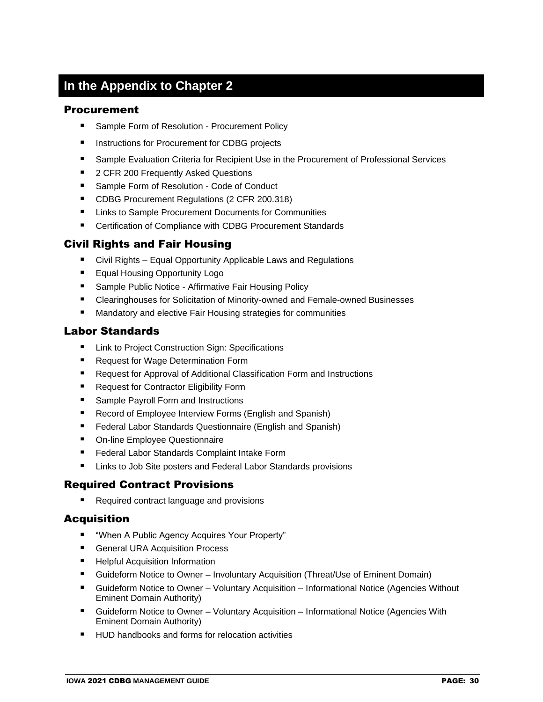# **In the Appendix to Chapter 2**

#### Procurement

- Sample Form of Resolution Procurement Policy
- Instructions for Procurement for CDBG projects
- Sample Evaluation Criteria for Recipient Use in the Procurement of Professional Services
- 2 CFR 200 Frequently Asked Questions
- Sample Form of Resolution Code of Conduct
- CDBG Procurement Regulations (2 CFR 200.318)
- Links to Sample Procurement Documents for Communities
- Certification of Compliance with CDBG Procurement Standards

### Civil Rights and Fair Housing

- Civil Rights Equal Opportunity Applicable Laws and Regulations
- Equal Housing Opportunity Logo
- Sample Public Notice Affirmative Fair Housing Policy
- Clearinghouses for Solicitation of Minority-owned and Female-owned Businesses
- Mandatory and elective Fair Housing strategies for communities

### Labor Standards

- Link to Project Construction Sign: Specifications
- Request for Wage Determination Form
- Request for Approval of Additional Classification Form and Instructions
- Request for Contractor Eligibility Form
- Sample Payroll Form and Instructions
- Record of Employee Interview Forms (English and Spanish)
- Federal Labor Standards Questionnaire (English and Spanish)
- On-line Employee Questionnaire
- Federal Labor Standards Complaint Intake Form
- Links to Job Site posters and Federal Labor Standards provisions

### Required Contract Provisions

Required contract language and provisions

## Acquisition

- "When A Public Agency Acquires Your Property"
- General URA Acquisition Process
- Helpful Acquisition Information
- Guideform Notice to Owner Involuntary Acquisition (Threat/Use of Eminent Domain)
- Guideform Notice to Owner Voluntary Acquisition Informational Notice (Agencies Without Eminent Domain Authority)
- Guideform Notice to Owner Voluntary Acquisition Informational Notice (Agencies With Eminent Domain Authority)
- HUD handbooks and forms for relocation activities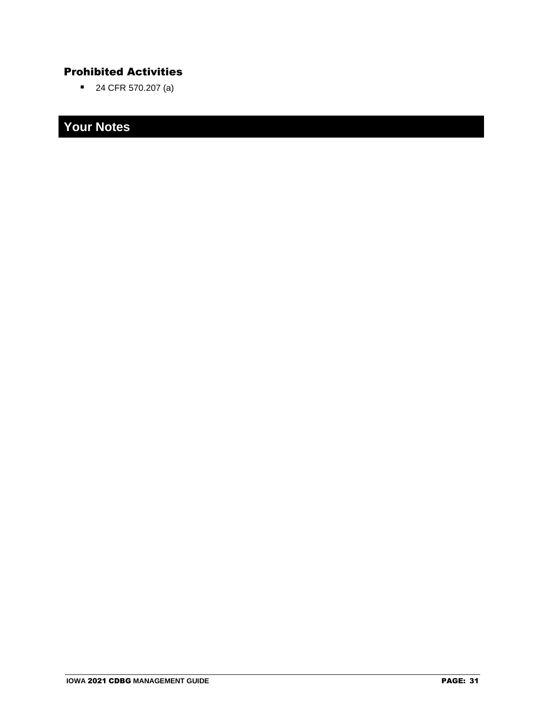# Prohibited Activities

■ 24 CFR 570.207 (a)

# **Your Notes**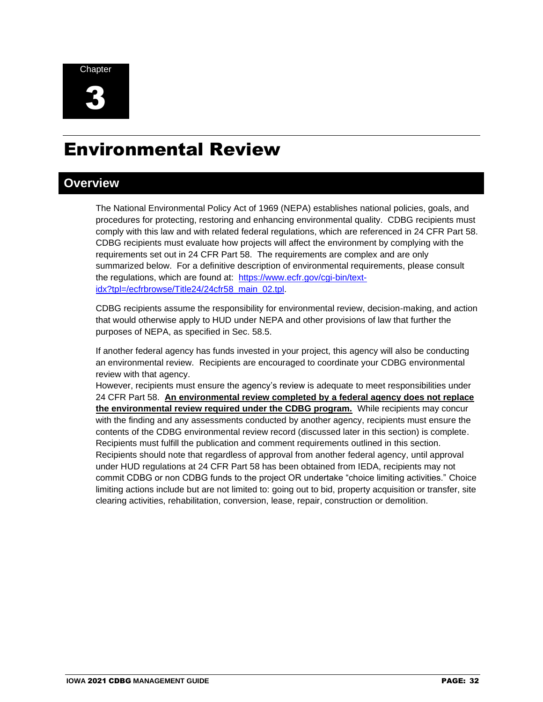

# Environmental Review

# **Overview**

The National Environmental Policy Act of 1969 (NEPA) establishes national policies, goals, and procedures for protecting, restoring and enhancing environmental quality. CDBG recipients must comply with this law and with related federal regulations, which are referenced in 24 CFR Part 58. CDBG recipients must evaluate how projects will affect the environment by complying with the requirements set out in 24 CFR Part 58. The requirements are complex and are only summarized below. For a definitive description of environmental requirements, please consult the regulations, which are found at: [https://www.ecfr.gov/cgi-bin/text](https://www.ecfr.gov/cgi-bin/text-idx?tpl=/ecfrbrowse/Title24/24cfr58_main_02.tpl)[idx?tpl=/ecfrbrowse/Title24/24cfr58\\_main\\_02.tpl.](https://www.ecfr.gov/cgi-bin/text-idx?tpl=/ecfrbrowse/Title24/24cfr58_main_02.tpl)

CDBG recipients assume the responsibility for environmental review, decision-making, and action that would otherwise apply to HUD under NEPA and other provisions of law that further the purposes of NEPA, as specified in Sec. 58.5.

If another federal agency has funds invested in your project, this agency will also be conducting an environmental review. Recipients are encouraged to coordinate your CDBG environmental review with that agency.

However, recipients must ensure the agency's review is adequate to meet responsibilities under 24 CFR Part 58. **An environmental review completed by a federal agency does not replace the environmental review required under the CDBG program.** While recipients may concur with the finding and any assessments conducted by another agency, recipients must ensure the contents of the CDBG environmental review record (discussed later in this section) is complete. Recipients must fulfill the publication and comment requirements outlined in this section. Recipients should note that regardless of approval from another federal agency, until approval under HUD regulations at 24 CFR Part 58 has been obtained from IEDA, recipients may not commit CDBG or non CDBG funds to the project OR undertake "choice limiting activities." Choice limiting actions include but are not limited to: going out to bid, property acquisition or transfer, site clearing activities, rehabilitation, conversion, lease, repair, construction or demolition.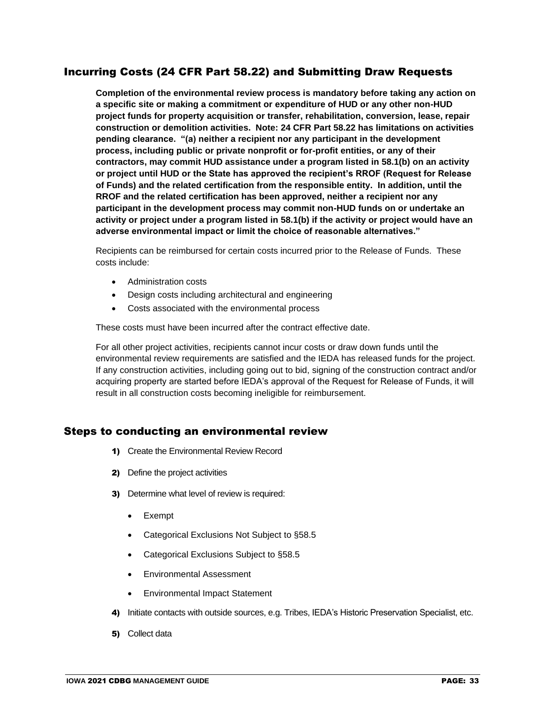## Incurring Costs (24 CFR Part 58.22) and Submitting Draw Requests

**Completion of the environmental review process is mandatory before taking any action on a specific site or making a commitment or expenditure of HUD or any other non-HUD project funds for property acquisition or transfer, rehabilitation, conversion, lease, repair construction or demolition activities. Note: 24 CFR Part 58.22 has limitations on activities pending clearance. "(a) neither a recipient nor any participant in the development process, including public or private nonprofit or for-profit entities, or any of their contractors, may commit HUD assistance under a program listed in 58.1(b) on an activity or project until HUD or the State has approved the recipient's RROF (Request for Release of Funds) and the related certification from the responsible entity. In addition, until the RROF and the related certification has been approved, neither a recipient nor any participant in the development process may commit non-HUD funds on or undertake an activity or project under a program listed in 58.1(b) if the activity or project would have an adverse environmental impact or limit the choice of reasonable alternatives."** 

Recipients can be reimbursed for certain costs incurred prior to the Release of Funds. These costs include:

- Administration costs
- Design costs including architectural and engineering
- Costs associated with the environmental process

These costs must have been incurred after the contract effective date.

For all other project activities, recipients cannot incur costs or draw down funds until the environmental review requirements are satisfied and the IEDA has released funds for the project. If any construction activities, including going out to bid, signing of the construction contract and/or acquiring property are started before IEDA's approval of the Request for Release of Funds, it will result in all construction costs becoming ineligible for reimbursement.

#### Steps to conducting an environmental review

- 1) Create the Environmental Review Record
- 2) Define the project activities
- 3) Determine what level of review is required:
	- Exempt
	- Categorical Exclusions Not Subject to §58.5
	- Categorical Exclusions Subject to §58.5
	- Environmental Assessment
	- Environmental Impact Statement
- 4) Initiate contacts with outside sources, e.g. Tribes, IEDA's Historic Preservation Specialist, etc.
- 5) Collect data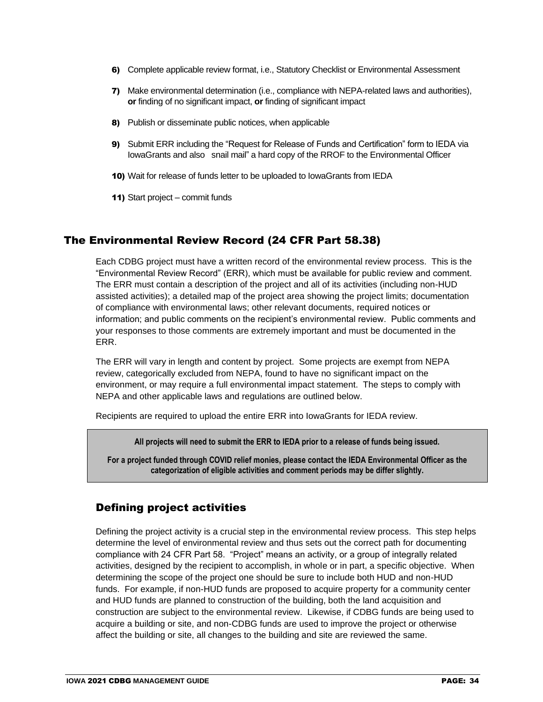- 6) Complete applicable review format, i.e., Statutory Checklist or Environmental Assessment
- 7) Make environmental determination (i.e., compliance with NEPA-related laws and authorities), **or** finding of no significant impact, **or** finding of significant impact
- 8) Publish or disseminate public notices, when applicable
- 9) Submit ERR including the "Request for Release of Funds and Certification" form to IEDA via IowaGrants and also snail mail" a hard copy of the RROF to the Environmental Officer
- 10) Wait for release of funds letter to be uploaded to IowaGrants from IEDA
- 11) Start project commit funds

### The Environmental Review Record (24 CFR Part 58.38)

Each CDBG project must have a written record of the environmental review process. This is the "Environmental Review Record" (ERR), which must be available for public review and comment. The ERR must contain a description of the project and all of its activities (including non-HUD assisted activities); a detailed map of the project area showing the project limits; documentation of compliance with environmental laws; other relevant documents, required notices or information; and public comments on the recipient's environmental review. Public comments and your responses to those comments are extremely important and must be documented in the ERR.

The ERR will vary in length and content by project. Some projects are exempt from NEPA review, categorically excluded from NEPA, found to have no significant impact on the environment, or may require a full environmental impact statement. The steps to comply with NEPA and other applicable laws and regulations are outlined below.

Recipients are required to upload the entire ERR into IowaGrants for IEDA review.

**All projects will need to submit the ERR to IEDA prior to a release of funds being issued.**

**For a project funded through COVID relief monies, please contact the IEDA Environmental Officer as the categorization of eligible activities and comment periods may be differ slightly.** 

### Defining project activities

Defining the project activity is a crucial step in the environmental review process. This step helps determine the level of environmental review and thus sets out the correct path for documenting compliance with 24 CFR Part 58. "Project" means an activity, or a group of integrally related activities, designed by the recipient to accomplish, in whole or in part, a specific objective. When determining the scope of the project one should be sure to include both HUD and non-HUD funds. For example, if non-HUD funds are proposed to acquire property for a community center and HUD funds are planned to construction of the building, both the land acquisition and construction are subject to the environmental review. Likewise, if CDBG funds are being used to acquire a building or site, and non-CDBG funds are used to improve the project or otherwise affect the building or site, all changes to the building and site are reviewed the same.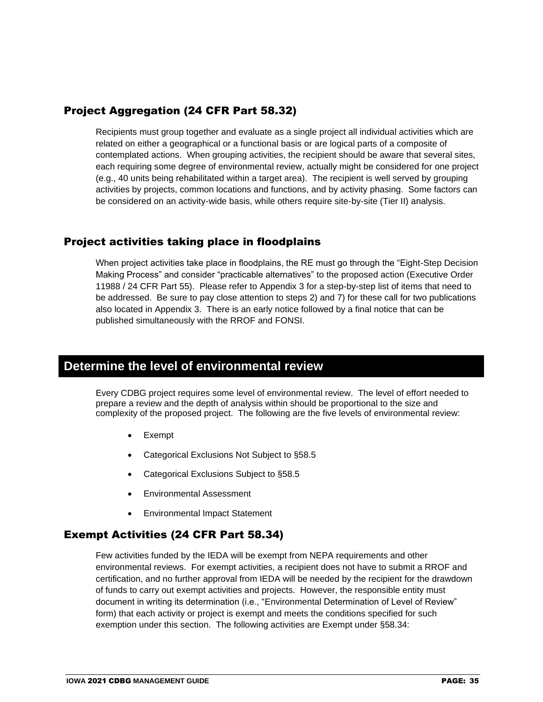## Project Aggregation (24 CFR Part 58.32)

Recipients must group together and evaluate as a single project all individual activities which are related on either a geographical or a functional basis or are logical parts of a composite of contemplated actions. When grouping activities, the recipient should be aware that several sites, each requiring some degree of environmental review, actually might be considered for one project (e.g., 40 units being rehabilitated within a target area). The recipient is well served by grouping activities by projects, common locations and functions, and by activity phasing. Some factors can be considered on an activity-wide basis, while others require site-by-site (Tier II) analysis.

### Project activities taking place in floodplains

When project activities take place in floodplains, the RE must go through the "Eight-Step Decision Making Process" and consider "practicable alternatives" to the proposed action (Executive Order 11988 / 24 CFR Part 55). Please refer to Appendix 3 for a step-by-step list of items that need to be addressed. Be sure to pay close attention to steps 2) and 7) for these call for two publications also located in Appendix 3. There is an early notice followed by a final notice that can be published simultaneously with the RROF and FONSI.

# **Determine the level of environmental review**

Every CDBG project requires some level of environmental review. The level of effort needed to prepare a review and the depth of analysis within should be proportional to the size and complexity of the proposed project. The following are the five levels of environmental review:

- **Exempt**
- Categorical Exclusions Not Subject to §58.5
- Categorical Exclusions Subject to §58.5
- Environmental Assessment
- Environmental Impact Statement

## Exempt Activities (24 CFR Part 58.34)

Few activities funded by the IEDA will be exempt from NEPA requirements and other environmental reviews. For exempt activities, a recipient does not have to submit a RROF and certification, and no further approval from IEDA will be needed by the recipient for the drawdown of funds to carry out exempt activities and projects. However, the responsible entity must document in writing its determination (i.e., "Environmental Determination of Level of Review" form) that each activity or project is exempt and meets the conditions specified for such exemption under this section. The following activities are Exempt under §58.34: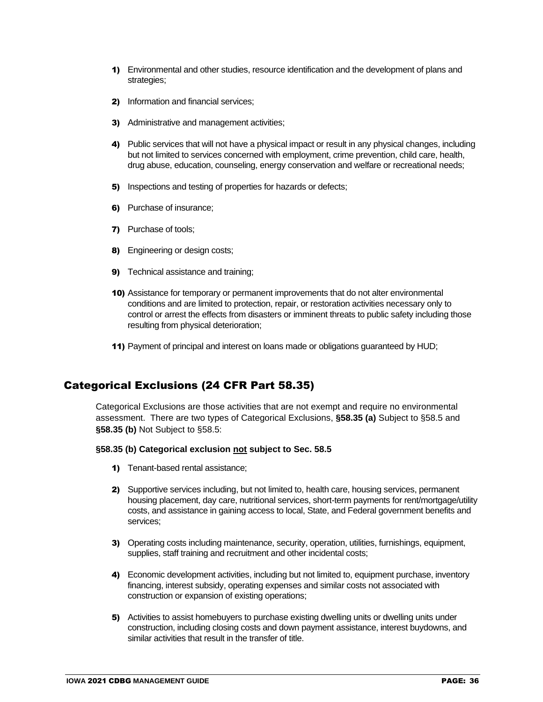- 1) Environmental and other studies, resource identification and the development of plans and strategies;
- 2) Information and financial services;
- 3) Administrative and management activities;
- 4) Public services that will not have a physical impact or result in any physical changes, including but not limited to services concerned with employment, crime prevention, child care, health, drug abuse, education, counseling, energy conservation and welfare or recreational needs;
- 5) Inspections and testing of properties for hazards or defects;
- 6) Purchase of insurance;
- 7) Purchase of tools;
- 8) Engineering or design costs;
- 9) Technical assistance and training;
- 10) Assistance for temporary or permanent improvements that do not alter environmental conditions and are limited to protection, repair, or restoration activities necessary only to control or arrest the effects from disasters or imminent threats to public safety including those resulting from physical deterioration;
- 11) Payment of principal and interest on loans made or obligations guaranteed by HUD;

### Categorical Exclusions (24 CFR Part 58.35)

Categorical Exclusions are those activities that are not exempt and require no environmental assessment. There are two types of Categorical Exclusions, **§58.35 (a)** Subject to §58.5 and **§58.35 (b)** Not Subject to §58.5:

#### **§58.35 (b) Categorical exclusion not subject to Sec. 58.5**

- 1) Tenant-based rental assistance;
- 2) Supportive services including, but not limited to, health care, housing services, permanent housing placement, day care, nutritional services, short-term payments for rent/mortgage/utility costs, and assistance in gaining access to local, State, and Federal government benefits and services;
- 3) Operating costs including maintenance, security, operation, utilities, furnishings, equipment, supplies, staff training and recruitment and other incidental costs;
- 4) Economic development activities, including but not limited to, equipment purchase, inventory financing, interest subsidy, operating expenses and similar costs not associated with construction or expansion of existing operations;
- 5) Activities to assist homebuyers to purchase existing dwelling units or dwelling units under construction, including closing costs and down payment assistance, interest buydowns, and similar activities that result in the transfer of title.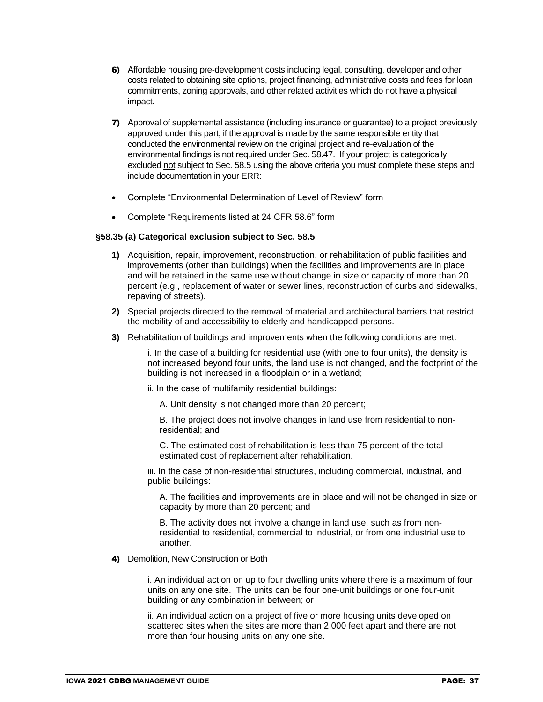- 6) Affordable housing pre-development costs including legal, consulting, developer and other costs related to obtaining site options, project financing, administrative costs and fees for loan commitments, zoning approvals, and other related activities which do not have a physical impact.
- 7) Approval of supplemental assistance (including insurance or guarantee) to a project previously approved under this part, if the approval is made by the same responsible entity that conducted the environmental review on the original project and re-evaluation of the environmental findings is not required under Sec. 58.47. If your project is categorically excluded not subject to Sec. 58.5 using the above criteria you must complete these steps and include documentation in your ERR:
- Complete "Environmental Determination of Level of Review" form
- Complete "Requirements listed at 24 CFR 58.6" form

#### **§58.35 (a) Categorical exclusion subject to Sec. 58.5**

- **1)** Acquisition, repair, improvement, reconstruction, or rehabilitation of public facilities and improvements (other than buildings) when the facilities and improvements are in place and will be retained in the same use without change in size or capacity of more than 20 percent (e.g., replacement of water or sewer lines, reconstruction of curbs and sidewalks, repaving of streets).
- **2)** Special projects directed to the removal of material and architectural barriers that restrict the mobility of and accessibility to elderly and handicapped persons.
- **3)** Rehabilitation of buildings and improvements when the following conditions are met:

i. In the case of a building for residential use (with one to four units), the density is not increased beyond four units, the land use is not changed, and the footprint of the building is not increased in a floodplain or in a wetland;

ii. In the case of multifamily residential buildings:

A. Unit density is not changed more than 20 percent;

B. The project does not involve changes in land use from residential to nonresidential; and

C. The estimated cost of rehabilitation is less than 75 percent of the total estimated cost of replacement after rehabilitation.

iii. In the case of non-residential structures, including commercial, industrial, and public buildings:

A. The facilities and improvements are in place and will not be changed in size or capacity by more than 20 percent; and

B. The activity does not involve a change in land use, such as from nonresidential to residential, commercial to industrial, or from one industrial use to another.

4) Demolition, New Construction or Both

i. An individual action on up to four dwelling units where there is a maximum of four units on any one site. The units can be four one-unit buildings or one four-unit building or any combination in between; or

ii. An individual action on a project of five or more housing units developed on scattered sites when the sites are more than 2,000 feet apart and there are not more than four housing units on any one site.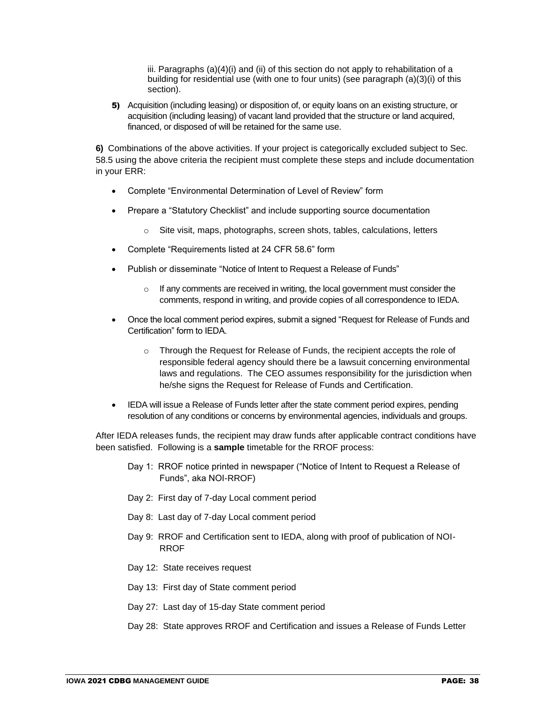iii. Paragraphs (a)(4)(i) and (ii) of this section do not apply to rehabilitation of a building for residential use (with one to four units) (see paragraph (a)(3)(i) of this section).

5) Acquisition (including leasing) or disposition of, or equity loans on an existing structure, or acquisition (including leasing) of vacant land provided that the structure or land acquired, financed, or disposed of will be retained for the same use.

**6)** Combinations of the above activities. If your project is categorically excluded subject to Sec. 58.5 using the above criteria the recipient must complete these steps and include documentation in your ERR:

- Complete "Environmental Determination of Level of Review" form
- Prepare a "Statutory Checklist" and include supporting source documentation
	- o Site visit, maps, photographs, screen shots, tables, calculations, letters
- Complete "Requirements listed at 24 CFR 58.6" form
- Publish or disseminate "Notice of Intent to Request a Release of Funds"
	- $\circ$  If any comments are received in writing, the local government must consider the comments, respond in writing, and provide copies of all correspondence to IEDA.
- Once the local comment period expires, submit a signed "Request for Release of Funds and Certification" form to IEDA.
	- $\circ$  Through the Request for Release of Funds, the recipient accepts the role of responsible federal agency should there be a lawsuit concerning environmental laws and regulations. The CEO assumes responsibility for the jurisdiction when he/she signs the Request for Release of Funds and Certification.
- IEDA will issue a Release of Funds letter after the state comment period expires, pending resolution of any conditions or concerns by environmental agencies, individuals and groups.

After IEDA releases funds, the recipient may draw funds after applicable contract conditions have been satisfied. Following is a **sample** timetable for the RROF process:

- Day 1: RROF notice printed in newspaper ("Notice of Intent to Request a Release of Funds", aka NOI-RROF)
- Day 2: First day of 7-day Local comment period
- Day 8: Last day of 7-day Local comment period
- Day 9: RROF and Certification sent to IEDA, along with proof of publication of NOI-RROF
- Day 12: State receives request
- Day 13: First day of State comment period
- Day 27: Last day of 15-day State comment period
- Day 28: State approves RROF and Certification and issues a Release of Funds Letter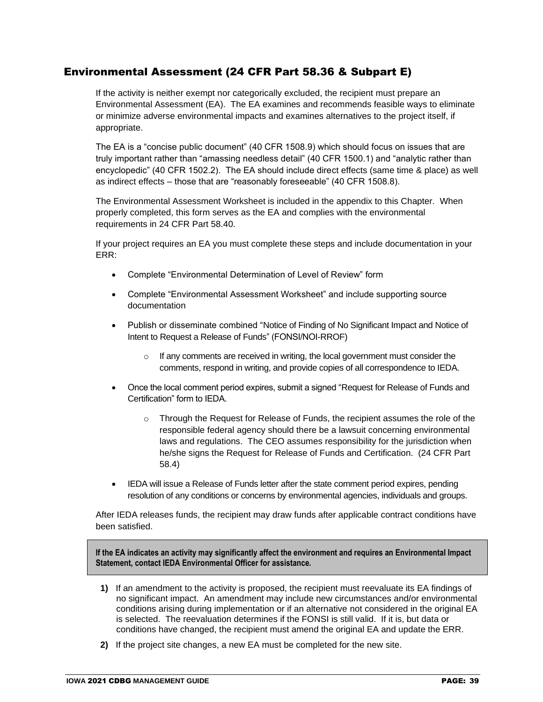#### Environmental Assessment (24 CFR Part 58.36 & Subpart E)

If the activity is neither exempt nor categorically excluded, the recipient must prepare an Environmental Assessment (EA). The EA examines and recommends feasible ways to eliminate or minimize adverse environmental impacts and examines alternatives to the project itself, if appropriate.

The EA is a "concise public document" (40 CFR 1508.9) which should focus on issues that are truly important rather than "amassing needless detail" (40 CFR 1500.1) and "analytic rather than encyclopedic" (40 CFR 1502.2). The EA should include direct effects (same time & place) as well as indirect effects – those that are "reasonably foreseeable" (40 CFR 1508.8).

The Environmental Assessment Worksheet is included in the appendix to this Chapter. When properly completed, this form serves as the EA and complies with the environmental requirements in 24 CFR Part 58.40.

If your project requires an EA you must complete these steps and include documentation in your ERR:

- Complete "Environmental Determination of Level of Review" form
- Complete "Environmental Assessment Worksheet" and include supporting source documentation
- Publish or disseminate combined "Notice of Finding of No Significant Impact and Notice of Intent to Request a Release of Funds" (FONSI/NOI-RROF)
	- $\circ$  If any comments are received in writing, the local government must consider the comments, respond in writing, and provide copies of all correspondence to IEDA.
- Once the local comment period expires, submit a signed "Request for Release of Funds and Certification" form to IEDA.
	- Through the Request for Release of Funds, the recipient assumes the role of the responsible federal agency should there be a lawsuit concerning environmental laws and regulations. The CEO assumes responsibility for the jurisdiction when he/she signs the Request for Release of Funds and Certification. (24 CFR Part 58.4)
- IEDA will issue a Release of Funds letter after the state comment period expires, pending resolution of any conditions or concerns by environmental agencies, individuals and groups.

After IEDA releases funds, the recipient may draw funds after applicable contract conditions have been satisfied.

**If the EA indicates an activity may significantly affect the environment and requires an Environmental Impact Statement, contact IEDA Environmental Officer for assistance.**

- **1)** If an amendment to the activity is proposed, the recipient must reevaluate its EA findings of no significant impact. An amendment may include new circumstances and/or environmental conditions arising during implementation or if an alternative not considered in the original EA is selected. The reevaluation determines if the FONSI is still valid. If it is, but data or conditions have changed, the recipient must amend the original EA and update the ERR.
- **2)** If the project site changes, a new EA must be completed for the new site.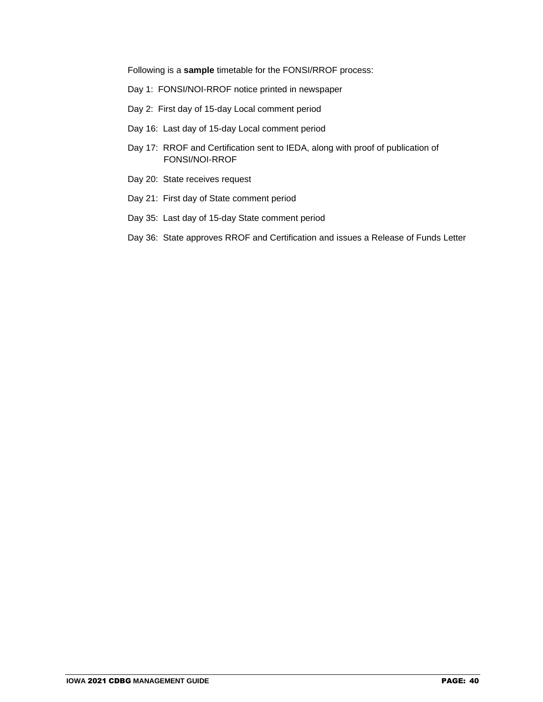Following is a **sample** timetable for the FONSI/RROF process:

- Day 1: FONSI/NOI-RROF notice printed in newspaper
- Day 2: First day of 15-day Local comment period
- Day 16: Last day of 15-day Local comment period
- Day 17: RROF and Certification sent to IEDA, along with proof of publication of FONSI/NOI-RROF
- Day 20: State receives request
- Day 21: First day of State comment period
- Day 35: Last day of 15-day State comment period
- Day 36: State approves RROF and Certification and issues a Release of Funds Letter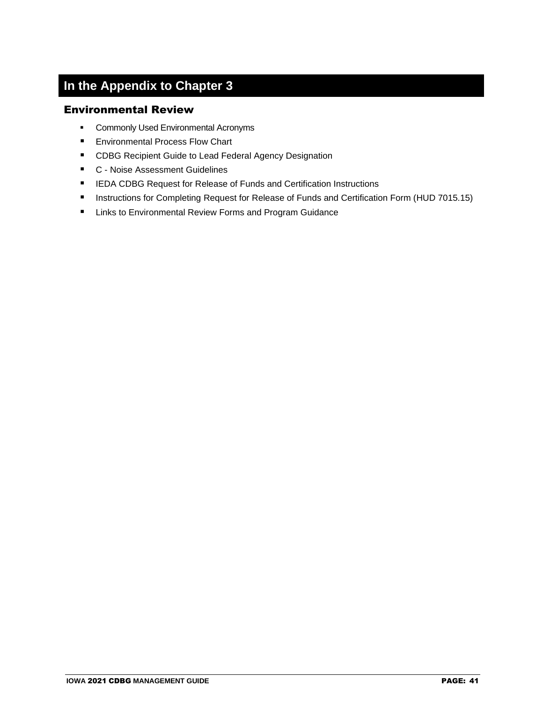## **In the Appendix to Chapter 3**

#### Environmental Review

- **Commonly Used Environmental Acronyms**
- Environmental Process Flow Chart
- CDBG Recipient Guide to Lead Federal Agency Designation
- C Noise Assessment Guidelines
- IEDA CDBG Request for Release of Funds and Certification Instructions
- Instructions for Completing Request for Release of Funds and Certification Form (HUD 7015.15)
- Links to Environmental Review Forms and Program Guidance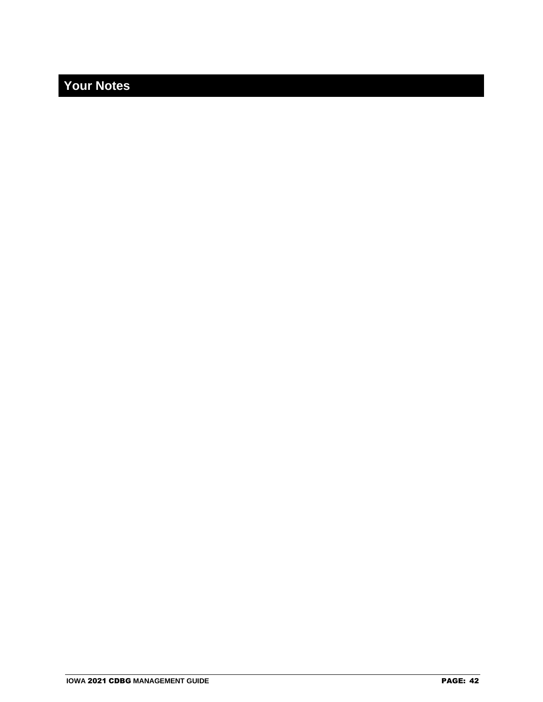## **Your Notes**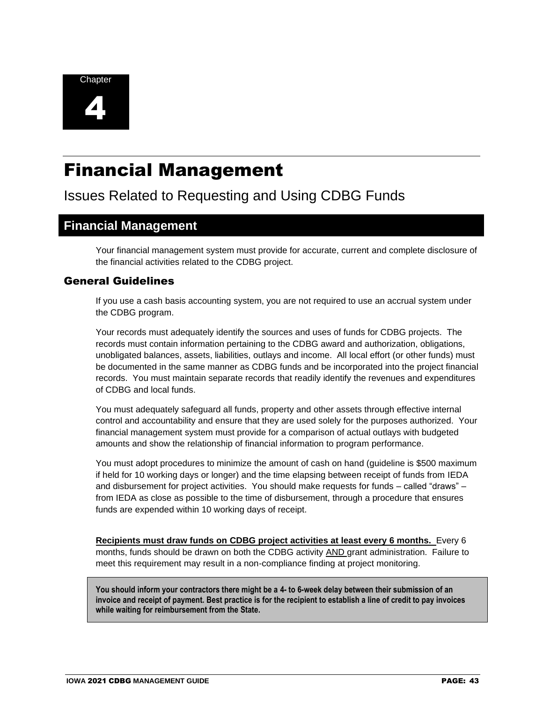

# Financial Management

## Issues Related to Requesting and Using CDBG Funds

### **Financial Management**

Your financial management system must provide for accurate, current and complete disclosure of the financial activities related to the CDBG project.

#### General Guidelines

If you use a cash basis accounting system, you are not required to use an accrual system under the CDBG program.

Your records must adequately identify the sources and uses of funds for CDBG projects. The records must contain information pertaining to the CDBG award and authorization, obligations, unobligated balances, assets, liabilities, outlays and income. All local effort (or other funds) must be documented in the same manner as CDBG funds and be incorporated into the project financial records. You must maintain separate records that readily identify the revenues and expenditures of CDBG and local funds.

You must adequately safeguard all funds, property and other assets through effective internal control and accountability and ensure that they are used solely for the purposes authorized. Your financial management system must provide for a comparison of actual outlays with budgeted amounts and show the relationship of financial information to program performance.

You must adopt procedures to minimize the amount of cash on hand (guideline is \$500 maximum if held for 10 working days or longer) and the time elapsing between receipt of funds from IEDA and disbursement for project activities. You should make requests for funds – called "draws" – from IEDA as close as possible to the time of disbursement, through a procedure that ensures funds are expended within 10 working days of receipt.

**Recipients must draw funds on CDBG project activities at least every 6 months.** Every 6 months, funds should be drawn on both the CDBG activity AND grant administration. Failure to meet this requirement may result in a non-compliance finding at project monitoring.

**You should inform your contractors there might be a 4- to 6-week delay between their submission of an invoice and receipt of payment. Best practice is for the recipient to establish a line of credit to pay invoices while waiting for reimbursement from the State.**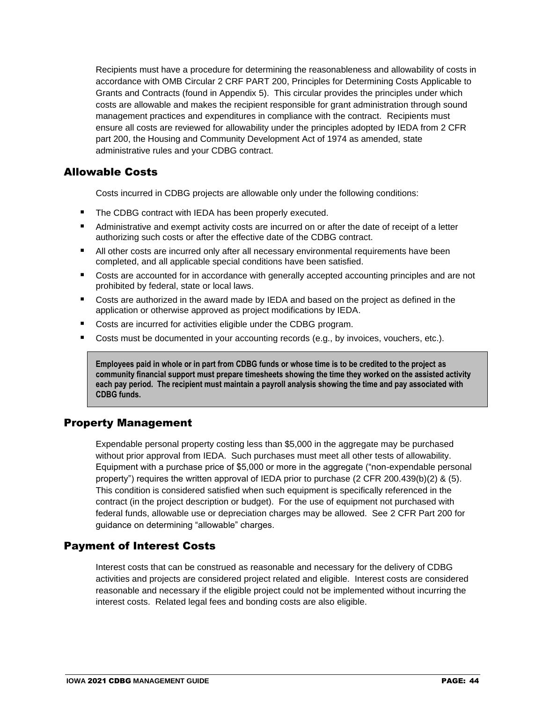Recipients must have a procedure for determining the reasonableness and allowability of costs in accordance with OMB Circular 2 CRF PART 200, Principles for Determining Costs Applicable to Grants and Contracts (found in Appendix 5). This circular provides the principles under which costs are allowable and makes the recipient responsible for grant administration through sound management practices and expenditures in compliance with the contract. Recipients must ensure all costs are reviewed for allowability under the principles adopted by IEDA from 2 CFR part 200, the Housing and Community Development Act of 1974 as amended, state administrative rules and your CDBG contract.

#### Allowable Costs

Costs incurred in CDBG projects are allowable only under the following conditions:

- The CDBG contract with IEDA has been properly executed.
- Administrative and exempt activity costs are incurred on or after the date of receipt of a letter authorizing such costs or after the effective date of the CDBG contract.
- All other costs are incurred only after all necessary environmental requirements have been completed, and all applicable special conditions have been satisfied.
- Costs are accounted for in accordance with generally accepted accounting principles and are not prohibited by federal, state or local laws.
- Costs are authorized in the award made by IEDA and based on the project as defined in the application or otherwise approved as project modifications by IEDA.
- Costs are incurred for activities eligible under the CDBG program.
- Costs must be documented in your accounting records (e.g., by invoices, vouchers, etc.).

**Employees paid in whole or in part from CDBG funds or whose time is to be credited to the project as community financial support must prepare timesheets showing the time they worked on the assisted activity each pay period. The recipient must maintain a payroll analysis showing the time and pay associated with CDBG funds.**

#### Property Management

Expendable personal property costing less than \$5,000 in the aggregate may be purchased without prior approval from IEDA. Such purchases must meet all other tests of allowability. Equipment with a purchase price of \$5,000 or more in the aggregate ("non-expendable personal property") requires the written approval of IEDA prior to purchase (2 CFR 200.439(b)(2) & (5). This condition is considered satisfied when such equipment is specifically referenced in the contract (in the project description or budget). For the use of equipment not purchased with federal funds, allowable use or depreciation charges may be allowed. See 2 CFR Part 200 for guidance on determining "allowable" charges.

#### Payment of Interest Costs

Interest costs that can be construed as reasonable and necessary for the delivery of CDBG activities and projects are considered project related and eligible. Interest costs are considered reasonable and necessary if the eligible project could not be implemented without incurring the interest costs. Related legal fees and bonding costs are also eligible.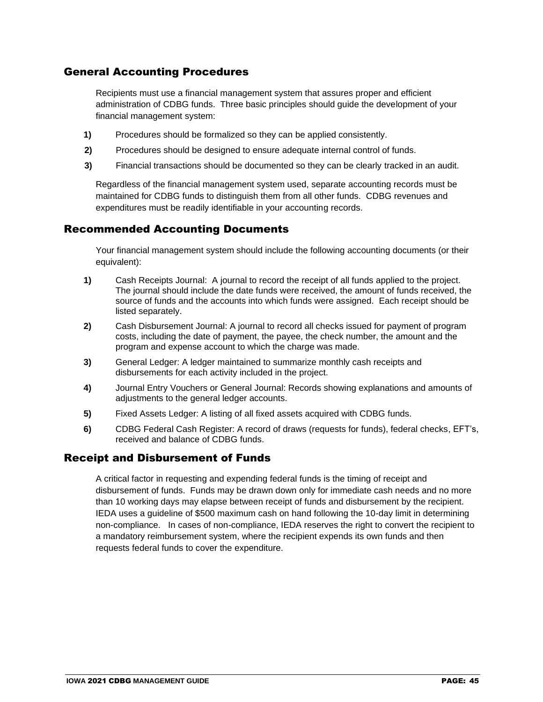#### General Accounting Procedures

Recipients must use a financial management system that assures proper and efficient administration of CDBG funds. Three basic principles should guide the development of your financial management system:

- **1)** Procedures should be formalized so they can be applied consistently.
- **2)** Procedures should be designed to ensure adequate internal control of funds.
- **3)** Financial transactions should be documented so they can be clearly tracked in an audit.

Regardless of the financial management system used, separate accounting records must be maintained for CDBG funds to distinguish them from all other funds. CDBG revenues and expenditures must be readily identifiable in your accounting records.

#### Recommended Accounting Documents

Your financial management system should include the following accounting documents (or their equivalent):

- **1)** Cash Receipts Journal: A journal to record the receipt of all funds applied to the project. The journal should include the date funds were received, the amount of funds received, the source of funds and the accounts into which funds were assigned. Each receipt should be listed separately.
- **2)** Cash Disbursement Journal: A journal to record all checks issued for payment of program costs, including the date of payment, the payee, the check number, the amount and the program and expense account to which the charge was made.
- **3)** General Ledger: A ledger maintained to summarize monthly cash receipts and disbursements for each activity included in the project.
- **4)** Journal Entry Vouchers or General Journal: Records showing explanations and amounts of adjustments to the general ledger accounts.
- **5)** Fixed Assets Ledger: A listing of all fixed assets acquired with CDBG funds.
- **6)** CDBG Federal Cash Register: A record of draws (requests for funds), federal checks, EFT's, received and balance of CDBG funds.

#### Receipt and Disbursement of Funds

A critical factor in requesting and expending federal funds is the timing of receipt and disbursement of funds. Funds may be drawn down only for immediate cash needs and no more than 10 working days may elapse between receipt of funds and disbursement by the recipient. IEDA uses a guideline of \$500 maximum cash on hand following the 10-day limit in determining non-compliance. In cases of non-compliance, IEDA reserves the right to convert the recipient to a mandatory reimbursement system, where the recipient expends its own funds and then requests federal funds to cover the expenditure.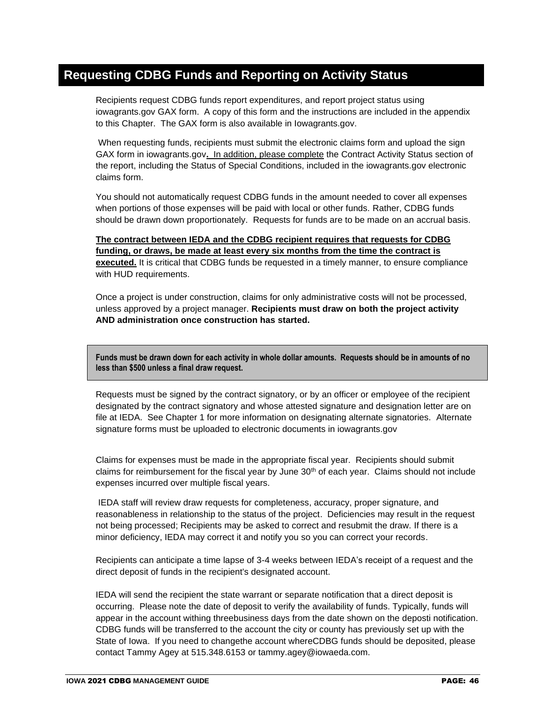## **Requesting CDBG Funds and Reporting on Activity Status**

Recipients request CDBG funds report expenditures, and report project status using iowagrants.gov GAX form. A copy of this form and the instructions are included in the appendix to this Chapter. The GAX form is also available in Iowagrants.gov.

When requesting funds, recipients must submit the electronic claims form and upload the sign GAX form in iowagrants.gov**.** In addition, please complete the Contract Activity Status section of the report, including the Status of Special Conditions, included in the iowagrants.gov electronic claims form.

You should not automatically request CDBG funds in the amount needed to cover all expenses when portions of those expenses will be paid with local or other funds. Rather, CDBG funds should be drawn down proportionately. Requests for funds are to be made on an accrual basis.

**The contract between IEDA and the CDBG recipient requires that requests for CDBG funding, or draws, be made at least every six months from the time the contract is executed.** It is critical that CDBG funds be requested in a timely manner, to ensure compliance with HUD requirements.

Once a project is under construction, claims for only administrative costs will not be processed, unless approved by a project manager. **Recipients must draw on both the project activity AND administration once construction has started.** 

**Funds must be drawn down for each activity in whole dollar amounts. Requests should be in amounts of no less than \$500 unless a final draw request.**

Requests must be signed by the contract signatory, or by an officer or employee of the recipient designated by the contract signatory and whose attested signature and designation letter are on file at IEDA. See Chapter 1 for more information on designating alternate signatories. Alternate signature forms must be uploaded to electronic documents in iowagrants.gov

Claims for expenses must be made in the appropriate fiscal year. Recipients should submit claims for reimbursement for the fiscal year by June  $30<sup>th</sup>$  of each year. Claims should not include expenses incurred over multiple fiscal years.

IEDA staff will review draw requests for completeness, accuracy, proper signature, and reasonableness in relationship to the status of the project. Deficiencies may result in the request not being processed; Recipients may be asked to correct and resubmit the draw. If there is a minor deficiency, IEDA may correct it and notify you so you can correct your records.

Recipients can anticipate a time lapse of 3-4 weeks between IEDA's receipt of a request and the direct deposit of funds in the recipient's designated account.

IEDA will send the recipient the state warrant or separate notification that a direct deposit is occurring. Please note the date of deposit to verify the availability of funds. Typically, funds will appear in the account withing threebusiness days from the date shown on the deposti notification. CDBG funds will be transferred to the account the city or county has previously set up with the State of Iowa. If you need to changethe account whereCDBG funds should be deposited, please contact Tammy Agey at 515.348.6153 or tammy.agey@iowaeda.com.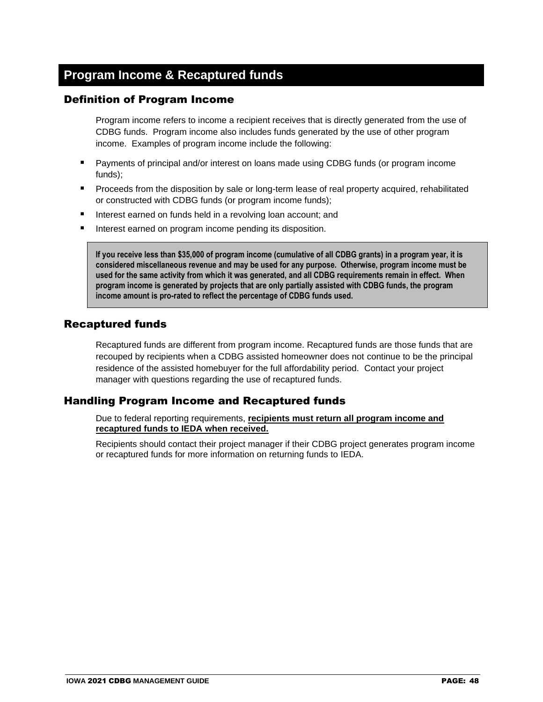## **Program Income & Recaptured funds**

#### Definition of Program Income

Program income refers to income a recipient receives that is directly generated from the use of CDBG funds. Program income also includes funds generated by the use of other program income. Examples of program income include the following:

- Payments of principal and/or interest on loans made using CDBG funds (or program income funds);
- **•** Proceeds from the disposition by sale or long-term lease of real property acquired, rehabilitated or constructed with CDBG funds (or program income funds);
- Interest earned on funds held in a revolving loan account; and
- Interest earned on program income pending its disposition.

**If you receive less than \$35,000 of program income (cumulative of all CDBG grants) in a program year, it is considered miscellaneous revenue and may be used for any purpose. Otherwise, program income must be used for the same activity from which it was generated, and all CDBG requirements remain in effect. When program income is generated by projects that are only partially assisted with CDBG funds, the program income amount is pro-rated to reflect the percentage of CDBG funds used.**

#### Recaptured funds

Recaptured funds are different from program income. Recaptured funds are those funds that are recouped by recipients when a CDBG assisted homeowner does not continue to be the principal residence of the assisted homebuyer for the full affordability period. Contact your project manager with questions regarding the use of recaptured funds.

#### Handling Program Income and Recaptured funds

Due to federal reporting requirements, **recipients must return all program income and recaptured funds to IEDA when received.**

Recipients should contact their project manager if their CDBG project generates program income or recaptured funds for more information on returning funds to IEDA.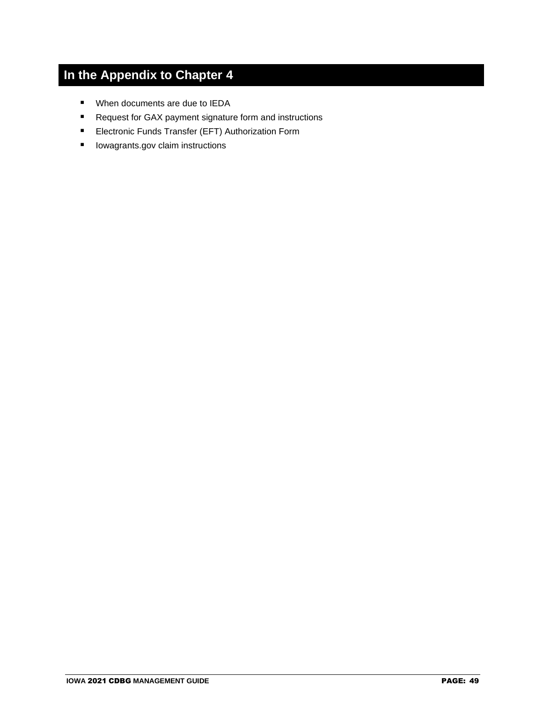## **In the Appendix to Chapter 4**

- When documents are due to IEDA
- Request for GAX payment signature form and instructions
- Electronic Funds Transfer (EFT) Authorization Form
- Iowagrants.gov claim instructions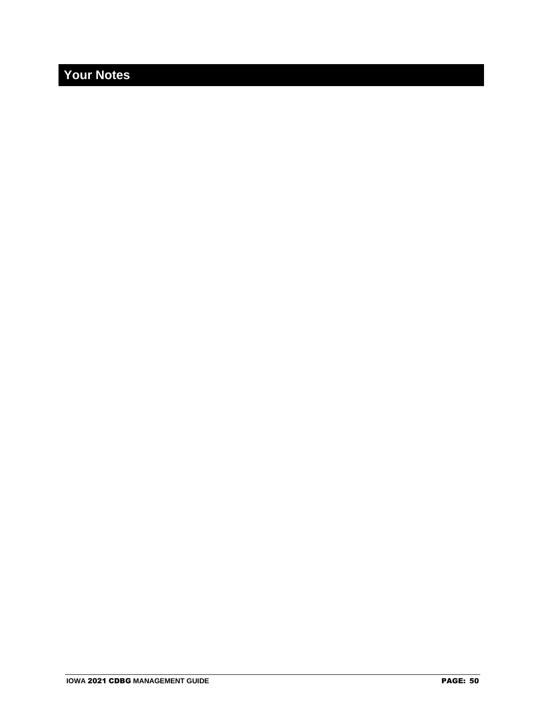## **Your Notes**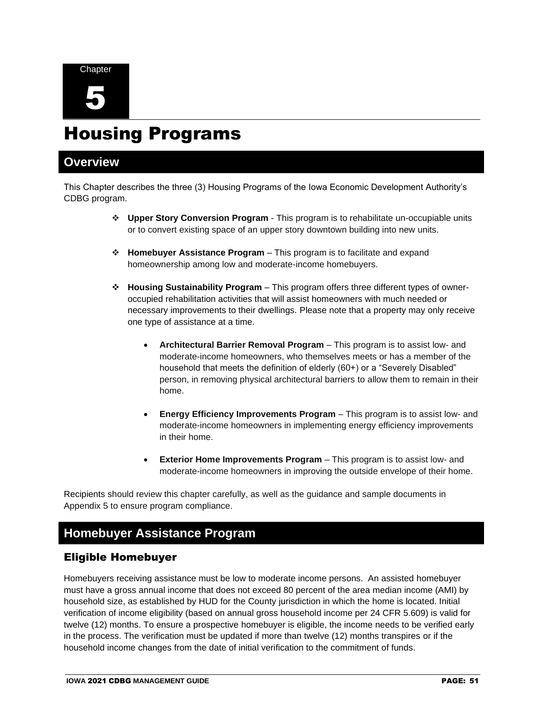

# Housing Programs

### **Overview**

This Chapter describes the three (3) Housing Programs of the Iowa Economic Development Authority's CDBG program.

- ❖ **Upper Story Conversion Program** This program is to rehabilitate un-occupiable units or to convert existing space of an upper story downtown building into new units.
- ❖ **Homebuyer Assistance Program** This program is to facilitate and expand homeownership among low and moderate-income homebuyers.
- ❖ **Housing Sustainability Program** This program offers three different types of owneroccupied rehabilitation activities that will assist homeowners with much needed or necessary improvements to their dwellings. Please note that a property may only receive one type of assistance at a time.
	- **Architectural Barrier Removal Program** This program is to assist low- and moderate-income homeowners, who themselves meets or has a member of the household that meets the definition of elderly (60+) or a "Severely Disabled" person, in removing physical architectural barriers to allow them to remain in their home.
	- **Energy Efficiency Improvements Program** This program is to assist low- and moderate-income homeowners in implementing energy efficiency improvements in their home.
	- **Exterior Home Improvements Program** This program is to assist low- and moderate-income homeowners in improving the outside envelope of their home.

Recipients should review this chapter carefully, as well as the guidance and sample documents in Appendix 5 to ensure program compliance.

## **Homebuyer Assistance Program**

#### Eligible Homebuyer

Homebuyers receiving assistance must be low to moderate income persons. An assisted homebuyer must have a gross annual income that does not exceed 80 percent of the area median income (AMI) by household size, as established by HUD for the County jurisdiction in which the home is located. Initial verification of income eligibility (based on annual gross household income per 24 CFR 5.609) is valid for twelve (12) months. To ensure a prospective homebuyer is eligible, the income needs to be verified early in the process. The verification must be updated if more than twelve (12) months transpires or if the household income changes from the date of initial verification to the commitment of funds.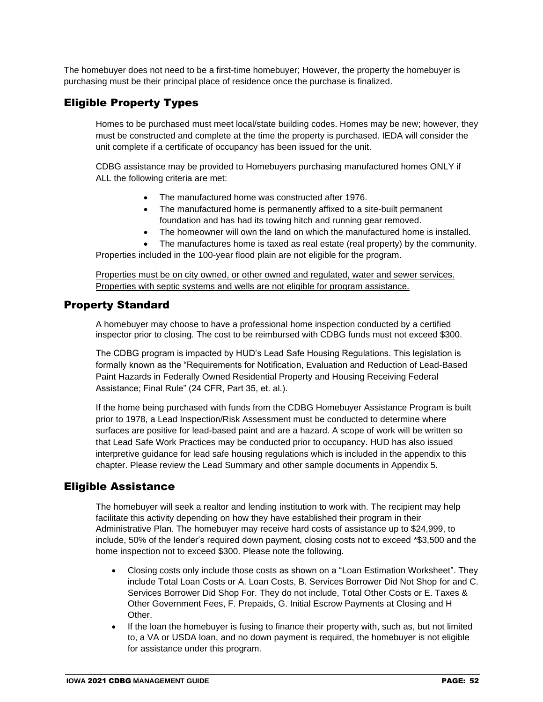The homebuyer does not need to be a first-time homebuyer; However, the property the homebuyer is purchasing must be their principal place of residence once the purchase is finalized.

#### Eligible Property Types

Homes to be purchased must meet local/state building codes. Homes may be new; however, they must be constructed and complete at the time the property is purchased. IEDA will consider the unit complete if a certificate of occupancy has been issued for the unit.

CDBG assistance may be provided to Homebuyers purchasing manufactured homes ONLY if ALL the following criteria are met:

- The manufactured home was constructed after 1976.
- The manufactured home is permanently affixed to a site-built permanent foundation and has had its towing hitch and running gear removed.
- The homeowner will own the land on which the manufactured home is installed.
- The manufactures home is taxed as real estate (real property) by the community.

Properties included in the 100-year flood plain are not eligible for the program.

Properties must be on city owned, or other owned and regulated, water and sewer services. Properties with septic systems and wells are not eligible for program assistance.

#### Property Standard

A homebuyer may choose to have a professional home inspection conducted by a certified inspector prior to closing. The cost to be reimbursed with CDBG funds must not exceed \$300.

The CDBG program is impacted by HUD's Lead Safe Housing Regulations. This legislation is formally known as the "Requirements for Notification, Evaluation and Reduction of Lead-Based Paint Hazards in Federally Owned Residential Property and Housing Receiving Federal Assistance; Final Rule" (24 CFR, Part 35, et. al.).

If the home being purchased with funds from the CDBG Homebuyer Assistance Program is built prior to 1978, a Lead Inspection/Risk Assessment must be conducted to determine where surfaces are positive for lead-based paint and are a hazard. A scope of work will be written so that Lead Safe Work Practices may be conducted prior to occupancy. HUD has also issued interpretive guidance for lead safe housing regulations which is included in the appendix to this chapter. Please review the Lead Summary and other sample documents in Appendix 5.

#### Eligible Assistance

The homebuyer will seek a realtor and lending institution to work with. The recipient may help facilitate this activity depending on how they have established their program in their Administrative Plan. The homebuyer may receive hard costs of assistance up to \$24,999, to include, 50% of the lender's required down payment, closing costs not to exceed \*\$3,500 and the home inspection not to exceed \$300. Please note the following.

- Closing costs only include those costs as shown on a "Loan Estimation Worksheet". They include Total Loan Costs or A. Loan Costs, B. Services Borrower Did Not Shop for and C. Services Borrower Did Shop For. They do not include, Total Other Costs or E. Taxes & Other Government Fees, F. Prepaids, G. Initial Escrow Payments at Closing and H Other.
- If the loan the homebuyer is fusing to finance their property with, such as, but not limited to, a VA or USDA loan, and no down payment is required, the homebuyer is not eligible for assistance under this program.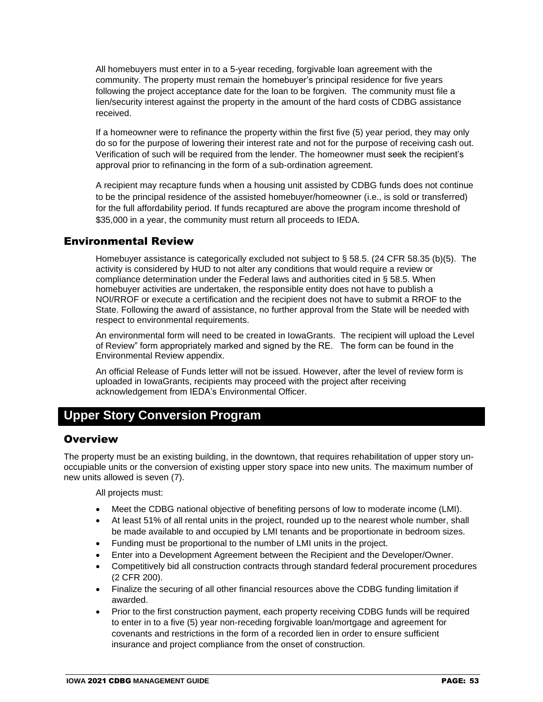All homebuyers must enter in to a 5-year receding, forgivable loan agreement with the community. The property must remain the homebuyer's principal residence for five years following the project acceptance date for the loan to be forgiven. The community must file a lien/security interest against the property in the amount of the hard costs of CDBG assistance received.

If a homeowner were to refinance the property within the first five (5) year period, they may only do so for the purpose of lowering their interest rate and not for the purpose of receiving cash out. Verification of such will be required from the lender. The homeowner must seek the recipient's approval prior to refinancing in the form of a sub-ordination agreement.

A recipient may recapture funds when a housing unit assisted by CDBG funds does not continue to be the principal residence of the assisted homebuyer/homeowner (i.e., is sold or transferred) for the full affordability period. If funds recaptured are above the program income threshold of \$35,000 in a year, the community must return all proceeds to IEDA.

#### Environmental Review

Homebuyer assistance is categorically excluded not subject to § 58.5. (24 CFR 58.35 (b)(5). The activity is considered by HUD to not alter any conditions that would require a review or compliance determination under the Federal laws and authorities cited in § 58.5. When homebuyer activities are undertaken, the responsible entity does not have to publish a NOI/RROF or execute a certification and the recipient does not have to submit a RROF to the State. Following the award of assistance, no further approval from the State will be needed with respect to environmental requirements.

An environmental form will need to be created in IowaGrants. The recipient will upload the Level of Review" form appropriately marked and signed by the RE. The form can be found in the Environmental Review appendix.

An official Release of Funds letter will not be issued. However, after the level of review form is uploaded in IowaGrants, recipients may proceed with the project after receiving acknowledgement from IEDA's Environmental Officer.

## **Upper Story Conversion Program**

#### **Overview**

The property must be an existing building, in the downtown, that requires rehabilitation of upper story unoccupiable units or the conversion of existing upper story space into new units. The maximum number of new units allowed is seven (7).

All projects must:

- Meet the CDBG national objective of benefiting persons of low to moderate income (LMI).
- At least 51% of all rental units in the project, rounded up to the nearest whole number, shall be made available to and occupied by LMI tenants and be proportionate in bedroom sizes.
- Funding must be proportional to the number of LMI units in the project.
- Enter into a Development Agreement between the Recipient and the Developer/Owner.
- Competitively bid all construction contracts through standard federal procurement procedures (2 CFR 200).
- Finalize the securing of all other financial resources above the CDBG funding limitation if awarded.
- Prior to the first construction payment, each property receiving CDBG funds will be required to enter in to a five (5) year non-receding forgivable loan/mortgage and agreement for covenants and restrictions in the form of a recorded lien in order to ensure sufficient insurance and project compliance from the onset of construction.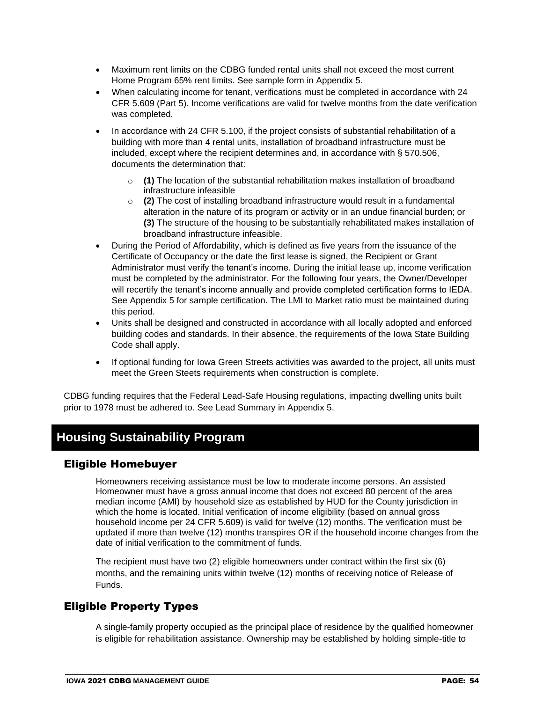- Maximum rent limits on the CDBG funded rental units shall not exceed the most current Home Program 65% rent limits. See sample form in Appendix 5.
- When calculating income for tenant, verifications must be completed in accordance with 24 CFR 5.609 (Part 5). Income verifications are valid for twelve months from the date verification was completed.
- In accordance with 24 CFR 5.100, if the project consists of substantial rehabilitation of a building with more than 4 rental units, installation of broadband infrastructure must be included, except where the [recipient](https://www.law.cornell.edu/definitions/index.php?width=840&height=800&iframe=true&def_id=5f47e0eacc36125d40b57e3eb1927572&term_occur=999&term_src=Title:24:Subtitle:B:Chapter:V:Subchapter:C:Part:570:Subpart:C:570.202) determines and, in accordance with § 570.506, documents the determination that:
	- o **(1)** The location of the substantial rehabilitation makes installation of broadband infrastructure infeasible
	- o **(2)** The cost of installing broadband infrastructure would result in a fundamental alteration in the nature of its program or activity or in an undue financial burden; or **(3)** The structure of the housing to be substantially rehabilitated makes installation of broadband infrastructure infeasible.
- During the Period of Affordability, which is defined as five years from the issuance of the Certificate of Occupancy or the date the first lease is signed, the Recipient or Grant Administrator must verify the tenant's income. During the initial lease up, income verification must be completed by the administrator. For the following four years, the Owner/Developer will recertify the tenant's income annually and provide completed certification forms to IEDA. See Appendix 5 for sample certification. The LMI to Market ratio must be maintained during this period.
- Units shall be designed and constructed in accordance with all locally adopted and enforced building codes and standards. In their absence, the requirements of the Iowa State Building Code shall apply.
- If optional funding for Iowa Green Streets activities was awarded to the project, all units must meet the Green Steets requirements when construction is complete.

CDBG funding requires that the Federal Lead-Safe Housing regulations, impacting dwelling units built prior to 1978 must be adhered to. See Lead Summary in Appendix 5.

## **Housing Sustainability Program**

#### Eligible Homebuyer

Homeowners receiving assistance must be low to moderate income persons. An assisted Homeowner must have a gross annual income that does not exceed 80 percent of the area median income (AMI) by household size as established by HUD for the County jurisdiction in which the home is located. Initial verification of income eligibility (based on annual gross household income per 24 CFR 5.609) is valid for twelve (12) months. The verification must be updated if more than twelve (12) months transpires OR if the household income changes from the date of initial verification to the commitment of funds.

The recipient must have two (2) eligible homeowners under contract within the first six (6) months, and the remaining units within twelve (12) months of receiving notice of Release of Funds.

#### Eligible Property Types

A single-family property occupied as the principal place of residence by the qualified homeowner is eligible for rehabilitation assistance. Ownership may be established by holding simple-title to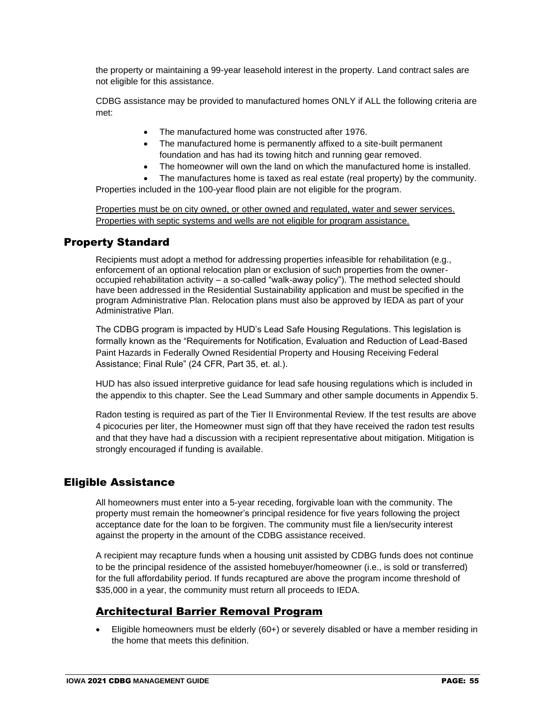the property or maintaining a 99-year leasehold interest in the property. Land contract sales are not eligible for this assistance.

CDBG assistance may be provided to manufactured homes ONLY if ALL the following criteria are met:

- The manufactured home was constructed after 1976.
- The manufactured home is permanently affixed to a site-built permanent foundation and has had its towing hitch and running gear removed.
- The homeowner will own the land on which the manufactured home is installed.
- The manufactures home is taxed as real estate (real property) by the community.

Properties included in the 100-year flood plain are not eligible for the program.

Properties must be on city owned, or other owned and regulated, water and sewer services. Properties with septic systems and wells are not eligible for program assistance.

#### Property Standard

Recipients must adopt a method for addressing properties infeasible for rehabilitation (e.g., enforcement of an optional relocation plan or exclusion of such properties from the owneroccupied rehabilitation activity – a so-called "walk-away policy"). The method selected should have been addressed in the Residential Sustainability application and must be specified in the program Administrative Plan. Relocation plans must also be approved by IEDA as part of your Administrative Plan.

The CDBG program is impacted by HUD's Lead Safe Housing Regulations. This legislation is formally known as the "Requirements for Notification, Evaluation and Reduction of Lead-Based Paint Hazards in Federally Owned Residential Property and Housing Receiving Federal Assistance; Final Rule" (24 CFR, Part 35, et. al.).

HUD has also issued interpretive guidance for lead safe housing regulations which is included in the appendix to this chapter. See the Lead Summary and other sample documents in Appendix 5.

Radon testing is required as part of the Tier II Environmental Review. If the test results are above 4 picocuries per liter, the Homeowner must sign off that they have received the radon test results and that they have had a discussion with a recipient representative about mitigation. Mitigation is strongly encouraged if funding is available.

#### Eligible Assistance

All homeowners must enter into a 5-year receding, forgivable loan with the community. The property must remain the homeowner's principal residence for five years following the project acceptance date for the loan to be forgiven. The community must file a lien/security interest against the property in the amount of the CDBG assistance received.

A recipient may recapture funds when a housing unit assisted by CDBG funds does not continue to be the principal residence of the assisted homebuyer/homeowner (i.e., is sold or transferred) for the full affordability period. If funds recaptured are above the program income threshold of \$35,000 in a year, the community must return all proceeds to IEDA.

#### Architectural Barrier Removal Program

• Eligible homeowners must be elderly (60+) or severely disabled or have a member residing in the home that meets this definition.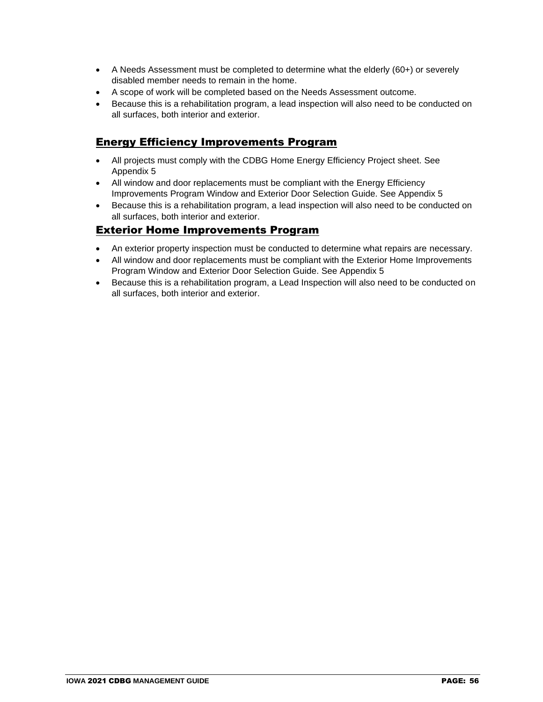- A Needs Assessment must be completed to determine what the elderly (60+) or severely disabled member needs to remain in the home.
- A scope of work will be completed based on the Needs Assessment outcome.
- Because this is a rehabilitation program, a lead inspection will also need to be conducted on all surfaces, both interior and exterior.

#### Energy Efficiency Improvements Program

- All projects must comply with the CDBG Home Energy Efficiency Project sheet. See Appendix 5
- All window and door replacements must be compliant with the Energy Efficiency Improvements Program Window and Exterior Door Selection Guide. See Appendix 5
- Because this is a rehabilitation program, a lead inspection will also need to be conducted on all surfaces, both interior and exterior.

#### Exterior Home Improvements Program

- An exterior property inspection must be conducted to determine what repairs are necessary.
- All window and door replacements must be compliant with the Exterior Home Improvements Program Window and Exterior Door Selection Guide. See Appendix 5
- Because this is a rehabilitation program, a Lead Inspection will also need to be conducted on all surfaces, both interior and exterior.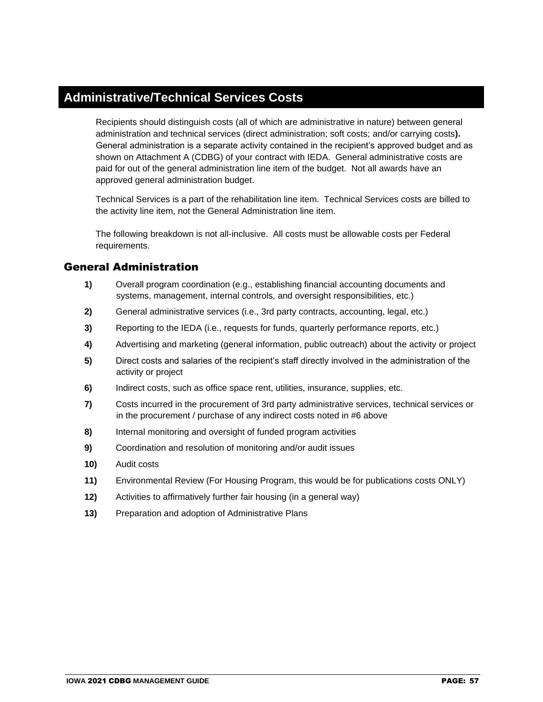### **Administrative/Technical Services Costs**

Recipients should distinguish costs (all of which are administrative in nature) between general administration and technical services (direct administration; soft costs; and/or carrying costs**).**  General administration is a separate activity contained in the recipient's approved budget and as shown on Attachment A (CDBG) of your contract with IEDA. General administrative costs are paid for out of the general administration line item of the budget. Not all awards have an approved general administration budget.

Technical Services is a part of the rehabilitation line item. Technical Services costs are billed to the activity line item, not the General Administration line item.

The following breakdown is not all-inclusive. All costs must be allowable costs per Federal requirements.

#### General Administration

- **1)** Overall program coordination (e.g., establishing financial accounting documents and systems, management, internal controls, and oversight responsibilities, etc.)
- **2)** General administrative services (i.e., 3rd party contracts, accounting, legal, etc.)
- **3)** Reporting to the IEDA (i.e., requests for funds, quarterly performance reports, etc.)
- **4)** Advertising and marketing (general information, public outreach) about the activity or project
- **5)** Direct costs and salaries of the recipient's staff directly involved in the administration of the activity or project
- **6)** Indirect costs, such as office space rent, utilities, insurance, supplies, etc.
- **7)** Costs incurred in the procurement of 3rd party administrative services, technical services or in the procurement / purchase of any indirect costs noted in #6 above
- **8)** Internal monitoring and oversight of funded program activities
- **9)** Coordination and resolution of monitoring and/or audit issues
- **10)** Audit costs
- **11)** Environmental Review (For Housing Program, this would be for publications costs ONLY)
- **12)** Activities to affirmatively further fair housing (in a general way)
- **13)** Preparation and adoption of Administrative Plans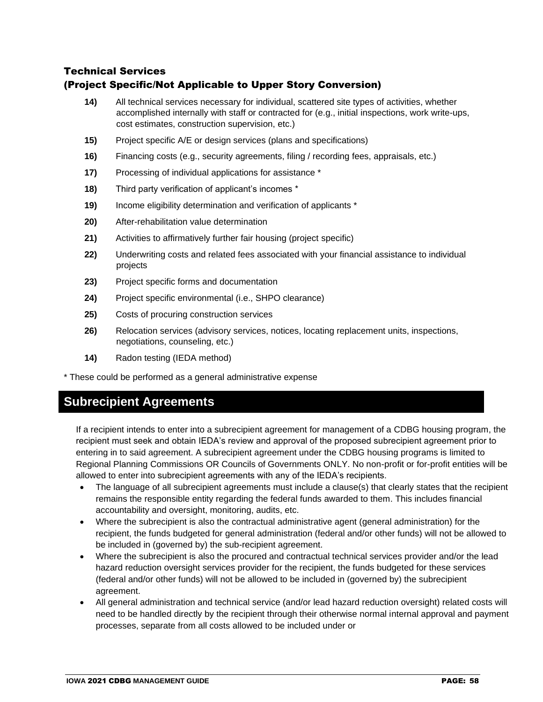#### Technical Services (Project Specific/Not Applicable to Upper Story Conversion)

- **14)** All technical services necessary for individual, scattered site types of activities, whether accomplished internally with staff or contracted for (e.g., initial inspections, work write-ups, cost estimates, construction supervision, etc.)
- **15)** Project specific A/E or design services (plans and specifications)
- **16)** Financing costs (e.g., security agreements, filing / recording fees, appraisals, etc.)
- **17)** Processing of individual applications for assistance \*
- **18)** Third party verification of applicant's incomes \*
- **19)** Income eligibility determination and verification of applicants \*
- **20)** After-rehabilitation value determination
- **21)** Activities to affirmatively further fair housing (project specific)
- **22)** Underwriting costs and related fees associated with your financial assistance to individual projects
- **23)** Project specific forms and documentation
- **24)** Project specific environmental (i.e., SHPO clearance)
- **25)** Costs of procuring construction services
- **26)** Relocation services (advisory services, notices, locating replacement units, inspections, negotiations, counseling, etc.)
- **14)** Radon testing (IEDA method)

\* These could be performed as a general administrative expense

## **Subrecipient Agreements**

If a recipient intends to enter into a subrecipient agreement for management of a CDBG housing program, the recipient must seek and obtain IEDA's review and approval of the proposed subrecipient agreement prior to entering in to said agreement. A subrecipient agreement under the CDBG housing programs is limited to Regional Planning Commissions OR Councils of Governments ONLY. No non-profit or for-profit entities will be allowed to enter into subrecipient agreements with any of the IEDA's recipients.

- The language of all subrecipient agreements must include a clause(s) that clearly states that the recipient remains the responsible entity regarding the federal funds awarded to them. This includes financial accountability and oversight, monitoring, audits, etc.
- Where the subrecipient is also the contractual administrative agent (general administration) for the recipient, the funds budgeted for general administration (federal and/or other funds) will not be allowed to be included in (governed by) the sub-recipient agreement.
- Where the subrecipient is also the procured and contractual technical services provider and/or the lead hazard reduction oversight services provider for the recipient, the funds budgeted for these services (federal and/or other funds) will not be allowed to be included in (governed by) the subrecipient agreement.
- All general administration and technical service (and/or lead hazard reduction oversight) related costs will need to be handled directly by the recipient through their otherwise normal internal approval and payment processes, separate from all costs allowed to be included under or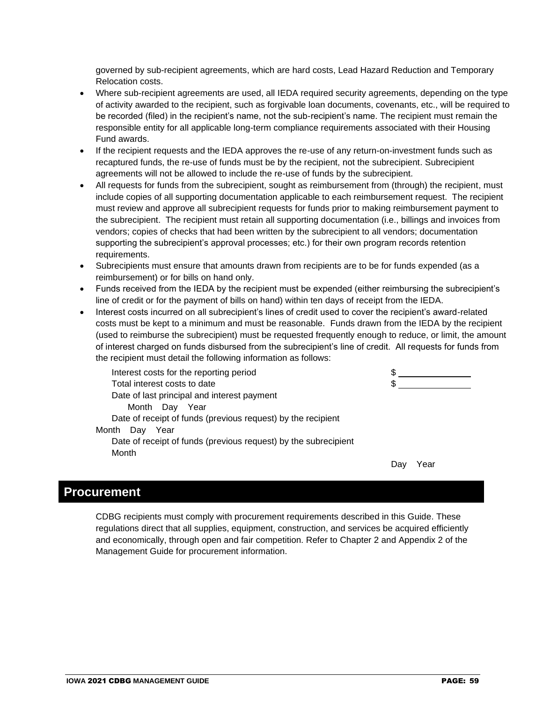governed by sub-recipient agreements, which are hard costs, Lead Hazard Reduction and Temporary Relocation costs.

- Where sub-recipient agreements are used, all IEDA required security agreements, depending on the type of activity awarded to the recipient, such as forgivable loan documents, covenants, etc., will be required to be recorded (filed) in the recipient's name, not the sub-recipient's name. The recipient must remain the responsible entity for all applicable long-term compliance requirements associated with their Housing Fund awards.
- If the recipient requests and the IEDA approves the re-use of any return-on-investment funds such as recaptured funds, the re-use of funds must be by the recipient, not the subrecipient. Subrecipient agreements will not be allowed to include the re-use of funds by the subrecipient.
- All requests for funds from the subrecipient, sought as reimbursement from (through) the recipient, must include copies of all supporting documentation applicable to each reimbursement request. The recipient must review and approve all subrecipient requests for funds prior to making reimbursement payment to the subrecipient. The recipient must retain all supporting documentation (i.e., billings and invoices from vendors; copies of checks that had been written by the subrecipient to all vendors; documentation supporting the subrecipient's approval processes; etc.) for their own program records retention requirements.
- Subrecipients must ensure that amounts drawn from recipients are to be for funds expended (as a reimbursement) or for bills on hand only.
- Funds received from the IEDA by the recipient must be expended (either reimbursing the subrecipient's line of credit or for the payment of bills on hand) within ten days of receipt from the IEDA.
- Interest costs incurred on all subrecipient's lines of credit used to cover the recipient's award-related costs must be kept to a minimum and must be reasonable. Funds drawn from the IEDA by the recipient (used to reimburse the subrecipient) must be requested frequently enough to reduce, or limit, the amount of interest charged on funds disbursed from the subrecipient's line of credit. All requests for funds from the recipient must detail the following information as follows:

| Interest costs for the reporting period                         | S    |  |
|-----------------------------------------------------------------|------|--|
| Total interest costs to date                                    | S    |  |
| Date of last principal and interest payment                     |      |  |
| Month Day<br>Year                                               |      |  |
| Date of receipt of funds (previous request) by the recipient    |      |  |
| Month<br>Day<br>Year                                            |      |  |
| Date of receipt of funds (previous request) by the subrecipient |      |  |
| Month                                                           |      |  |
|                                                                 | 'ear |  |
|                                                                 |      |  |

### **Procurement**

CDBG recipients must comply with procurement requirements described in this Guide. These regulations direct that all supplies, equipment, construction, and services be acquired efficiently and economically, through open and fair competition. Refer to Chapter 2 and Appendix 2 of the Management Guide for procurement information.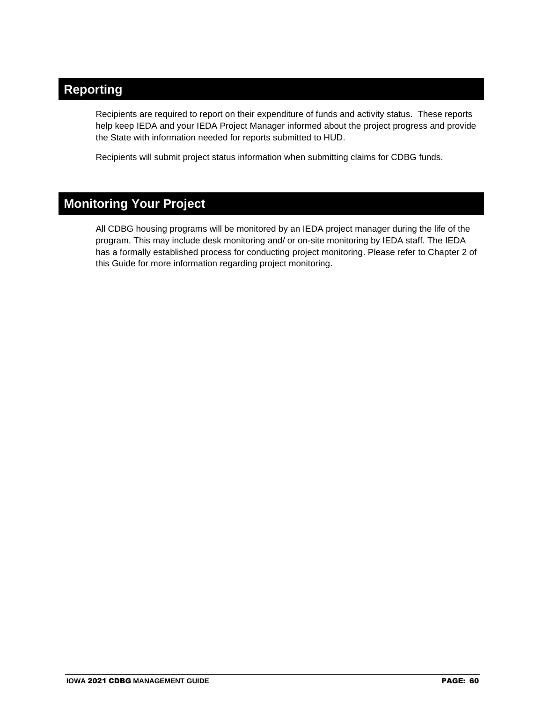## **Reporting**

Recipients are required to report on their expenditure of funds and activity status. These reports help keep IEDA and your IEDA Project Manager informed about the project progress and provide the State with information needed for reports submitted to HUD.

Recipients will submit project status information when submitting claims for CDBG funds.

## **Monitoring Your Project**

All CDBG housing programs will be monitored by an IEDA project manager during the life of the program. This may include desk monitoring and/ or on-site monitoring by IEDA staff. The IEDA has a formally established process for conducting project monitoring. Please refer to Chapter 2 of this Guide for more information regarding project monitoring.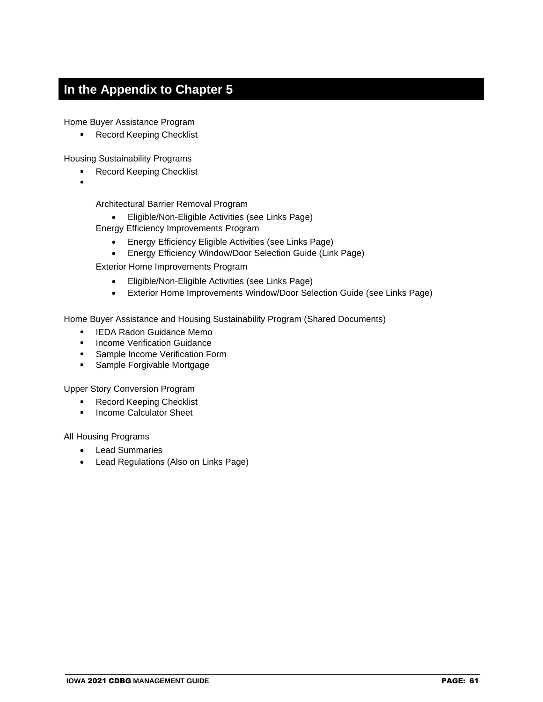## **In the Appendix to Chapter 5**

Home Buyer Assistance Program

■ Record Keeping Checklist

Housing Sustainability Programs

- Record Keeping Checklist
- ▪

Architectural Barrier Removal Program

- Eligible/Non-Eligible Activities (see Links Page)
- Energy Efficiency Improvements Program
	- Energy Efficiency Eligible Activities (see Links Page)
	- Energy Efficiency Window/Door Selection Guide (Link Page)

Exterior Home Improvements Program

- Eligible/Non-Eligible Activities (see Links Page)
- Exterior Home Improvements Window/Door Selection Guide (see Links Page)

Home Buyer Assistance and Housing Sustainability Program (Shared Documents)

- **EXELG** Radon Guidance Memo
- **Income Verification Guidance**
- **Sample Income Verification Form**
- Sample Forgivable Mortgage

Upper Story Conversion Program

- Record Keeping Checklist
- **■** Income Calculator Sheet

All Housing Programs

- Lead Summaries
- Lead Regulations (Also on Links Page)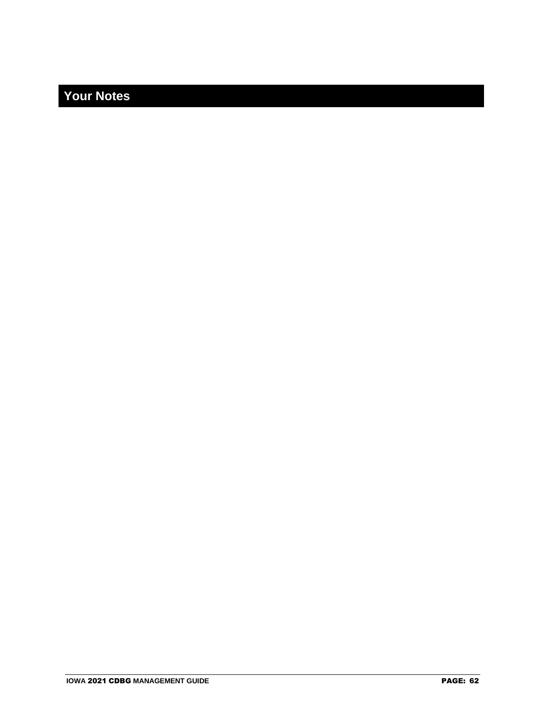## **Your Notes**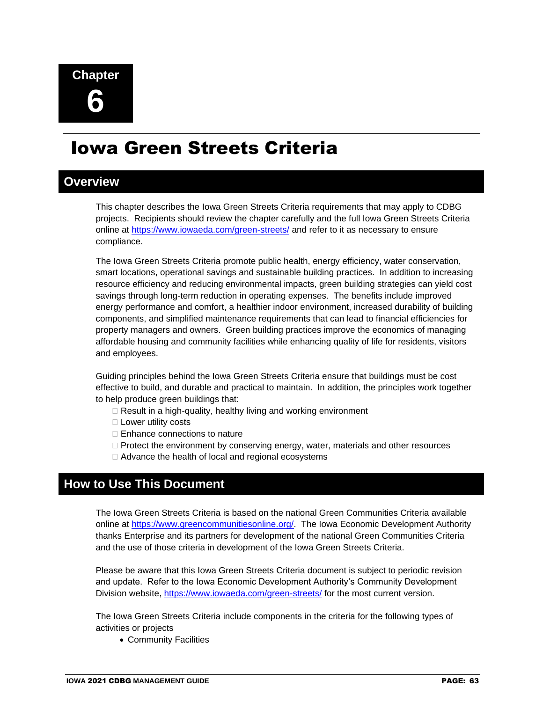# Iowa Green Streets Criteria

### **Overview**

This chapter describes the Iowa Green Streets Criteria requirements that may apply to CDBG projects.Recipients should review the chapter carefully and the full Iowa Green Streets Criteria online at<https://www.iowaeda.com/green-streets/> and refer to it as necessary to ensure compliance.

The Iowa Green Streets Criteria promote public health, energy efficiency, water conservation, smart locations, operational savings and sustainable building practices. In addition to increasing resource efficiency and reducing environmental impacts, green building strategies can yield cost savings through long-term reduction in operating expenses. The benefits include improved energy performance and comfort, a healthier indoor environment, increased durability of building components, and simplified maintenance requirements that can lead to financial efficiencies for property managers and owners. Green building practices improve the economics of managing affordable housing and community facilities while enhancing quality of life for residents, visitors and employees.

Guiding principles behind the Iowa Green Streets Criteria ensure that buildings must be cost effective to build, and durable and practical to maintain. In addition, the principles work together to help produce green buildings that:

- $\Box$  Result in a high-quality, healthy living and working environment
- $\square$  Lower utility costs
- $\Box$  Enhance connections to nature
- $\Box$  Protect the environment by conserving energy, water, materials and other resources
- Advance the health of local and regional ecosystems

### **How to Use This Document**

The Iowa Green Streets Criteria is based on the national Green Communities Criteria available online at [https://www.greencommunitiesonline.org/.](https://www.greencommunitiesonline.org/) The Iowa Economic Development Authority thanks Enterprise and its partners for development of the national Green Communities Criteria and the use of those criteria in development of the Iowa Green Streets Criteria.

Please be aware that this Iowa Green Streets Criteria document is subject to periodic revision and update. Refer to the Iowa Economic Development Authority's Community Development Division website,<https://www.iowaeda.com/green-streets/> for the most current version.

The Iowa Green Streets Criteria include components in the criteria for the following types of activities or projects

• Community Facilities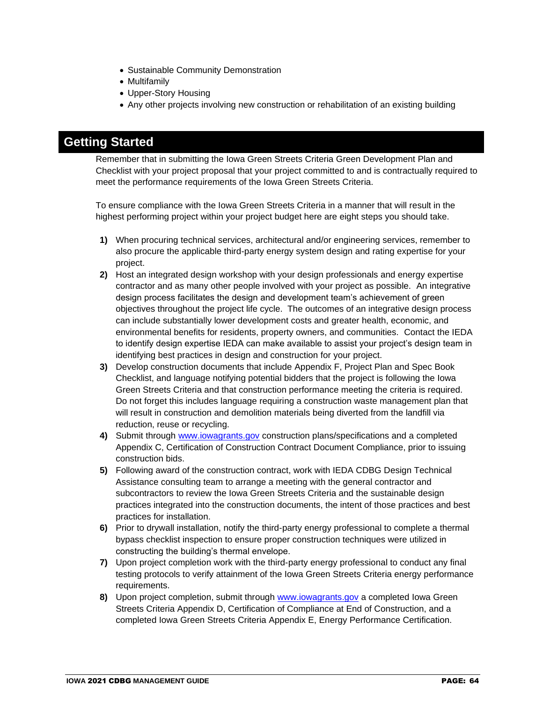- Sustainable Community Demonstration
- Multifamily
- Upper-Story Housing
- Any other projects involving new construction or rehabilitation of an existing building

### **Getting Started**

Remember that in submitting the Iowa Green Streets Criteria Green Development Plan and Checklist with your project proposal that your project committed to and is contractually required to meet the performance requirements of the Iowa Green Streets Criteria.

To ensure compliance with the Iowa Green Streets Criteria in a manner that will result in the highest performing project within your project budget here are eight steps you should take.

- **1)** When procuring technical services, architectural and/or engineering services, remember to also procure the applicable third-party energy system design and rating expertise for your project.
- **2)** Host an integrated design workshop with your design professionals and energy expertise contractor and as many other people involved with your project as possible. An integrative design process facilitates the design and development team's achievement of green objectives throughout the project life cycle. The outcomes of an integrative design process can include substantially lower development costs and greater health, economic, and environmental benefits for residents, property owners, and communities. Contact the IEDA to identify design expertise IEDA can make available to assist your project's design team in identifying best practices in design and construction for your project.
- **3)** Develop construction documents that include Appendix F, Project Plan and Spec Book Checklist, and language notifying potential bidders that the project is following the Iowa Green Streets Criteria and that construction performance meeting the criteria is required. Do not forget this includes language requiring a construction waste management plan that will result in construction and demolition materials being diverted from the landfill via reduction, reuse or recycling.
- **4)** Submit through [www.iowagrants.gov](http://www.iowagrants.gov/) construction plans/specifications and a completed Appendix C, Certification of Construction Contract Document Compliance, prior to issuing construction bids.
- **5)** Following award of the construction contract, work with IEDA CDBG Design Technical Assistance consulting team to arrange a meeting with the general contractor and subcontractors to review the Iowa Green Streets Criteria and the sustainable design practices integrated into the construction documents, the intent of those practices and best practices for installation.
- **6)** Prior to drywall installation, notify the third-party energy professional to complete a thermal bypass checklist inspection to ensure proper construction techniques were utilized in constructing the building's thermal envelope.
- **7)** Upon project completion work with the third-party energy professional to conduct any final testing protocols to verify attainment of the Iowa Green Streets Criteria energy performance requirements.
- **8)** Upon project completion, submit through [www.iowagrants.gov](http://www.iowagrants.gov/) a completed Iowa Green Streets Criteria Appendix D, Certification of Compliance at End of Construction, and a completed Iowa Green Streets Criteria Appendix E, Energy Performance Certification.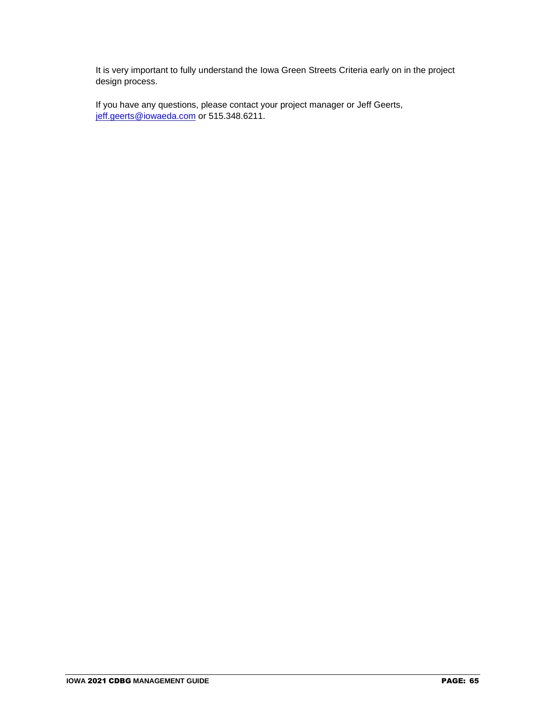It is very important to fully understand the Iowa Green Streets Criteria early on in the project design process.

If you have any questions, please contact your project manager or Jeff Geerts, [jeff.geerts@iowaeda.com](mailto:jeff.geerts@iowa.gov) or 515.348.6211.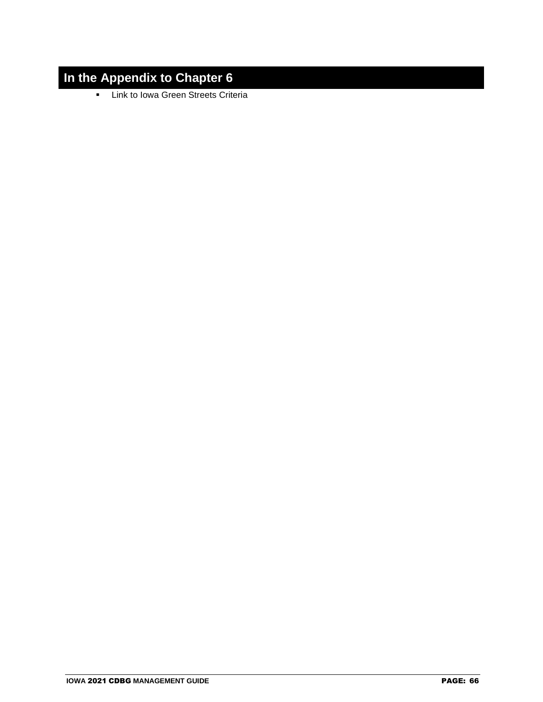## **In the Appendix to Chapter 6**

▪ Link to Iowa Green Streets Criteria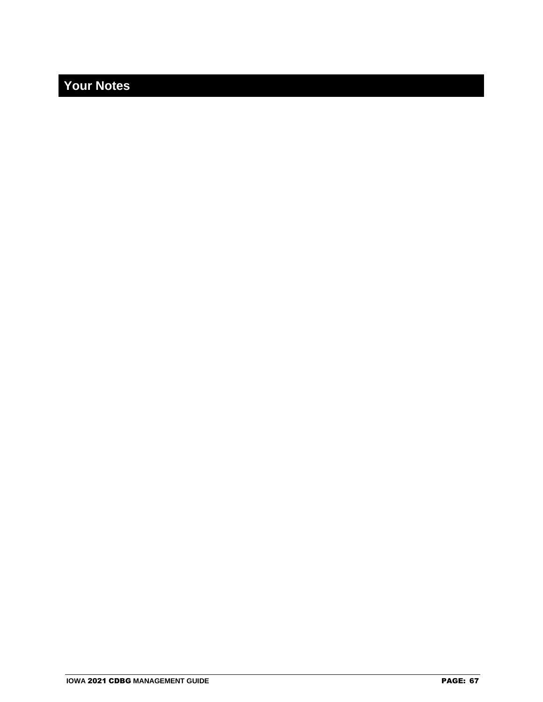## **Your Notes**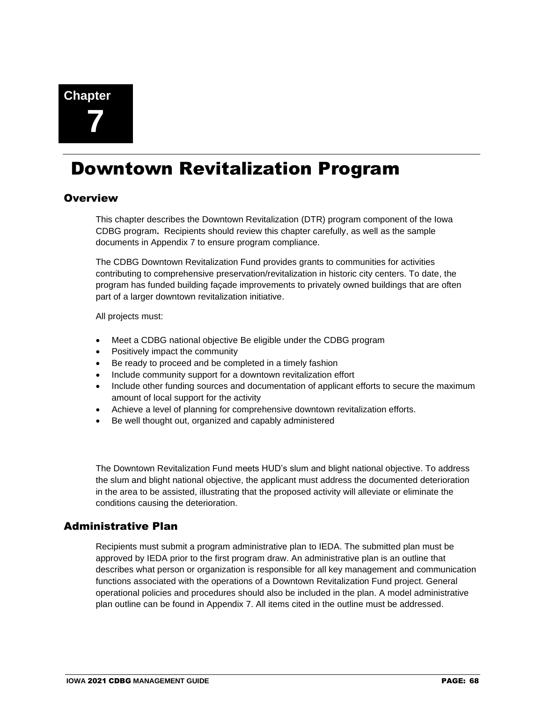# Downtown Revitalization Program

#### **Overview**

This chapter describes the Downtown Revitalization (DTR) program component of the Iowa CDBG program**.** Recipients should review this chapter carefully, as well as the sample documents in Appendix 7 to ensure program compliance.

The CDBG Downtown Revitalization Fund provides grants to communities for activities contributing to comprehensive preservation/revitalization in historic city centers. To date, the program has funded building façade improvements to privately owned buildings that are often part of a larger downtown revitalization initiative.

All projects must:

- Meet a CDBG national objective Be eligible under the CDBG program
- Positively impact the community
- Be ready to proceed and be completed in a timely fashion
- Include community support for a downtown revitalization effort
- Include other funding sources and documentation of applicant efforts to secure the maximum amount of local support for the activity
- Achieve a level of planning for comprehensive downtown revitalization efforts.
- Be well thought out, organized and capably administered

The Downtown Revitalization Fund meets HUD's slum and blight national objective. To address the slum and blight national objective, the applicant must address the documented deterioration in the area to be assisted, illustrating that the proposed activity will alleviate or eliminate the conditions causing the deterioration.

#### Administrative Plan

Recipients must submit a program administrative plan to IEDA. The submitted plan must be approved by IEDA prior to the first program draw. An administrative plan is an outline that describes what person or organization is responsible for all key management and communication functions associated with the operations of a Downtown Revitalization Fund project. General operational policies and procedures should also be included in the plan. A model administrative plan outline can be found in Appendix 7. All items cited in the outline must be addressed.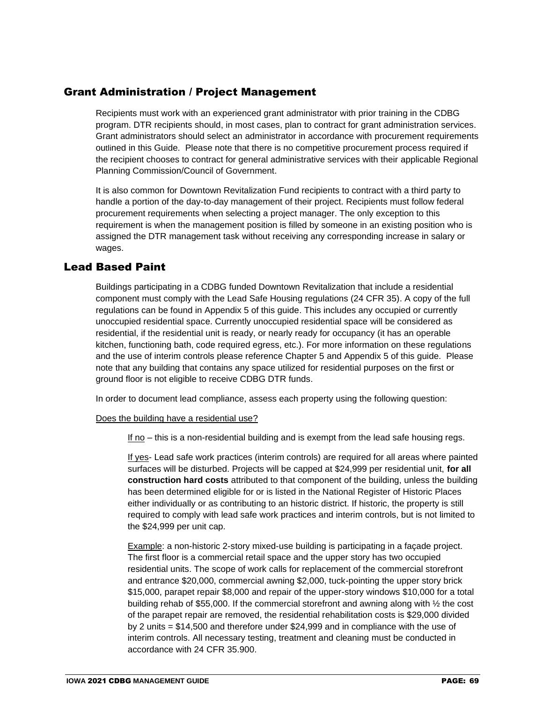#### Grant Administration / Project Management

Recipients must work with an experienced grant administrator with prior training in the CDBG program. DTR recipients should, in most cases, plan to contract for grant administration services. Grant administrators should select an administrator in accordance with procurement requirements outlined in this Guide. Please note that there is no competitive procurement process required if the recipient chooses to contract for general administrative services with their applicable Regional Planning Commission/Council of Government.

It is also common for Downtown Revitalization Fund recipients to contract with a third party to handle a portion of the day-to-day management of their project. Recipients must follow federal procurement requirements when selecting a project manager. The only exception to this requirement is when the management position is filled by someone in an existing position who is assigned the DTR management task without receiving any corresponding increase in salary or wages.

#### Lead Based Paint

Buildings participating in a CDBG funded Downtown Revitalization that include a residential component must comply with the Lead Safe Housing regulations (24 CFR 35). A copy of the full regulations can be found in Appendix 5 of this guide. This includes any occupied or currently unoccupied residential space. Currently unoccupied residential space will be considered as residential, if the residential unit is ready, or nearly ready for occupancy (it has an operable kitchen, functioning bath, code required egress, etc.). For more information on these regulations and the use of interim controls please reference Chapter 5 and Appendix 5 of this guide. Please note that any building that contains any space utilized for residential purposes on the first or ground floor is not eligible to receive CDBG DTR funds.

In order to document lead compliance, assess each property using the following question:

#### Does the building have a residential use?

If no – this is a non-residential building and is exempt from the lead safe housing regs.

If yes- Lead safe work practices (interim controls) are required for all areas where painted surfaces will be disturbed. Projects will be capped at \$24,999 per residential unit, **for all construction hard costs** attributed to that component of the building, unless the building has been determined eligible for or is listed in the National Register of Historic Places either individually or as contributing to an historic district. If historic, the property is still required to comply with lead safe work practices and interim controls, but is not limited to the \$24,999 per unit cap.

Example: a non-historic 2-story mixed-use building is participating in a façade project. The first floor is a commercial retail space and the upper story has two occupied residential units. The scope of work calls for replacement of the commercial storefront and entrance \$20,000, commercial awning \$2,000, tuck-pointing the upper story brick \$15,000, parapet repair \$8,000 and repair of the upper-story windows \$10,000 for a total building rehab of \$55,000. If the commercial storefront and awning along with ½ the cost of the parapet repair are removed, the residential rehabilitation costs is \$29,000 divided by 2 units = \$14,500 and therefore under \$24,999 and in compliance with the use of interim controls. All necessary testing, treatment and cleaning must be conducted in accordance with 24 CFR 35.900.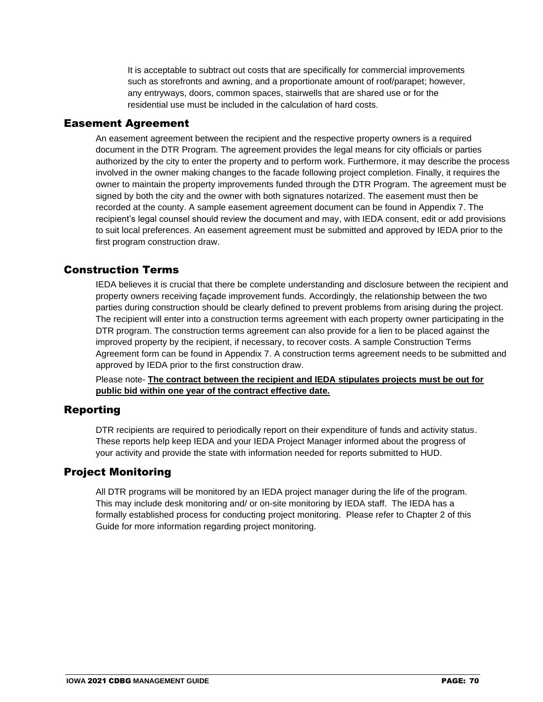It is acceptable to subtract out costs that are specifically for commercial improvements such as storefronts and awning, and a proportionate amount of roof/parapet; however, any entryways, doors, common spaces, stairwells that are shared use or for the residential use must be included in the calculation of hard costs.

#### Easement Agreement

An easement agreement between the recipient and the respective property owners is a required document in the DTR Program. The agreement provides the legal means for city officials or parties authorized by the city to enter the property and to perform work. Furthermore, it may describe the process involved in the owner making changes to the facade following project completion. Finally, it requires the owner to maintain the property improvements funded through the DTR Program. The agreement must be signed by both the city and the owner with both signatures notarized. The easement must then be recorded at the county. A sample easement agreement document can be found in Appendix 7. The recipient's legal counsel should review the document and may, with IEDA consent, edit or add provisions to suit local preferences. An easement agreement must be submitted and approved by IEDA prior to the first program construction draw.

#### Construction Terms

IEDA believes it is crucial that there be complete understanding and disclosure between the recipient and property owners receiving façade improvement funds. Accordingly, the relationship between the two parties during construction should be clearly defined to prevent problems from arising during the project. The recipient will enter into a construction terms agreement with each property owner participating in the DTR program. The construction terms agreement can also provide for a lien to be placed against the improved property by the recipient, if necessary, to recover costs. A sample Construction Terms Agreement form can be found in Appendix 7. A construction terms agreement needs to be submitted and approved by IEDA prior to the first construction draw.

Please note- **The contract between the recipient and IEDA stipulates projects must be out for public bid within one year of the contract effective date.** 

#### Reporting

DTR recipients are required to periodically report on their expenditure of funds and activity status. These reports help keep IEDA and your IEDA Project Manager informed about the progress of your activity and provide the state with information needed for reports submitted to HUD.

#### Project Monitoring

All DTR programs will be monitored by an IEDA project manager during the life of the program. This may include desk monitoring and/ or on-site monitoring by IEDA staff. The IEDA has a formally established process for conducting project monitoring. Please refer to Chapter 2 of this Guide for more information regarding project monitoring.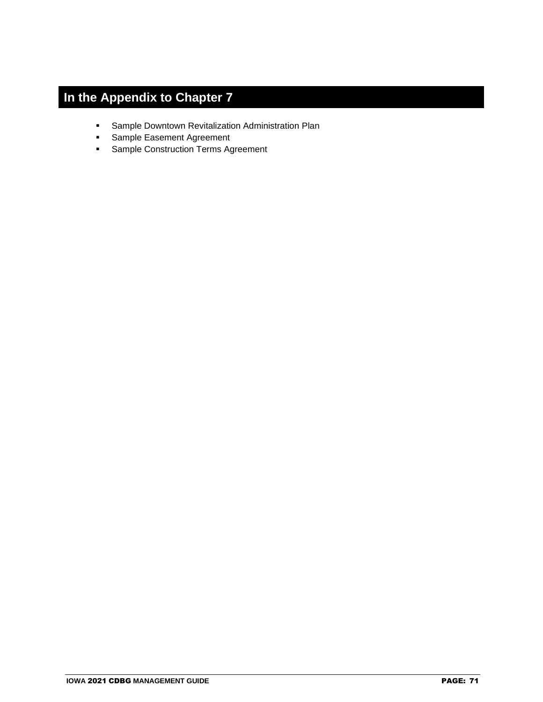# **In the Appendix to Chapter 7**

- Sample Downtown Revitalization Administration Plan
- Sample Easement Agreement
- **Sample Construction Terms Agreement**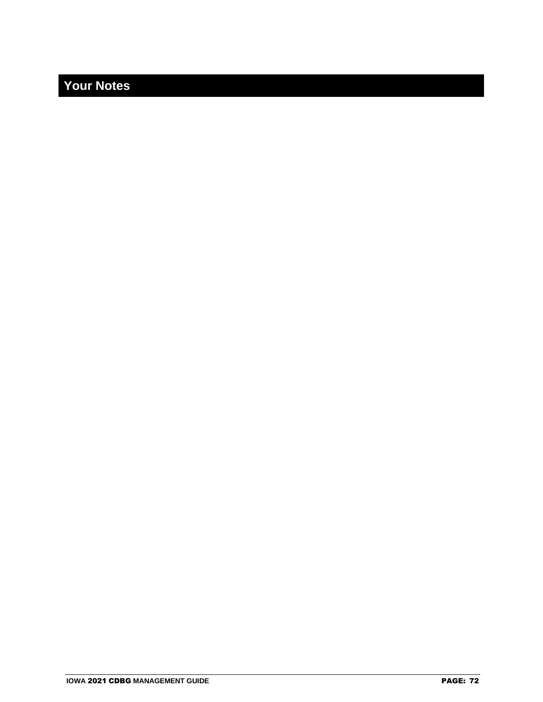## **Your Notes**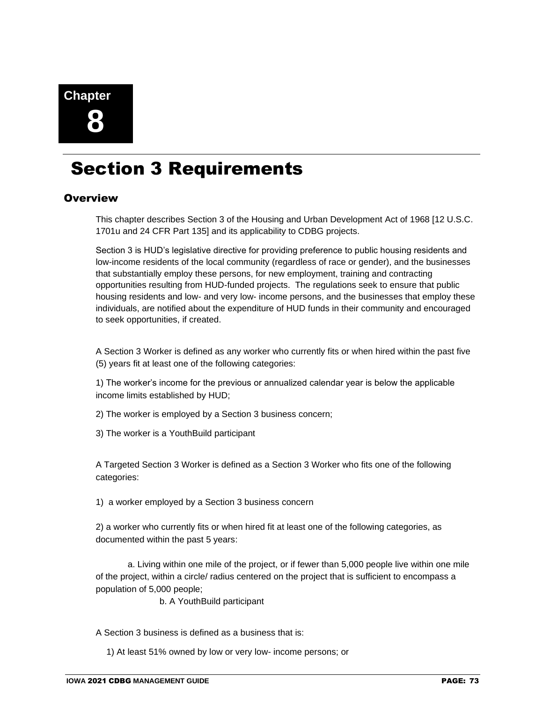

# Section 3 Requirements

#### **Overview**

This chapter describes Section 3 of the Housing and Urban Development Act of 1968 [12 U.S.C. 1701u and 24 CFR Part 135] and its applicability to CDBG projects.

Section 3 is HUD's legislative directive for providing preference to public housing residents and low-income residents of the local community (regardless of race or gender), and the businesses that substantially employ these persons, for new employment, training and contracting opportunities resulting from HUD-funded projects. The regulations seek to ensure that public housing residents and low- and very low- income persons, and the businesses that employ these individuals, are notified about the expenditure of HUD funds in their community and encouraged to seek opportunities, if created.

A Section 3 Worker is defined as any worker who currently fits or when hired within the past five (5) years fit at least one of the following categories:

1) The worker's income for the previous or annualized calendar year is below the applicable income limits established by HUD;

2) The worker is employed by a Section 3 business concern;

3) The worker is a YouthBuild participant

A Targeted Section 3 Worker is defined as a Section 3 Worker who fits one of the following categories:

1) a worker employed by a Section 3 business concern

2) a worker who currently fits or when hired fit at least one of the following categories, as documented within the past 5 years:

a. Living within one mile of the project, or if fewer than 5,000 people live within one mile of the project, within a circle/ radius centered on the project that is sufficient to encompass a population of 5,000 people;

b. A YouthBuild participant

A Section 3 business is defined as a business that is:

1) At least 51% owned by low or very low- income persons; or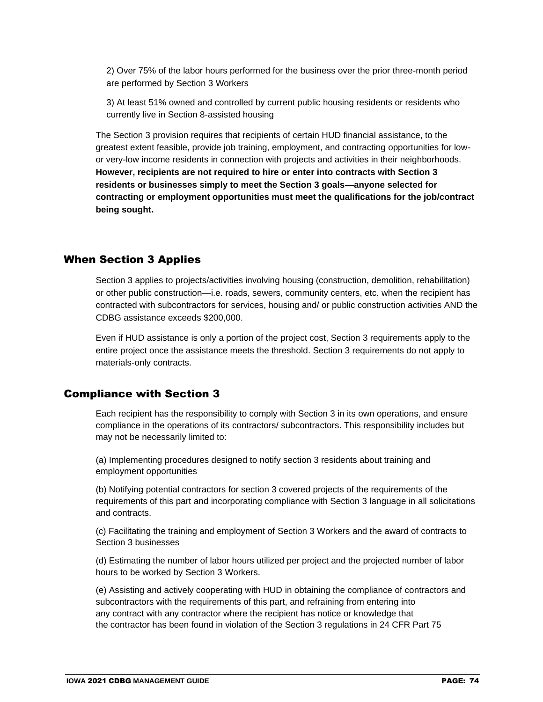2) Over 75% of the labor hours performed for the business over the prior three-month period are performed by Section 3 Workers

3) At least 51% owned and controlled by current public housing residents or residents who currently live in Section 8-assisted housing

The Section 3 provision requires that recipients of certain HUD financial assistance, to the greatest extent feasible, provide job training, employment, and contracting opportunities for lowor very-low income residents in connection with projects and activities in their neighborhoods. **However, recipients are not required to hire or enter into contracts with Section 3 residents or businesses simply to meet the Section 3 goals—anyone selected for contracting or employment opportunities must meet the qualifications for the job/contract being sought.**

#### When Section 3 Applies

Section 3 applies to projects/activities involving housing (construction, demolition, rehabilitation) or other public construction—i.e. roads, sewers, community centers, etc. when the recipient has contracted with subcontractors for services, housing and/ or public construction activities AND the CDBG assistance exceeds \$200,000.

Even if HUD assistance is only a portion of the project cost, Section 3 requirements apply to the entire project once the assistance meets the threshold. Section 3 requirements do not apply to materials-only contracts.

#### Compliance with Section 3

Each [recipient](https://www.law.cornell.edu/definitions/index.php?width=840&height=800&iframe=true&def_id=5aee72c6cc23ba8dd9abbd1a7d08a45d&term_occur=2&term_src=Title:24:Subtitle:B:Chapter:I:Subchapter:B:Part:135:Subpart:B:135.32) has the responsibility to comply with Section 3 in its own operations, and ensure compliance in the operations of its [contractors/](https://www.law.cornell.edu/definitions/index.php?width=840&height=800&iframe=true&def_id=9dded95e2807d507e0becc67626a8b2d&term_occur=1&term_src=Title:24:Subtitle:B:Chapter:I:Subchapter:B:Part:135:Subpart:B:135.32) su[bcontractors.](https://www.law.cornell.edu/definitions/index.php?width=840&height=800&iframe=true&def_id=9dded95e2807d507e0becc67626a8b2d&term_occur=2&term_src=Title:24:Subtitle:B:Chapter:I:Subchapter:B:Part:135:Subpart:B:135.32) This responsibility includes but may not be necessarily limited to:

(a) Implementing procedures designed to notify section 3 residents about training and employment opportunities

(b) Notifying potential [contractors](https://www.law.cornell.edu/definitions/index.php?width=840&height=800&iframe=true&def_id=9dded95e2807d507e0becc67626a8b2d&term_occur=3&term_src=Title:24:Subtitle:B:Chapter:I:Subchapter:B:Part:135:Subpart:B:135.32) for section 3 covered projects of the requirements of the requirements of this part and incorporating compliance with Section 3 language in all solicitations and contracts.

(c) Facilitating the training and employment of Section 3 Workers and the award of [contracts](https://www.law.cornell.edu/definitions/index.php?width=840&height=800&iframe=true&def_id=c3c585fe2f45806379b22de147d9b011&term_occur=1&term_src=Title:24:Subtitle:B:Chapter:I:Subchapter:B:Part:135:Subpart:B:135.32) to Section 3 [businesses](https://www.law.cornell.edu/definitions/index.php?width=840&height=800&iframe=true&def_id=bea258cd28a425ab5cd326b7daa383e8&term_occur=2&term_src=Title:24:Subtitle:B:Chapter:I:Subchapter:B:Part:135:Subpart:B:135.32)

(d) Estimating the number of labor hours utilized per project and the projected number of labor hours to be worked by Section 3 Workers.

(e) Assisting and actively cooperating with HUD in obtaining the compliance of [contractors](https://www.law.cornell.edu/definitions/index.php?width=840&height=800&iframe=true&def_id=9dded95e2807d507e0becc67626a8b2d&term_occur=4&term_src=Title:24:Subtitle:B:Chapter:I:Subchapter:B:Part:135:Subpart:B:135.32) and su[bcontractors](https://www.law.cornell.edu/definitions/index.php?width=840&height=800&iframe=true&def_id=9dded95e2807d507e0becc67626a8b2d&term_occur=5&term_src=Title:24:Subtitle:B:Chapter:I:Subchapter:B:Part:135:Subpart:B:135.32) with the requirements of this part, and refraining from entering into any [contract](https://www.law.cornell.edu/definitions/index.php?width=840&height=800&iframe=true&def_id=c3c585fe2f45806379b22de147d9b011&term_occur=3&term_src=Title:24:Subtitle:B:Chapter:I:Subchapter:B:Part:135:Subpart:B:135.32) with any [contractor](https://www.law.cornell.edu/definitions/index.php?width=840&height=800&iframe=true&def_id=9dded95e2807d507e0becc67626a8b2d&term_occur=6&term_src=Title:24:Subtitle:B:Chapter:I:Subchapter:B:Part:135:Subpart:B:135.32) where the [recipient](https://www.law.cornell.edu/definitions/index.php?width=840&height=800&iframe=true&def_id=5aee72c6cc23ba8dd9abbd1a7d08a45d&term_occur=3&term_src=Title:24:Subtitle:B:Chapter:I:Subchapter:B:Part:135:Subpart:B:135.32) has notice or knowledge that the [contractor](https://www.law.cornell.edu/definitions/index.php?width=840&height=800&iframe=true&def_id=9dded95e2807d507e0becc67626a8b2d&term_occur=7&term_src=Title:24:Subtitle:B:Chapter:I:Subchapter:B:Part:135:Subpart:B:135.32) has been found in violation of the Section 3 regulations in 24 CFR Part 75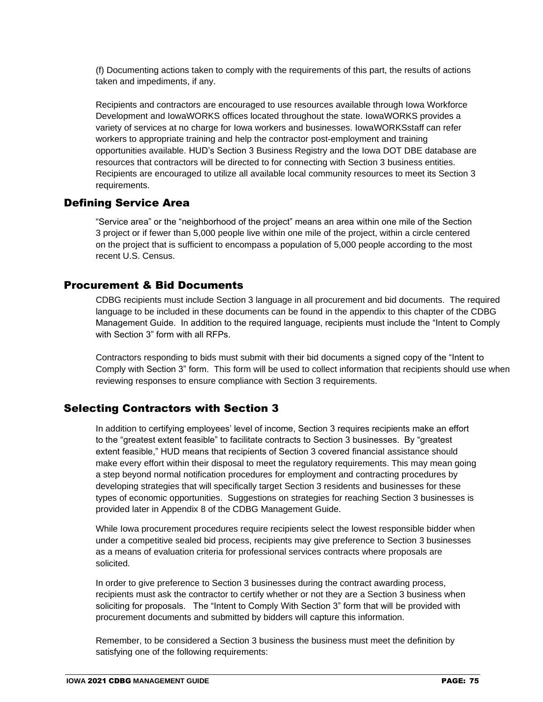(f) Documenting actions taken to comply with the requirements of this part, the results of actions taken and impediments, if any.

Recipients and contractors are encouraged to use resources available through Iowa Workforce Development and IowaWORKS offices located throughout the state. IowaWORKS provides a variety of services at no charge for Iowa workers and businesses. IowaWORKSstaff can refer workers to appropriate training and help the contractor post-employment and training opportunities available. HUD's Section 3 Business Registry and the Iowa DOT DBE database are resources that contractors will be directed to for connecting with Section 3 business entities. Recipients are encouraged to utilize all available local community resources to meet its Section 3 requirements.

#### Defining Service Area

"Service area" or the "neighborhood of the project" means an area within one mile of the Section 3 project or if fewer than 5,000 people live within one mile of the project, within a circle centered on the project that is sufficient to encompass a population of 5,000 people according to the most recent U.S. Census.

#### Procurement & Bid Documents

CDBG recipients must include Section 3 language in all procurement and bid documents. The required language to be included in these documents can be found in the appendix to this chapter of the CDBG Management Guide. In addition to the required language, recipients must include the "Intent to Comply with Section 3" form with all RFPs.

Contractors responding to bids must submit with their bid documents a signed copy of the "Intent to Comply with Section 3" form. This form will be used to collect information that recipients should use when reviewing responses to ensure compliance with Section 3 requirements.

#### Selecting Contractors with Section 3

In addition to certifying employees' level of income, Section 3 requires recipients make an effort to the "greatest extent feasible" to facilitate contracts to Section 3 businesses. By "greatest extent feasible," HUD means that recipients of Section 3 covered financial assistance should make every effort within their disposal to meet the regulatory requirements. This may mean going a step beyond normal notification procedures for employment and contracting procedures by developing strategies that will specifically target Section 3 residents and businesses for these types of economic opportunities. Suggestions on strategies for reaching Section 3 businesses is provided later in Appendix 8 of the CDBG Management Guide.

While Iowa procurement procedures require recipients select the lowest responsible bidder when under a competitive sealed bid process, recipients may give preference to Section 3 businesses as a means of evaluation criteria for professional services contracts where proposals are solicited.

In order to give preference to Section 3 businesses during the contract awarding process, recipients must ask the contractor to certify whether or not they are a Section 3 business when soliciting for proposals. The "Intent to Comply With Section 3" form that will be provided with procurement documents and submitted by bidders will capture this information.

Remember, to be considered a Section 3 business the business must meet the definition by satisfying one of the following requirements: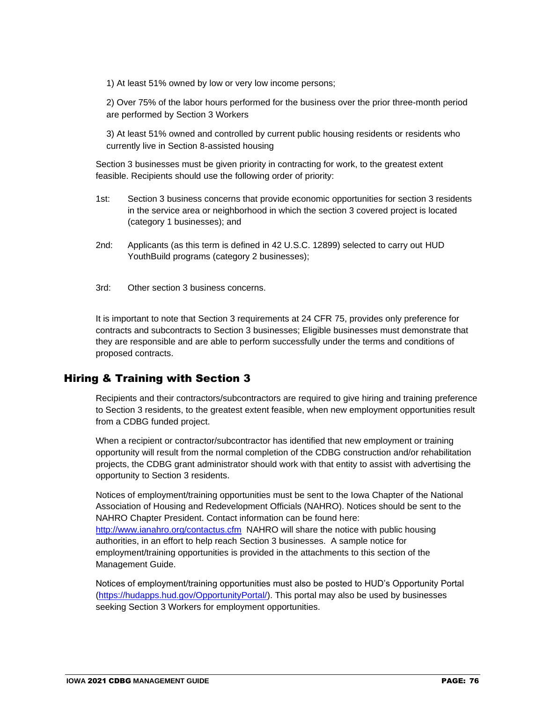1) At least 51% owned by low or very low income persons;

2) Over 75% of the labor hours performed for the business over the prior three-month period are performed by Section 3 Workers

3) At least 51% owned and controlled by current public housing residents or residents who currently live in Section 8-assisted housing

Section 3 businesses must be given priority in contracting for work, to the greatest extent feasible. Recipients should use the following order of priority:

- 1st: Section 3 business concerns that provide economic opportunities for section 3 residents in the service area or neighborhood in which the section 3 covered project is located (category 1 businesses); and
- 2nd: Applicants (as this term is defined in 42 U.S.C. 12899) selected to carry out HUD YouthBuild programs (category 2 businesses);
- 3rd: Other section 3 business concerns.

It is important to note that Section 3 requirements at 24 CFR 75, provides only preference for contracts and subcontracts to Section 3 businesses; Eligible businesses must demonstrate that they are responsible and are able to perform successfully under the terms and conditions of proposed contracts.

#### Hiring & Training with Section 3

Recipients and their contractors/subcontractors are required to give hiring and training preference to Section 3 residents, to the greatest extent feasible, when new employment opportunities result from a CDBG funded project.

When a recipient or contractor/subcontractor has identified that new employment or training opportunity will result from the normal completion of the CDBG construction and/or rehabilitation projects, the CDBG grant administrator should work with that entity to assist with advertising the opportunity to Section 3 residents.

Notices of employment/training opportunities must be sent to the Iowa Chapter of the National Association of Housing and Redevelopment Officials (NAHRO). Notices should be sent to the NAHRO Chapter President. Contact information can be found here: <http://www.ianahro.org/contactus.cfm>NAHRO will share the notice with public housing authorities, in an effort to help reach Section 3 businesses. A sample notice for employment/training opportunities is provided in the attachments to this section of the Management Guide.

Notices of employment/training opportunities must also be posted to HUD's Opportunity Portal [\(https://hudapps.hud.gov/OpportunityPortal/\)](https://hudapps.hud.gov/OpportunityPortal/). This portal may also be used by businesses seeking Section 3 Workers for employment opportunities.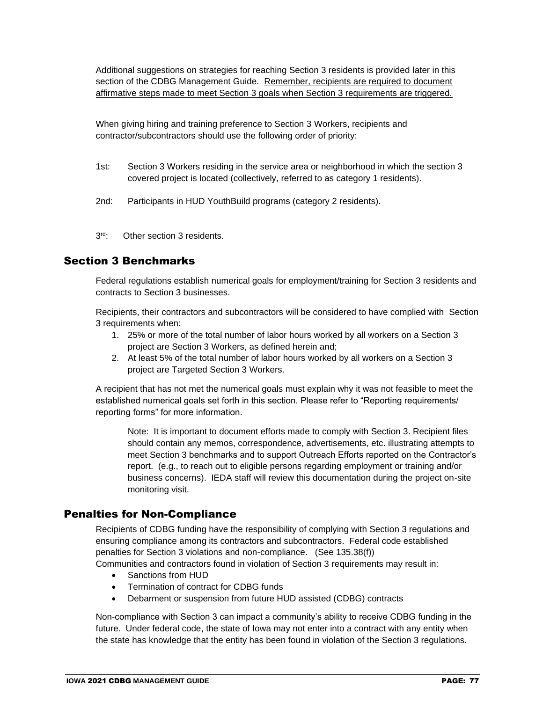Additional suggestions on strategies for reaching Section 3 residents is provided later in this section of the CDBG Management Guide. Remember, recipients are required to document affirmative steps made to meet Section 3 goals when Section 3 requirements are triggered.

When giving hiring and training preference to Section 3 Workers, recipients and contractor/subcontractors should use the following order of priority:

- 1st: Section 3 Workers residing in the service area or neighborhood in which the section 3 covered project is located (collectively, referred to as category 1 residents).
- 2nd: Participants in HUD YouthBuild programs (category 2 residents).
- $3rd -$ Other section 3 residents.

## Section 3 Benchmarks

Federal regulations establish numerical goals for employment/training for Section 3 residents and contracts to Section 3 businesses.

Recipients, their contractors and subcontractors will be considered to have complied with Section 3 requirements when:

- 1. 25% or more of the total number of labor hours worked by all workers on a Section 3 project are Section 3 Workers, as defined herein and;
- 2. At least 5% of the total number of labor hours worked by all workers on a Section 3 project are Targeted Section 3 Workers.

A recipient that has not met the numerical goals must explain why it was not feasible to meet the established numerical goals set forth in this section. Please refer to "Reporting requirements/ reporting forms" for more information.

Note: It is important to document efforts made to comply with Section 3. Recipient files should contain any memos, correspondence, advertisements, etc. illustrating attempts to meet Section 3 benchmarks and to support Outreach Efforts reported on the Contractor's report. (e.g., to reach out to eligible persons regarding employment or training and/or business concerns). IEDA staff will review this documentation during the project on-site monitoring visit.

#### Penalties for Non-Compliance

Recipients of CDBG funding have the responsibility of complying with Section 3 regulations and ensuring compliance among its contractors and subcontractors. Federal code established penalties for Section 3 violations and non-compliance. (See 135.38(f))

Communities and contractors found in violation of Section 3 requirements may result in:

- Sanctions from HUD
- Termination of contract for CDBG funds
- Debarment or suspension from future HUD assisted (CDBG) contracts

Non-compliance with Section 3 can impact a community's ability to receive CDBG funding in the future. Under federal code, the state of Iowa may not enter into a contract with any entity when the state has knowledge that the entity has been found in violation of the Section 3 regulations.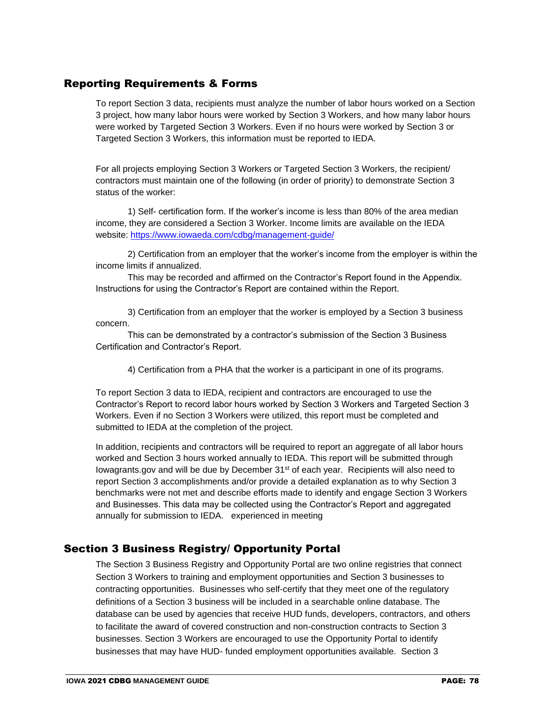# Reporting Requirements & Forms

To report Section 3 data, recipients must analyze the number of labor hours worked on a Section 3 project, how many labor hours were worked by Section 3 Workers, and how many labor hours were worked by Targeted Section 3 Workers. Even if no hours were worked by Section 3 or Targeted Section 3 Workers, this information must be reported to IEDA.

For all projects employing Section 3 Workers or Targeted Section 3 Workers, the recipient/ contractors must maintain one of the following (in order of priority) to demonstrate Section 3 status of the worker:

1) Self- certification form. If the worker's income is less than 80% of the area median income, they are considered a Section 3 Worker. Income limits are available on the IEDA website:<https://www.iowaeda.com/cdbg/management-guide/>

2) Certification from an employer that the worker's income from the employer is within the income limits if annualized.

This may be recorded and affirmed on the Contractor's Report found in the Appendix. Instructions for using the Contractor's Report are contained within the Report.

3) Certification from an employer that the worker is employed by a Section 3 business concern.

This can be demonstrated by a contractor's submission of the Section 3 Business Certification and Contractor's Report.

4) Certification from a PHA that the worker is a participant in one of its programs.

To report Section 3 data to IEDA, recipient and contractors are encouraged to use the Contractor's Report to record labor hours worked by Section 3 Workers and Targeted Section 3 Workers. Even if no Section 3 Workers were utilized, this report must be completed and submitted to IEDA at the completion of the project.

In addition, recipients and contractors will be required to report an aggregate of all labor hours worked and Section 3 hours worked annually to IEDA. This report will be submitted through Iowagrants.gov and will be due by December 31st of each year. Recipients will also need to report Section 3 accomplishments and/or provide a detailed explanation as to why Section 3 benchmarks were not met and describe efforts made to identify and engage Section 3 Workers and Businesses. This data may be collected using the Contractor's Report and aggregated annually for submission to IEDA. experienced in meeting

#### Section 3 Business Registry/ Opportunity Portal

The Section 3 Business Registry and Opportunity Portal are two online registries that connect Section 3 Workers to training and employment opportunities and Section 3 businesses to contracting opportunities. Businesses who self-certify that they meet one of the regulatory definitions of a Section 3 business will be included in a searchable online database. The database can be used by agencies that receive HUD funds, developers, contractors, and others to facilitate the award of covered construction and non-construction contracts to Section 3 businesses. Section 3 Workers are encouraged to use the Opportunity Portal to identify businesses that may have HUD- funded employment opportunities available. Section 3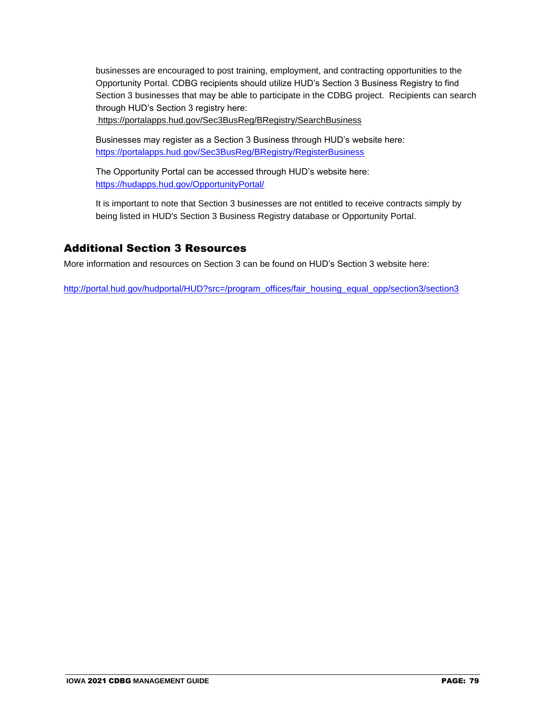businesses are encouraged to post training, employment, and contracting opportunities to the Opportunity Portal. CDBG recipients should utilize HUD's Section 3 Business Registry to find Section 3 businesses that may be able to participate in the CDBG project. Recipients can search through HUD's Section 3 registry here:

https://portalapps.hud.gov/Sec3BusReg/BRegistry/SearchBusiness

Businesses may register as a Section 3 Business through HUD's website here: <https://portalapps.hud.gov/Sec3BusReg/BRegistry/RegisterBusiness>

The Opportunity Portal can be accessed through HUD's website here: <https://hudapps.hud.gov/OpportunityPortal/>

It is important to note that Section 3 businesses are not entitled to receive contracts simply by being listed in HUD's Section 3 Business Registry database or Opportunity Portal.

## Additional Section 3 Resources

More information and resources on Section 3 can be found on HUD's Section 3 website here:

[http://portal.hud.gov/hudportal/HUD?src=/program\\_offices/fair\\_housing\\_equal\\_opp/section3/section3](http://portal.hud.gov/hudportal/HUD?src=/program_offices/fair_housing_equal_opp/section3/section3)